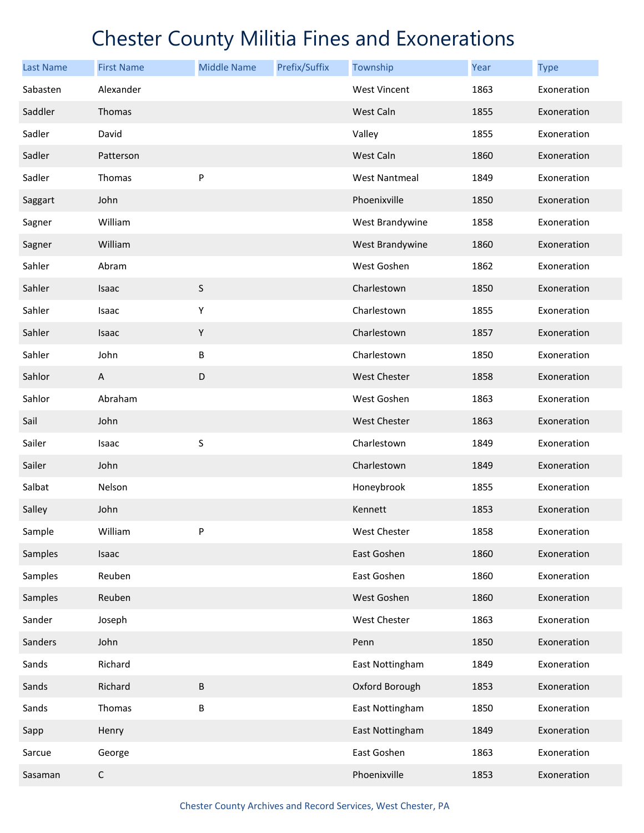| <b>Last Name</b> | <b>First Name</b> | <b>Middle Name</b> | Prefix/Suffix | Township             | <b>Year</b> | <b>Type</b> |
|------------------|-------------------|--------------------|---------------|----------------------|-------------|-------------|
| Sabasten         | Alexander         |                    |               | <b>West Vincent</b>  | 1863        | Exoneration |
| Saddler          | Thomas            |                    |               | West Caln            | 1855        | Exoneration |
| Sadler           | David             |                    |               | Valley               | 1855        | Exoneration |
| Sadler           | Patterson         |                    |               | West Caln            | 1860        | Exoneration |
| Sadler           | Thomas            | P                  |               | <b>West Nantmeal</b> | 1849        | Exoneration |
| Saggart          | John              |                    |               | Phoenixville         | 1850        | Exoneration |
| Sagner           | William           |                    |               | West Brandywine      | 1858        | Exoneration |
| Sagner           | William           |                    |               | West Brandywine      | 1860        | Exoneration |
| Sahler           | Abram             |                    |               | West Goshen          | 1862        | Exoneration |
| Sahler           | Isaac             | $\sf S$            |               | Charlestown          | 1850        | Exoneration |
| Sahler           | Isaac             | Υ                  |               | Charlestown          | 1855        | Exoneration |
| Sahler           | Isaac             | Υ                  |               | Charlestown          | 1857        | Exoneration |
| Sahler           | John              | $\sf B$            |               | Charlestown          | 1850        | Exoneration |
| Sahlor           | A                 | D                  |               | West Chester         | 1858        | Exoneration |
| Sahlor           | Abraham           |                    |               | West Goshen          | 1863        | Exoneration |
| Sail             | John              |                    |               | <b>West Chester</b>  | 1863        | Exoneration |
| Sailer           | Isaac             | S                  |               | Charlestown          | 1849        | Exoneration |
| Sailer           | John              |                    |               | Charlestown          | 1849        | Exoneration |
| Salbat           | Nelson            |                    |               | Honeybrook           | 1855        | Exoneration |
| Salley           | John              |                    |               | Kennett              | 1853        | Exoneration |
| Sample           | William           | P                  |               | West Chester         | 1858        | Exoneration |
| Samples          | Isaac             |                    |               | East Goshen          | 1860        | Exoneration |
| Samples          | Reuben            |                    |               | East Goshen          | 1860        | Exoneration |
| Samples          | Reuben            |                    |               | West Goshen          | 1860        | Exoneration |
| Sander           | Joseph            |                    |               | West Chester         | 1863        | Exoneration |
| Sanders          | John              |                    |               | Penn                 | 1850        | Exoneration |
| Sands            | Richard           |                    |               | East Nottingham      | 1849        | Exoneration |
| Sands            | Richard           | B                  |               | Oxford Borough       | 1853        | Exoneration |
| Sands            | Thomas            | $\sf B$            |               | East Nottingham      | 1850        | Exoneration |
| Sapp             | Henry             |                    |               | East Nottingham      | 1849        | Exoneration |
| Sarcue           | George            |                    |               | East Goshen          | 1863        | Exoneration |
| Sasaman          | $\mathsf C$       |                    |               | Phoenixville         | 1853        | Exoneration |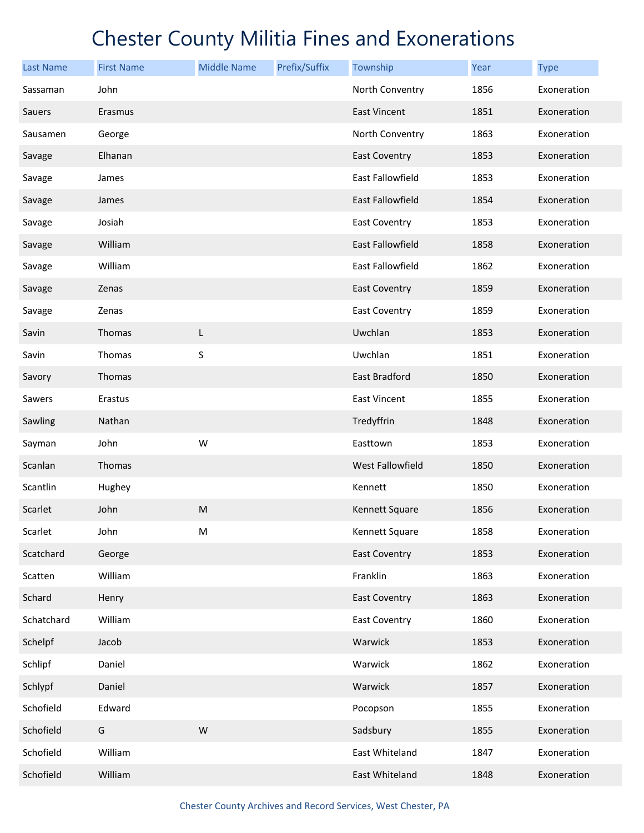| <b>Last Name</b> | <b>First Name</b> | <b>Middle Name</b> | Prefix/Suffix | Township                | Year | <b>Type</b> |
|------------------|-------------------|--------------------|---------------|-------------------------|------|-------------|
| Sassaman         | John              |                    |               | North Conventry         | 1856 | Exoneration |
| Sauers           | Erasmus           |                    |               | <b>East Vincent</b>     | 1851 | Exoneration |
| Sausamen         | George            |                    |               | North Conventry         | 1863 | Exoneration |
| Savage           | Elhanan           |                    |               | <b>East Coventry</b>    | 1853 | Exoneration |
| Savage           | James             |                    |               | East Fallowfield        | 1853 | Exoneration |
| Savage           | James             |                    |               | <b>East Fallowfield</b> | 1854 | Exoneration |
| Savage           | Josiah            |                    |               | East Coventry           | 1853 | Exoneration |
| Savage           | William           |                    |               | <b>East Fallowfield</b> | 1858 | Exoneration |
| Savage           | William           |                    |               | East Fallowfield        | 1862 | Exoneration |
| Savage           | Zenas             |                    |               | <b>East Coventry</b>    | 1859 | Exoneration |
| Savage           | Zenas             |                    |               | <b>East Coventry</b>    | 1859 | Exoneration |
| Savin            | Thomas            | L                  |               | Uwchlan                 | 1853 | Exoneration |
| Savin            | Thomas            | S                  |               | Uwchlan                 | 1851 | Exoneration |
| Savory           | Thomas            |                    |               | East Bradford           | 1850 | Exoneration |
| Sawers           | Erastus           |                    |               | <b>East Vincent</b>     | 1855 | Exoneration |
| Sawling          | Nathan            |                    |               | Tredyffrin              | 1848 | Exoneration |
| Sayman           | John              | W                  |               | Easttown                | 1853 | Exoneration |
| Scanlan          | Thomas            |                    |               | West Fallowfield        | 1850 | Exoneration |
| Scantlin         | Hughey            |                    |               | Kennett                 | 1850 | Exoneration |
| Scarlet          | John              | ${\sf M}$          |               | Kennett Square          | 1856 | Exoneration |
| Scarlet          | John              | M                  |               | Kennett Square          | 1858 | Exoneration |
| Scatchard        | George            |                    |               | <b>East Coventry</b>    | 1853 | Exoneration |
| Scatten          | William           |                    |               | Franklin                | 1863 | Exoneration |
| Schard           | Henry             |                    |               | <b>East Coventry</b>    | 1863 | Exoneration |
| Schatchard       | William           |                    |               | East Coventry           | 1860 | Exoneration |
| Schelpf          | Jacob             |                    |               | Warwick                 | 1853 | Exoneration |
| Schlipf          | Daniel            |                    |               | Warwick                 | 1862 | Exoneration |
| Schlypf          | Daniel            |                    |               | Warwick                 | 1857 | Exoneration |
| Schofield        | Edward            |                    |               | Pocopson                | 1855 | Exoneration |
| Schofield        | G                 | ${\sf W}$          |               | Sadsbury                | 1855 | Exoneration |
| Schofield        | William           |                    |               | East Whiteland          | 1847 | Exoneration |
| Schofield        | William           |                    |               | East Whiteland          | 1848 | Exoneration |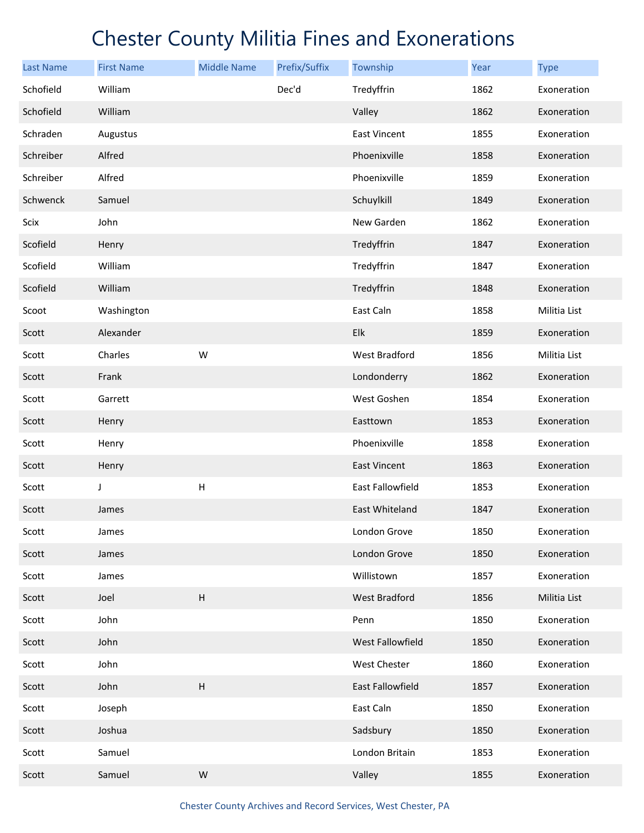| <b>Last Name</b> | <b>First Name</b> | <b>Middle Name</b>        | Prefix/Suffix | Township            | Year | <b>Type</b>  |
|------------------|-------------------|---------------------------|---------------|---------------------|------|--------------|
| Schofield        | William           |                           | Dec'd         | Tredyffrin          | 1862 | Exoneration  |
| Schofield        | William           |                           |               | Valley              | 1862 | Exoneration  |
| Schraden         | Augustus          |                           |               | <b>East Vincent</b> | 1855 | Exoneration  |
| Schreiber        | Alfred            |                           |               | Phoenixville        | 1858 | Exoneration  |
| Schreiber        | Alfred            |                           |               | Phoenixville        | 1859 | Exoneration  |
| Schwenck         | Samuel            |                           |               | Schuylkill          | 1849 | Exoneration  |
| Scix             | John              |                           |               | New Garden          | 1862 | Exoneration  |
| Scofield         | Henry             |                           |               | Tredyffrin          | 1847 | Exoneration  |
| Scofield         | William           |                           |               | Tredyffrin          | 1847 | Exoneration  |
| Scofield         | William           |                           |               | Tredyffrin          | 1848 | Exoneration  |
| Scoot            | Washington        |                           |               | East Caln           | 1858 | Militia List |
| Scott            | Alexander         |                           |               | Elk                 | 1859 | Exoneration  |
| Scott            | Charles           | W                         |               | West Bradford       | 1856 | Militia List |
| Scott            | Frank             |                           |               | Londonderry         | 1862 | Exoneration  |
| Scott            | Garrett           |                           |               | West Goshen         | 1854 | Exoneration  |
| Scott            | Henry             |                           |               | Easttown            | 1853 | Exoneration  |
| Scott            | Henry             |                           |               | Phoenixville        | 1858 | Exoneration  |
| Scott            | Henry             |                           |               | East Vincent        | 1863 | Exoneration  |
| Scott            | J                 | $\boldsymbol{\mathsf{H}}$ |               | East Fallowfield    | 1853 | Exoneration  |
| Scott            | James             |                           |               | East Whiteland      | 1847 | Exoneration  |
| Scott            | James             |                           |               | London Grove        | 1850 | Exoneration  |
| Scott            | James             |                           |               | London Grove        | 1850 | Exoneration  |
| Scott            | James             |                           |               | Willistown          | 1857 | Exoneration  |
| Scott            | Joel              | $\sf H$                   |               | West Bradford       | 1856 | Militia List |
| Scott            | John              |                           |               | Penn                | 1850 | Exoneration  |
| Scott            | John              |                           |               | West Fallowfield    | 1850 | Exoneration  |
| Scott            | John              |                           |               | West Chester        | 1860 | Exoneration  |
| Scott            | John              | $\sf H$                   |               | East Fallowfield    | 1857 | Exoneration  |
| Scott            | Joseph            |                           |               | East Caln           | 1850 | Exoneration  |
| Scott            | Joshua            |                           |               | Sadsbury            | 1850 | Exoneration  |
| Scott            | Samuel            |                           |               | London Britain      | 1853 | Exoneration  |
| Scott            | Samuel            | W                         |               | Valley              | 1855 | Exoneration  |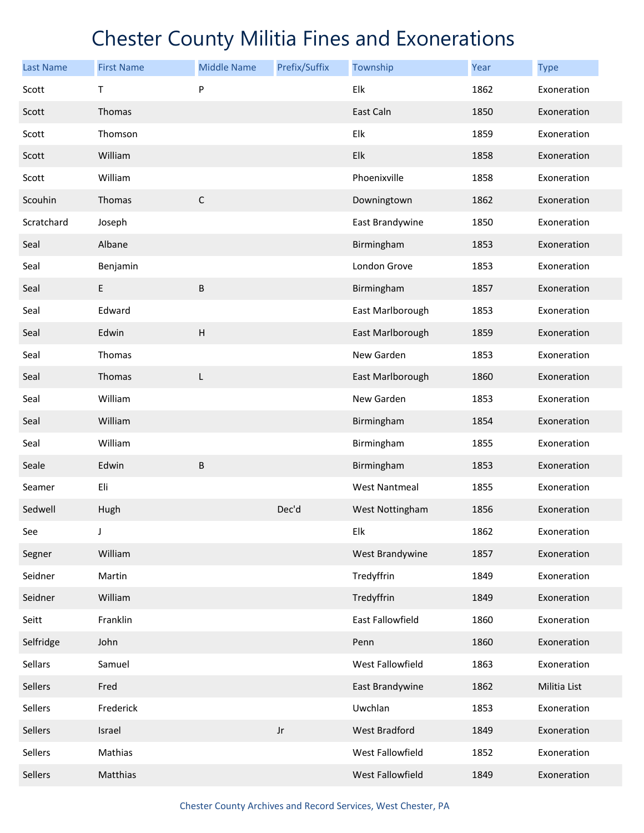| <b>Last Name</b> | <b>First Name</b> | <b>Middle Name</b>        | Prefix/Suffix          | Township         | Year | <b>Type</b>  |
|------------------|-------------------|---------------------------|------------------------|------------------|------|--------------|
| Scott            | Т                 | P                         |                        | Elk              | 1862 | Exoneration  |
| Scott            | Thomas            |                           |                        | East Caln        | 1850 | Exoneration  |
| Scott            | Thomson           |                           |                        | Elk              | 1859 | Exoneration  |
| Scott            | William           |                           |                        | Elk              | 1858 | Exoneration  |
| Scott            | William           |                           |                        | Phoenixville     | 1858 | Exoneration  |
| Scouhin          | Thomas            | $\mathsf C$               |                        | Downingtown      | 1862 | Exoneration  |
| Scratchard       | Joseph            |                           |                        | East Brandywine  | 1850 | Exoneration  |
| Seal             | Albane            |                           |                        | Birmingham       | 1853 | Exoneration  |
| Seal             | Benjamin          |                           |                        | London Grove     | 1853 | Exoneration  |
| Seal             | E                 | B                         |                        | Birmingham       | 1857 | Exoneration  |
| Seal             | Edward            |                           |                        | East Marlborough | 1853 | Exoneration  |
| Seal             | Edwin             | $\boldsymbol{\mathsf{H}}$ |                        | East Marlborough | 1859 | Exoneration  |
| Seal             | Thomas            |                           |                        | New Garden       | 1853 | Exoneration  |
| Seal             | Thomas            | L                         |                        | East Marlborough | 1860 | Exoneration  |
| Seal             | William           |                           |                        | New Garden       | 1853 | Exoneration  |
| Seal             | William           |                           |                        | Birmingham       | 1854 | Exoneration  |
| Seal             | William           |                           |                        | Birmingham       | 1855 | Exoneration  |
| Seale            | Edwin             | B                         |                        | Birmingham       | 1853 | Exoneration  |
| Seamer           | Eli               |                           |                        | West Nantmeal    | 1855 | Exoneration  |
| Sedwell          | Hugh              |                           | Dec'd                  | West Nottingham  | 1856 | Exoneration  |
| See              | J                 |                           |                        | Elk              | 1862 | Exoneration  |
| Segner           | William           |                           |                        | West Brandywine  | 1857 | Exoneration  |
| Seidner          | Martin            |                           |                        | Tredyffrin       | 1849 | Exoneration  |
| Seidner          | William           |                           |                        | Tredyffrin       | 1849 | Exoneration  |
| Seitt            | Franklin          |                           |                        | East Fallowfield | 1860 | Exoneration  |
| Selfridge        | John              |                           |                        | Penn             | 1860 | Exoneration  |
| Sellars          | Samuel            |                           |                        | West Fallowfield | 1863 | Exoneration  |
| Sellers          | Fred              |                           |                        | East Brandywine  | 1862 | Militia List |
| Sellers          | Frederick         |                           |                        | Uwchlan          | 1853 | Exoneration  |
| Sellers          | Israel            |                           | $\mathsf{J}\mathsf{r}$ | West Bradford    | 1849 | Exoneration  |
| Sellers          | Mathias           |                           |                        | West Fallowfield | 1852 | Exoneration  |
| Sellers          | Matthias          |                           |                        | West Fallowfield | 1849 | Exoneration  |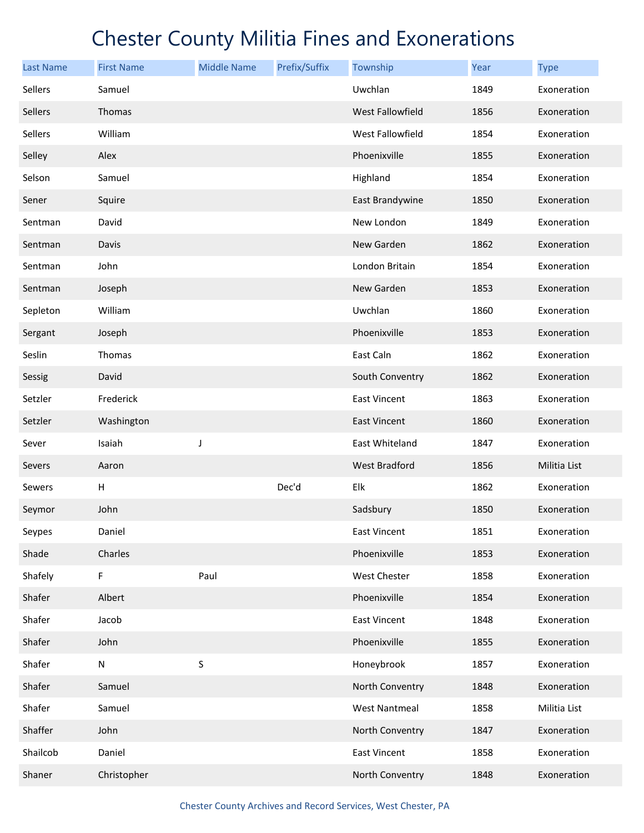| <b>Last Name</b> | <b>First Name</b> | <b>Middle Name</b> | Prefix/Suffix | Township             | <b>Year</b> | <b>Type</b>  |
|------------------|-------------------|--------------------|---------------|----------------------|-------------|--------------|
| Sellers          | Samuel            |                    |               | Uwchlan              | 1849        | Exoneration  |
| Sellers          | Thomas            |                    |               | West Fallowfield     | 1856        | Exoneration  |
| Sellers          | William           |                    |               | West Fallowfield     | 1854        | Exoneration  |
| Selley           | Alex              |                    |               | Phoenixville         | 1855        | Exoneration  |
| Selson           | Samuel            |                    |               | Highland             | 1854        | Exoneration  |
| Sener            | Squire            |                    |               | East Brandywine      | 1850        | Exoneration  |
| Sentman          | David             |                    |               | New London           | 1849        | Exoneration  |
| Sentman          | Davis             |                    |               | New Garden           | 1862        | Exoneration  |
| Sentman          | John              |                    |               | London Britain       | 1854        | Exoneration  |
| Sentman          | Joseph            |                    |               | New Garden           | 1853        | Exoneration  |
| Sepleton         | William           |                    |               | Uwchlan              | 1860        | Exoneration  |
| Sergant          | Joseph            |                    |               | Phoenixville         | 1853        | Exoneration  |
| Seslin           | Thomas            |                    |               | East Caln            | 1862        | Exoneration  |
| Sessig           | David             |                    |               | South Conventry      | 1862        | Exoneration  |
| Setzler          | Frederick         |                    |               | <b>East Vincent</b>  | 1863        | Exoneration  |
| Setzler          | Washington        |                    |               | <b>East Vincent</b>  | 1860        | Exoneration  |
| Sever            | Isaiah            | J                  |               | East Whiteland       | 1847        | Exoneration  |
| Severs           | Aaron             |                    |               | West Bradford        | 1856        | Militia List |
| Sewers           | н                 |                    | Dec'd         | Elk                  | 1862        | Exoneration  |
| Seymor           | John              |                    |               | Sadsbury             | 1850        | Exoneration  |
| Seypes           | Daniel            |                    |               | <b>East Vincent</b>  | 1851        | Exoneration  |
| Shade            | Charles           |                    |               | Phoenixville         | 1853        | Exoneration  |
| Shafely          | F                 | Paul               |               | West Chester         | 1858        | Exoneration  |
| Shafer           | Albert            |                    |               | Phoenixville         | 1854        | Exoneration  |
| Shafer           | Jacob             |                    |               | <b>East Vincent</b>  | 1848        | Exoneration  |
| Shafer           | John              |                    |               | Phoenixville         | 1855        | Exoneration  |
| Shafer           | ${\sf N}$         | $\sf S$            |               | Honeybrook           | 1857        | Exoneration  |
| Shafer           | Samuel            |                    |               | North Conventry      | 1848        | Exoneration  |
| Shafer           | Samuel            |                    |               | <b>West Nantmeal</b> | 1858        | Militia List |
| Shaffer          | John              |                    |               | North Conventry      | 1847        | Exoneration  |
| Shailcob         | Daniel            |                    |               | East Vincent         | 1858        | Exoneration  |
| Shaner           | Christopher       |                    |               | North Conventry      | 1848        | Exoneration  |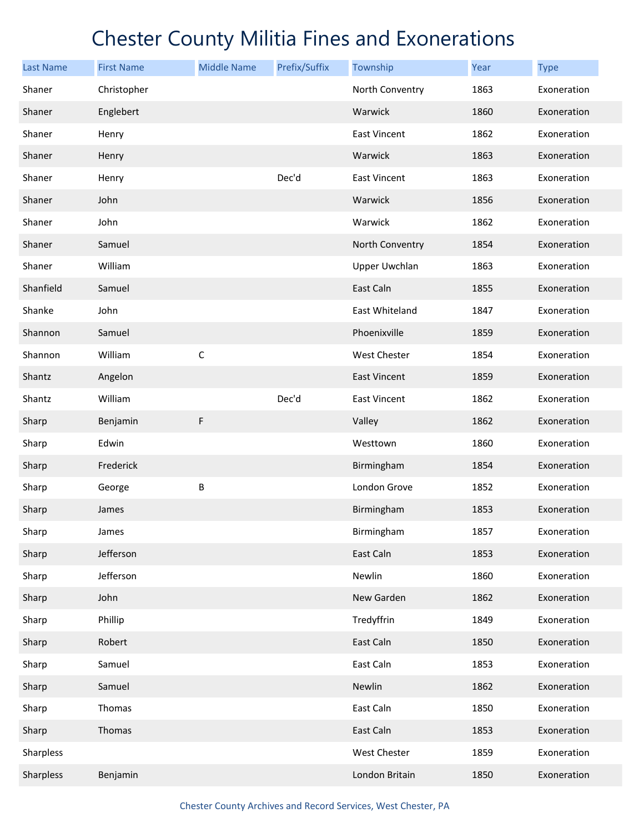| <b>Last Name</b> | <b>First Name</b> | <b>Middle Name</b> | Prefix/Suffix | Township             | Year | <b>Type</b> |
|------------------|-------------------|--------------------|---------------|----------------------|------|-------------|
| Shaner           | Christopher       |                    |               | North Conventry      | 1863 | Exoneration |
| Shaner           | Englebert         |                    |               | Warwick              | 1860 | Exoneration |
| Shaner           | Henry             |                    |               | East Vincent         | 1862 | Exoneration |
| Shaner           | Henry             |                    |               | Warwick              | 1863 | Exoneration |
| Shaner           | Henry             |                    | Dec'd         | East Vincent         | 1863 | Exoneration |
| Shaner           | John              |                    |               | Warwick              | 1856 | Exoneration |
| Shaner           | John              |                    |               | Warwick              | 1862 | Exoneration |
| Shaner           | Samuel            |                    |               | North Conventry      | 1854 | Exoneration |
| Shaner           | William           |                    |               | <b>Upper Uwchlan</b> | 1863 | Exoneration |
| Shanfield        | Samuel            |                    |               | East Caln            | 1855 | Exoneration |
| Shanke           | John              |                    |               | East Whiteland       | 1847 | Exoneration |
| Shannon          | Samuel            |                    |               | Phoenixville         | 1859 | Exoneration |
| Shannon          | William           | $\mathsf C$        |               | West Chester         | 1854 | Exoneration |
| Shantz           | Angelon           |                    |               | <b>East Vincent</b>  | 1859 | Exoneration |
| Shantz           | William           |                    | Dec'd         | East Vincent         | 1862 | Exoneration |
| Sharp            | Benjamin          | F                  |               | Valley               | 1862 | Exoneration |
| Sharp            | Edwin             |                    |               | Westtown             | 1860 | Exoneration |
| Sharp            | Frederick         |                    |               | Birmingham           | 1854 | Exoneration |
| Sharp            | George            | B                  |               | London Grove         | 1852 | Exoneration |
| Sharp            | James             |                    |               | Birmingham           | 1853 | Exoneration |
| Sharp            | James             |                    |               | Birmingham           | 1857 | Exoneration |
| Sharp            | Jefferson         |                    |               | East Caln            | 1853 | Exoneration |
| Sharp            | Jefferson         |                    |               | Newlin               | 1860 | Exoneration |
| Sharp            | John              |                    |               | New Garden           | 1862 | Exoneration |
| Sharp            | Phillip           |                    |               | Tredyffrin           | 1849 | Exoneration |
| Sharp            | Robert            |                    |               | East Caln            | 1850 | Exoneration |
| Sharp            | Samuel            |                    |               | East Caln            | 1853 | Exoneration |
| Sharp            | Samuel            |                    |               | Newlin               | 1862 | Exoneration |
| Sharp            | Thomas            |                    |               | East Caln            | 1850 | Exoneration |
| Sharp            | Thomas            |                    |               | East Caln            | 1853 | Exoneration |
| Sharpless        |                   |                    |               | West Chester         | 1859 | Exoneration |
| Sharpless        | Benjamin          |                    |               | London Britain       | 1850 | Exoneration |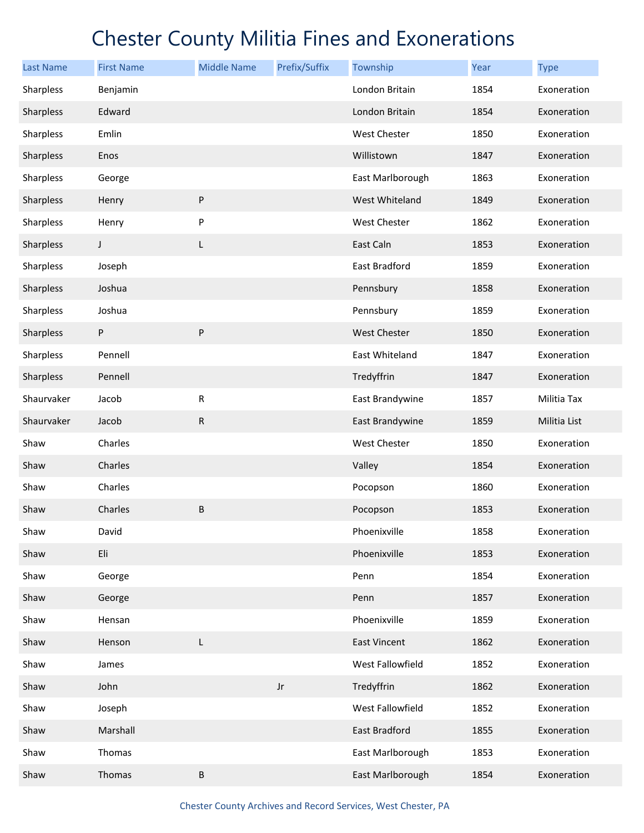| <b>Last Name</b> | <b>First Name</b> | <b>Middle Name</b> | Prefix/Suffix          | Township            | Year | <b>Type</b>  |
|------------------|-------------------|--------------------|------------------------|---------------------|------|--------------|
| Sharpless        | Benjamin          |                    |                        | London Britain      | 1854 | Exoneration  |
| Sharpless        | Edward            |                    |                        | London Britain      | 1854 | Exoneration  |
| Sharpless        | Emlin             |                    |                        | West Chester        | 1850 | Exoneration  |
| Sharpless        | Enos              |                    |                        | Willistown          | 1847 | Exoneration  |
| Sharpless        | George            |                    |                        | East Marlborough    | 1863 | Exoneration  |
| Sharpless        | Henry             | ${\sf P}$          |                        | West Whiteland      | 1849 | Exoneration  |
| Sharpless        | Henry             | P                  |                        | West Chester        | 1862 | Exoneration  |
| Sharpless        | $\mathsf{I}$      | L                  |                        | East Caln           | 1853 | Exoneration  |
| Sharpless        | Joseph            |                    |                        | East Bradford       | 1859 | Exoneration  |
| Sharpless        | Joshua            |                    |                        | Pennsbury           | 1858 | Exoneration  |
| Sharpless        | Joshua            |                    |                        | Pennsbury           | 1859 | Exoneration  |
| Sharpless        | P                 | ${\sf P}$          |                        | <b>West Chester</b> | 1850 | Exoneration  |
| Sharpless        | Pennell           |                    |                        | East Whiteland      | 1847 | Exoneration  |
| Sharpless        | Pennell           |                    |                        | Tredyffrin          | 1847 | Exoneration  |
| Shaurvaker       | Jacob             | ${\sf R}$          |                        | East Brandywine     | 1857 | Militia Tax  |
| Shaurvaker       | Jacob             | ${\sf R}$          |                        | East Brandywine     | 1859 | Militia List |
| Shaw             | Charles           |                    |                        | West Chester        | 1850 | Exoneration  |
| Shaw             | Charles           |                    |                        | Valley              | 1854 | Exoneration  |
| Shaw             | Charles           |                    |                        | Pocopson            | 1860 | Exoneration  |
| Shaw             | Charles           | $\sf B$            |                        | Pocopson            | 1853 | Exoneration  |
| Shaw             | David             |                    |                        | Phoenixville        | 1858 | Exoneration  |
| Shaw             | Eli               |                    |                        | Phoenixville        | 1853 | Exoneration  |
| Shaw             | George            |                    |                        | Penn                | 1854 | Exoneration  |
| Shaw             | George            |                    |                        | Penn                | 1857 | Exoneration  |
| Shaw             | Hensan            |                    |                        | Phoenixville        | 1859 | Exoneration  |
| Shaw             | Henson            | L                  |                        | <b>East Vincent</b> | 1862 | Exoneration  |
| Shaw             | James             |                    |                        | West Fallowfield    | 1852 | Exoneration  |
| Shaw             | John              |                    | $\mathsf{J}\mathsf{r}$ | Tredyffrin          | 1862 | Exoneration  |
| Shaw             | Joseph            |                    |                        | West Fallowfield    | 1852 | Exoneration  |
| Shaw             | Marshall          |                    |                        | East Bradford       | 1855 | Exoneration  |
| Shaw             | Thomas            |                    |                        | East Marlborough    | 1853 | Exoneration  |
| Shaw             | Thomas            | $\sf B$            |                        | East Marlborough    | 1854 | Exoneration  |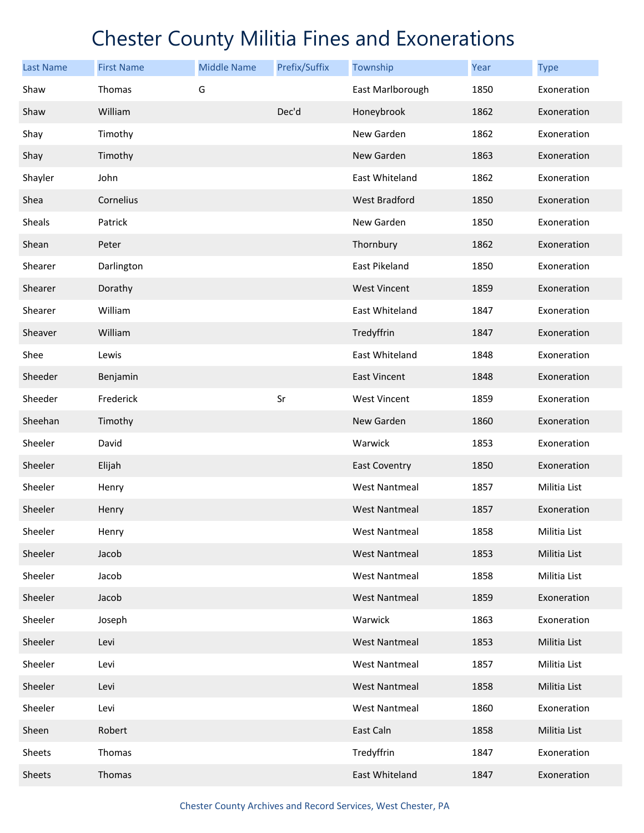| <b>Last Name</b> | <b>First Name</b> | <b>Middle Name</b> | Prefix/Suffix | Township             | Year | <b>Type</b>  |
|------------------|-------------------|--------------------|---------------|----------------------|------|--------------|
| Shaw             | Thomas            | G                  |               | East Marlborough     | 1850 | Exoneration  |
| Shaw             | William           |                    | Dec'd         | Honeybrook           | 1862 | Exoneration  |
| Shay             | Timothy           |                    |               | New Garden           | 1862 | Exoneration  |
| Shay             | Timothy           |                    |               | New Garden           | 1863 | Exoneration  |
| Shayler          | John              |                    |               | East Whiteland       | 1862 | Exoneration  |
| Shea             | Cornelius         |                    |               | West Bradford        | 1850 | Exoneration  |
| Sheals           | Patrick           |                    |               | New Garden           | 1850 | Exoneration  |
| Shean            | Peter             |                    |               | Thornbury            | 1862 | Exoneration  |
| Shearer          | Darlington        |                    |               | East Pikeland        | 1850 | Exoneration  |
| Shearer          | Dorathy           |                    |               | <b>West Vincent</b>  | 1859 | Exoneration  |
| Shearer          | William           |                    |               | East Whiteland       | 1847 | Exoneration  |
| Sheaver          | William           |                    |               | Tredyffrin           | 1847 | Exoneration  |
| Shee             | Lewis             |                    |               | East Whiteland       | 1848 | Exoneration  |
| Sheeder          | Benjamin          |                    |               | <b>East Vincent</b>  | 1848 | Exoneration  |
| Sheeder          | Frederick         |                    | Sr            | <b>West Vincent</b>  | 1859 | Exoneration  |
| Sheehan          | Timothy           |                    |               | New Garden           | 1860 | Exoneration  |
| Sheeler          | David             |                    |               | Warwick              | 1853 | Exoneration  |
| Sheeler          | Elijah            |                    |               | <b>East Coventry</b> | 1850 | Exoneration  |
| Sheeler          | Henry             |                    |               | <b>West Nantmeal</b> | 1857 | Militia List |
| Sheeler          | Henry             |                    |               | <b>West Nantmeal</b> | 1857 | Exoneration  |
| Sheeler          | Henry             |                    |               | <b>West Nantmeal</b> | 1858 | Militia List |
| Sheeler          | Jacob             |                    |               | <b>West Nantmeal</b> | 1853 | Militia List |
| Sheeler          | Jacob             |                    |               | <b>West Nantmeal</b> | 1858 | Militia List |
| Sheeler          | Jacob             |                    |               | <b>West Nantmeal</b> | 1859 | Exoneration  |
| Sheeler          | Joseph            |                    |               | Warwick              | 1863 | Exoneration  |
| Sheeler          | Levi              |                    |               | <b>West Nantmeal</b> | 1853 | Militia List |
| Sheeler          | Levi              |                    |               | <b>West Nantmeal</b> | 1857 | Militia List |
| Sheeler          | Levi              |                    |               | <b>West Nantmeal</b> | 1858 | Militia List |
| Sheeler          | Levi              |                    |               | <b>West Nantmeal</b> | 1860 | Exoneration  |
| Sheen            | Robert            |                    |               | East Caln            | 1858 | Militia List |
| Sheets           | Thomas            |                    |               | Tredyffrin           | 1847 | Exoneration  |
| Sheets           | Thomas            |                    |               | East Whiteland       | 1847 | Exoneration  |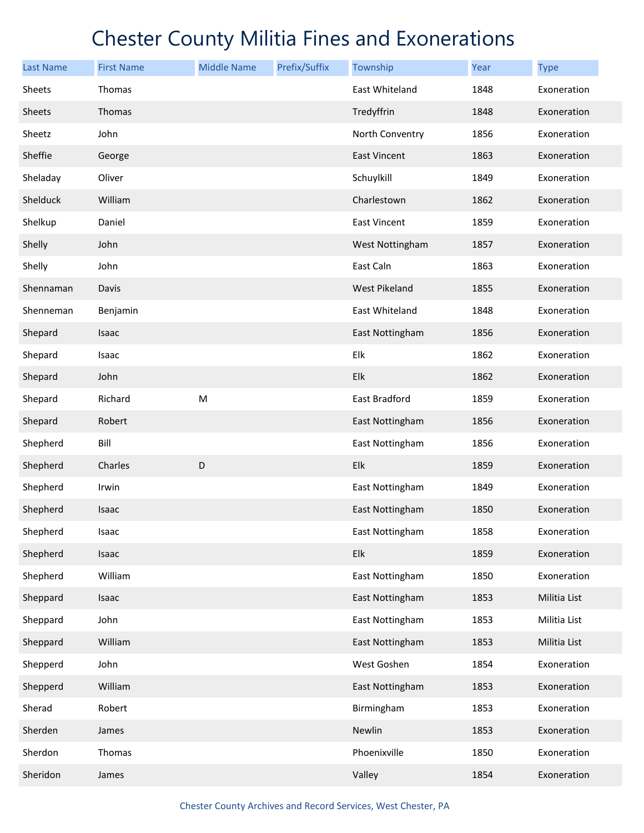| <b>Last Name</b> | <b>First Name</b> | <b>Middle Name</b> | Prefix/Suffix | Township             | Year | <b>Type</b>  |
|------------------|-------------------|--------------------|---------------|----------------------|------|--------------|
| Sheets           | Thomas            |                    |               | East Whiteland       | 1848 | Exoneration  |
| <b>Sheets</b>    | Thomas            |                    |               | Tredyffrin           | 1848 | Exoneration  |
| Sheetz           | John              |                    |               | North Conventry      | 1856 | Exoneration  |
| Sheffie          | George            |                    |               | East Vincent         | 1863 | Exoneration  |
| Sheladay         | Oliver            |                    |               | Schuylkill           | 1849 | Exoneration  |
| Shelduck         | William           |                    |               | Charlestown          | 1862 | Exoneration  |
| Shelkup          | Daniel            |                    |               | East Vincent         | 1859 | Exoneration  |
| Shelly           | John              |                    |               | West Nottingham      | 1857 | Exoneration  |
| Shelly           | John              |                    |               | East Caln            | 1863 | Exoneration  |
| Shennaman        | Davis             |                    |               | <b>West Pikeland</b> | 1855 | Exoneration  |
| Shenneman        | Benjamin          |                    |               | East Whiteland       | 1848 | Exoneration  |
| Shepard          | Isaac             |                    |               | East Nottingham      | 1856 | Exoneration  |
| Shepard          | Isaac             |                    |               | Elk                  | 1862 | Exoneration  |
| Shepard          | John              |                    |               | Elk                  | 1862 | Exoneration  |
| Shepard          | Richard           | M                  |               | East Bradford        | 1859 | Exoneration  |
| Shepard          | Robert            |                    |               | East Nottingham      | 1856 | Exoneration  |
| Shepherd         | Bill              |                    |               | East Nottingham      | 1856 | Exoneration  |
| Shepherd         | Charles           | D                  |               | Elk                  | 1859 | Exoneration  |
| Shepherd         | Irwin             |                    |               | East Nottingham      | 1849 | Exoneration  |
| Shepherd         | Isaac             |                    |               | East Nottingham      | 1850 | Exoneration  |
| Shepherd         | Isaac             |                    |               | East Nottingham      | 1858 | Exoneration  |
| Shepherd         | Isaac             |                    |               | Elk                  | 1859 | Exoneration  |
| Shepherd         | William           |                    |               | East Nottingham      | 1850 | Exoneration  |
| Sheppard         | Isaac             |                    |               | East Nottingham      | 1853 | Militia List |
| Sheppard         | John              |                    |               | East Nottingham      | 1853 | Militia List |
| Sheppard         | William           |                    |               | East Nottingham      | 1853 | Militia List |
| Shepperd         | John              |                    |               | West Goshen          | 1854 | Exoneration  |
| Shepperd         | William           |                    |               | East Nottingham      | 1853 | Exoneration  |
| Sherad           | Robert            |                    |               | Birmingham           | 1853 | Exoneration  |
| Sherden          | James             |                    |               | Newlin               | 1853 | Exoneration  |
| Sherdon          | Thomas            |                    |               | Phoenixville         | 1850 | Exoneration  |
| Sheridon         | James             |                    |               | Valley               | 1854 | Exoneration  |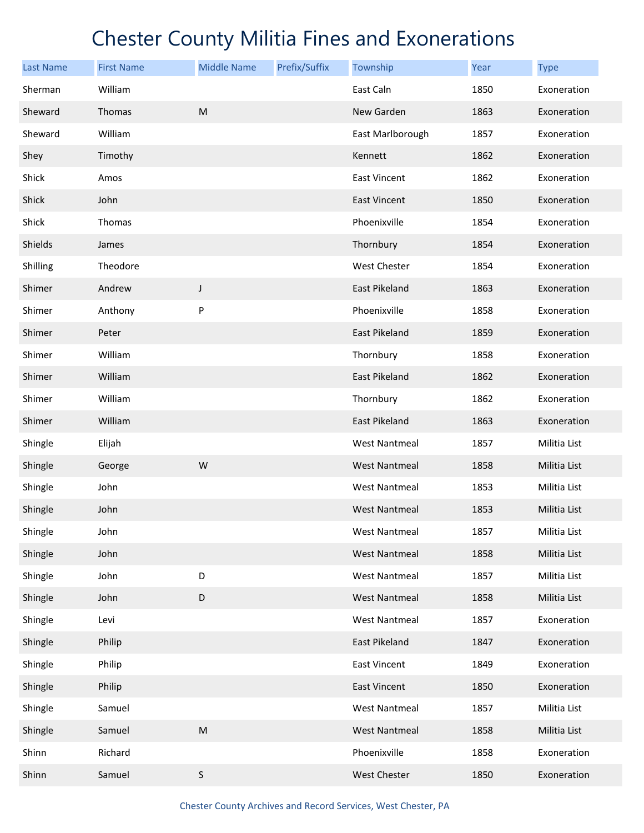| <b>Last Name</b> | <b>First Name</b> | <b>Middle Name</b> | Prefix/Suffix | Township             | Year | <b>Type</b>  |
|------------------|-------------------|--------------------|---------------|----------------------|------|--------------|
| Sherman          | William           |                    |               | East Caln            | 1850 | Exoneration  |
| Sheward          | Thomas            | M                  |               | New Garden           | 1863 | Exoneration  |
| Sheward          | William           |                    |               | East Marlborough     | 1857 | Exoneration  |
| Shey             | Timothy           |                    |               | Kennett              | 1862 | Exoneration  |
| Shick            | Amos              |                    |               | <b>East Vincent</b>  | 1862 | Exoneration  |
| Shick            | John              |                    |               | <b>East Vincent</b>  | 1850 | Exoneration  |
| Shick            | Thomas            |                    |               | Phoenixville         | 1854 | Exoneration  |
| Shields          | James             |                    |               | Thornbury            | 1854 | Exoneration  |
| Shilling         | Theodore          |                    |               | West Chester         | 1854 | Exoneration  |
| Shimer           | Andrew            | $\mathsf J$        |               | East Pikeland        | 1863 | Exoneration  |
| Shimer           | Anthony           | P                  |               | Phoenixville         | 1858 | Exoneration  |
| Shimer           | Peter             |                    |               | <b>East Pikeland</b> | 1859 | Exoneration  |
| Shimer           | William           |                    |               | Thornbury            | 1858 | Exoneration  |
| Shimer           | William           |                    |               | East Pikeland        | 1862 | Exoneration  |
| Shimer           | William           |                    |               | Thornbury            | 1862 | Exoneration  |
| Shimer           | William           |                    |               | East Pikeland        | 1863 | Exoneration  |
| Shingle          | Elijah            |                    |               | <b>West Nantmeal</b> | 1857 | Militia List |
| Shingle          | George            | W                  |               | <b>West Nantmeal</b> | 1858 | Militia List |
| Shingle          | John              |                    |               | <b>West Nantmeal</b> | 1853 | Militia List |
| Shingle          | John              |                    |               | <b>West Nantmeal</b> | 1853 | Militia List |
| Shingle          | John              |                    |               | West Nantmeal        | 1857 | Militia List |
| Shingle          | John              |                    |               | <b>West Nantmeal</b> | 1858 | Militia List |
| Shingle          | John              | D                  |               | <b>West Nantmeal</b> | 1857 | Militia List |
| Shingle          | John              | D                  |               | <b>West Nantmeal</b> | 1858 | Militia List |
| Shingle          | Levi              |                    |               | <b>West Nantmeal</b> | 1857 | Exoneration  |
| Shingle          | Philip            |                    |               | East Pikeland        | 1847 | Exoneration  |
| Shingle          | Philip            |                    |               | East Vincent         | 1849 | Exoneration  |
| Shingle          | Philip            |                    |               | <b>East Vincent</b>  | 1850 | Exoneration  |
| Shingle          | Samuel            |                    |               | <b>West Nantmeal</b> | 1857 | Militia List |
| Shingle          | Samuel            | ${\sf M}$          |               | <b>West Nantmeal</b> | 1858 | Militia List |
| Shinn            | Richard           |                    |               | Phoenixville         | 1858 | Exoneration  |
| Shinn            | Samuel            | $\sf S$            |               | West Chester         | 1850 | Exoneration  |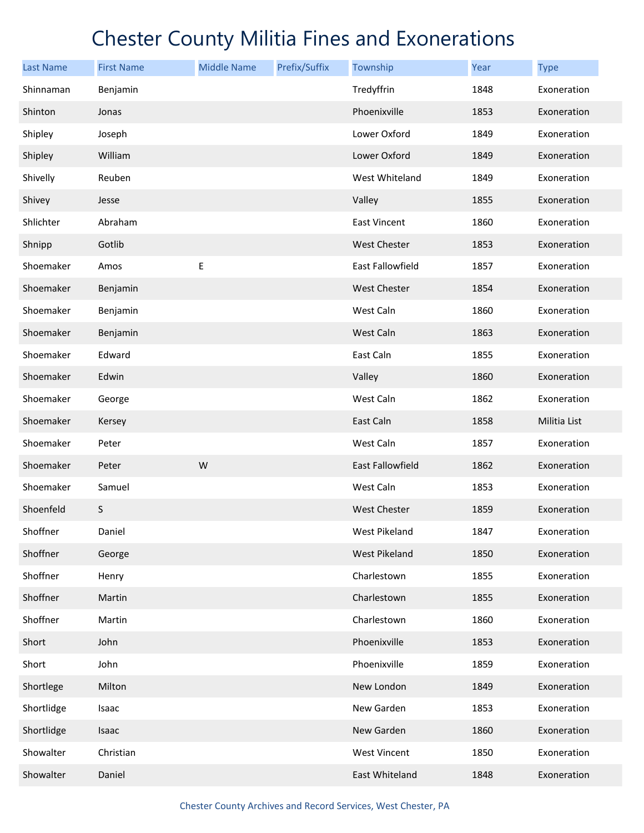| <b>Last Name</b> | <b>First Name</b> | <b>Middle Name</b> | Prefix/Suffix | Township                | Year | <b>Type</b>  |
|------------------|-------------------|--------------------|---------------|-------------------------|------|--------------|
| Shinnaman        | Benjamin          |                    |               | Tredyffrin              | 1848 | Exoneration  |
| Shinton          | Jonas             |                    |               | Phoenixville            | 1853 | Exoneration  |
| Shipley          | Joseph            |                    |               | Lower Oxford            | 1849 | Exoneration  |
| Shipley          | William           |                    |               | Lower Oxford            | 1849 | Exoneration  |
| Shivelly         | Reuben            |                    |               | West Whiteland          | 1849 | Exoneration  |
| Shivey           | Jesse             |                    |               | Valley                  | 1855 | Exoneration  |
| Shlichter        | Abraham           |                    |               | East Vincent            | 1860 | Exoneration  |
| Shnipp           | Gotlib            |                    |               | <b>West Chester</b>     | 1853 | Exoneration  |
| Shoemaker        | Amos              | Е                  |               | East Fallowfield        | 1857 | Exoneration  |
| Shoemaker        | Benjamin          |                    |               | West Chester            | 1854 | Exoneration  |
| Shoemaker        | Benjamin          |                    |               | West Caln               | 1860 | Exoneration  |
| Shoemaker        | Benjamin          |                    |               | West Caln               | 1863 | Exoneration  |
| Shoemaker        | Edward            |                    |               | East Caln               | 1855 | Exoneration  |
| Shoemaker        | Edwin             |                    |               | Valley                  | 1860 | Exoneration  |
| Shoemaker        | George            |                    |               | West Caln               | 1862 | Exoneration  |
| Shoemaker        | Kersey            |                    |               | East Caln               | 1858 | Militia List |
| Shoemaker        | Peter             |                    |               | West Caln               | 1857 | Exoneration  |
| Shoemaker        | Peter             | W                  |               | <b>East Fallowfield</b> | 1862 | Exoneration  |
| Shoemaker        | Samuel            |                    |               | West Caln               | 1853 | Exoneration  |
| Shoenfeld        | S                 |                    |               | <b>West Chester</b>     | 1859 | Exoneration  |
| Shoffner         | Daniel            |                    |               | West Pikeland           | 1847 | Exoneration  |
| Shoffner         | George            |                    |               | <b>West Pikeland</b>    | 1850 | Exoneration  |
| Shoffner         | Henry             |                    |               | Charlestown             | 1855 | Exoneration  |
| Shoffner         | Martin            |                    |               | Charlestown             | 1855 | Exoneration  |
| Shoffner         | Martin            |                    |               | Charlestown             | 1860 | Exoneration  |
| Short            | John              |                    |               | Phoenixville            | 1853 | Exoneration  |
| Short            | John              |                    |               | Phoenixville            | 1859 | Exoneration  |
| Shortlege        | Milton            |                    |               | New London              | 1849 | Exoneration  |
| Shortlidge       | Isaac             |                    |               | New Garden              | 1853 | Exoneration  |
| Shortlidge       | Isaac             |                    |               | New Garden              | 1860 | Exoneration  |
| Showalter        | Christian         |                    |               | <b>West Vincent</b>     | 1850 | Exoneration  |
| Showalter        | Daniel            |                    |               | East Whiteland          | 1848 | Exoneration  |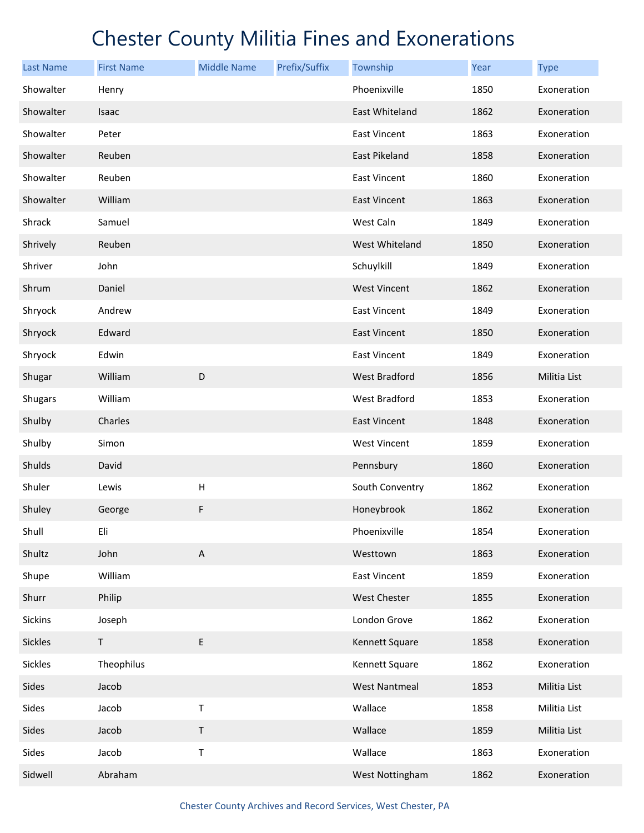| <b>Last Name</b> | <b>First Name</b> | <b>Middle Name</b>        | Prefix/Suffix | Township             | Year | <b>Type</b>  |
|------------------|-------------------|---------------------------|---------------|----------------------|------|--------------|
| Showalter        | Henry             |                           |               | Phoenixville         | 1850 | Exoneration  |
| Showalter        | Isaac             |                           |               | East Whiteland       | 1862 | Exoneration  |
| Showalter        | Peter             |                           |               | <b>East Vincent</b>  | 1863 | Exoneration  |
| Showalter        | Reuben            |                           |               | East Pikeland        | 1858 | Exoneration  |
| Showalter        | Reuben            |                           |               | <b>East Vincent</b>  | 1860 | Exoneration  |
| Showalter        | William           |                           |               | East Vincent         | 1863 | Exoneration  |
| Shrack           | Samuel            |                           |               | West Caln            | 1849 | Exoneration  |
| Shrively         | Reuben            |                           |               | West Whiteland       | 1850 | Exoneration  |
| Shriver          | John              |                           |               | Schuylkill           | 1849 | Exoneration  |
| Shrum            | Daniel            |                           |               | <b>West Vincent</b>  | 1862 | Exoneration  |
| Shryock          | Andrew            |                           |               | <b>East Vincent</b>  | 1849 | Exoneration  |
| Shryock          | Edward            |                           |               | <b>East Vincent</b>  | 1850 | Exoneration  |
| Shryock          | Edwin             |                           |               | <b>East Vincent</b>  | 1849 | Exoneration  |
| Shugar           | William           | D                         |               | West Bradford        | 1856 | Militia List |
| <b>Shugars</b>   | William           |                           |               | West Bradford        | 1853 | Exoneration  |
| Shulby           | Charles           |                           |               | <b>East Vincent</b>  | 1848 | Exoneration  |
| Shulby           | Simon             |                           |               | <b>West Vincent</b>  | 1859 | Exoneration  |
| Shulds           | David             |                           |               | Pennsbury            | 1860 | Exoneration  |
| Shuler           | Lewis             | $\boldsymbol{\mathsf{H}}$ |               | South Conventry      | 1862 | Exoneration  |
| Shuley           | George            | F                         |               | Honeybrook           | 1862 | Exoneration  |
| Shull            | Eli               |                           |               | Phoenixville         | 1854 | Exoneration  |
| Shultz           | John              | A                         |               | Westtown             | 1863 | Exoneration  |
| Shupe            | William           |                           |               | East Vincent         | 1859 | Exoneration  |
| Shurr            | Philip            |                           |               | <b>West Chester</b>  | 1855 | Exoneration  |
| Sickins          | Joseph            |                           |               | London Grove         | 1862 | Exoneration  |
| <b>Sickles</b>   | $\mathsf T$       | $\mathsf E$               |               | Kennett Square       | 1858 | Exoneration  |
| Sickles          | Theophilus        |                           |               | Kennett Square       | 1862 | Exoneration  |
| Sides            | Jacob             |                           |               | <b>West Nantmeal</b> | 1853 | Militia List |
| Sides            | Jacob             | Τ                         |               | Wallace              | 1858 | Militia List |
| Sides            | Jacob             | $\mathsf T$               |               | Wallace              | 1859 | Militia List |
| Sides            | Jacob             | T                         |               | Wallace              | 1863 | Exoneration  |
| Sidwell          | Abraham           |                           |               | West Nottingham      | 1862 | Exoneration  |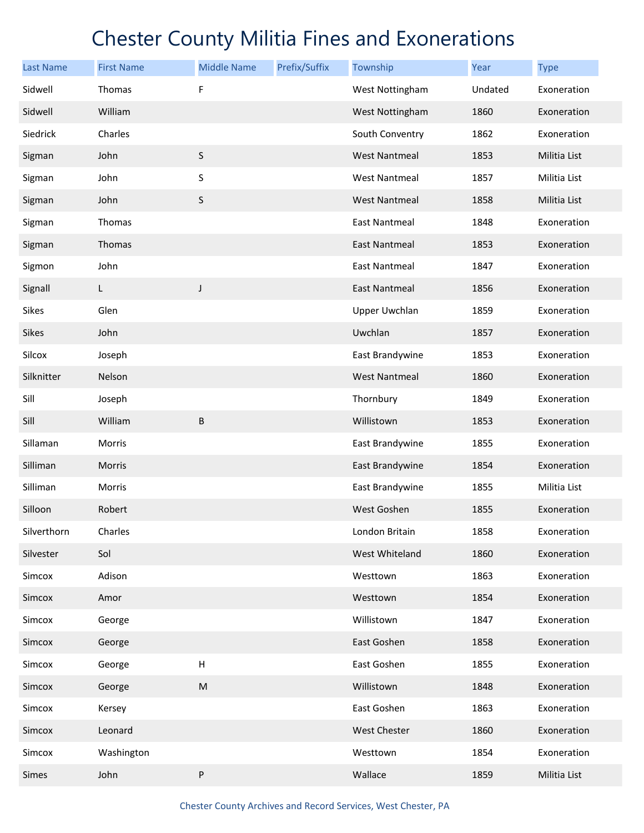| <b>Last Name</b> | <b>First Name</b> | <b>Middle Name</b> | Prefix/Suffix | Township             | Year    | <b>Type</b>  |
|------------------|-------------------|--------------------|---------------|----------------------|---------|--------------|
| Sidwell          | Thomas            | F                  |               | West Nottingham      | Undated | Exoneration  |
| Sidwell          | William           |                    |               | West Nottingham      | 1860    | Exoneration  |
| Siedrick         | Charles           |                    |               | South Conventry      | 1862    | Exoneration  |
| Sigman           | John              | $\sf S$            |               | <b>West Nantmeal</b> | 1853    | Militia List |
| Sigman           | John              | S                  |               | <b>West Nantmeal</b> | 1857    | Militia List |
| Sigman           | John              | $\sf S$            |               | <b>West Nantmeal</b> | 1858    | Militia List |
| Sigman           | Thomas            |                    |               | <b>East Nantmeal</b> | 1848    | Exoneration  |
| Sigman           | Thomas            |                    |               | <b>East Nantmeal</b> | 1853    | Exoneration  |
| Sigmon           | John              |                    |               | <b>East Nantmeal</b> | 1847    | Exoneration  |
| Signall          | L                 | J                  |               | East Nantmeal        | 1856    | Exoneration  |
| <b>Sikes</b>     | Glen              |                    |               | <b>Upper Uwchlan</b> | 1859    | Exoneration  |
| <b>Sikes</b>     | John              |                    |               | Uwchlan              | 1857    | Exoneration  |
| Silcox           | Joseph            |                    |               | East Brandywine      | 1853    | Exoneration  |
| Silknitter       | Nelson            |                    |               | <b>West Nantmeal</b> | 1860    | Exoneration  |
| Sill             | Joseph            |                    |               | Thornbury            | 1849    | Exoneration  |
| Sill             | William           | B                  |               | Willistown           | 1853    | Exoneration  |
| Sillaman         | Morris            |                    |               | East Brandywine      | 1855    | Exoneration  |
| Silliman         | Morris            |                    |               | East Brandywine      | 1854    | Exoneration  |
| Silliman         | Morris            |                    |               | East Brandywine      | 1855    | Militia List |
| Silloon          | Robert            |                    |               | West Goshen          | 1855    | Exoneration  |
| Silverthorn      | Charles           |                    |               | London Britain       | 1858    | Exoneration  |
| Silvester        | Sol               |                    |               | West Whiteland       | 1860    | Exoneration  |
| Simcox           | Adison            |                    |               | Westtown             | 1863    | Exoneration  |
| Simcox           | Amor              |                    |               | Westtown             | 1854    | Exoneration  |
| Simcox           | George            |                    |               | Willistown           | 1847    | Exoneration  |
| Simcox           | George            |                    |               | East Goshen          | 1858    | Exoneration  |
| Simcox           | George            | $\sf H$            |               | East Goshen          | 1855    | Exoneration  |
| Simcox           | George            | ${\sf M}$          |               | Willistown           | 1848    | Exoneration  |
| Simcox           | Kersey            |                    |               | East Goshen          | 1863    | Exoneration  |
| Simcox           | Leonard           |                    |               | <b>West Chester</b>  | 1860    | Exoneration  |
| Simcox           | Washington        |                    |               | Westtown             | 1854    | Exoneration  |
| Simes            | John              | ${\sf P}$          |               | Wallace              | 1859    | Militia List |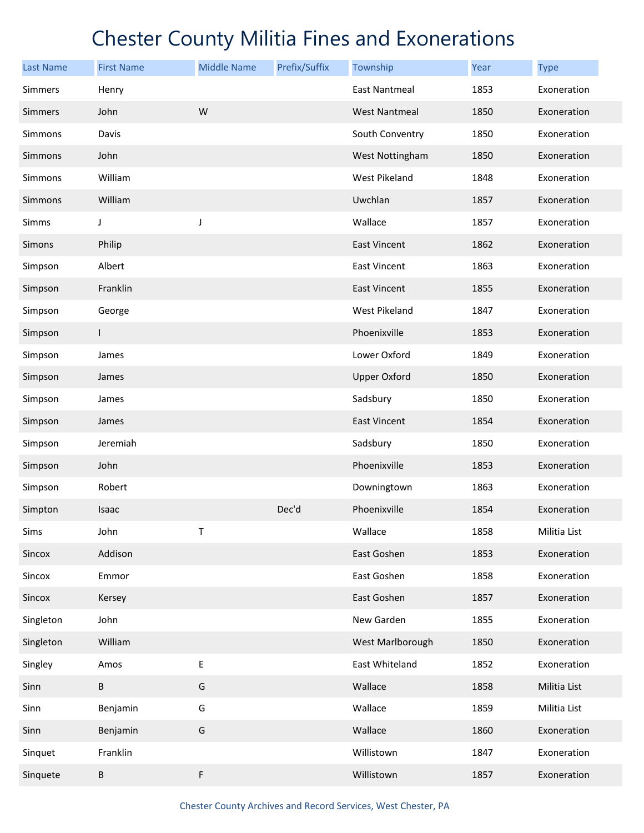| <b>Last Name</b> | <b>First Name</b> | <b>Middle Name</b> | Prefix/Suffix | Township             | Year | <b>Type</b>  |
|------------------|-------------------|--------------------|---------------|----------------------|------|--------------|
| <b>Simmers</b>   | Henry             |                    |               | <b>East Nantmeal</b> | 1853 | Exoneration  |
| <b>Simmers</b>   | John              | W                  |               | <b>West Nantmeal</b> | 1850 | Exoneration  |
| <b>Simmons</b>   | Davis             |                    |               | South Conventry      | 1850 | Exoneration  |
| Simmons          | John              |                    |               | West Nottingham      | 1850 | Exoneration  |
| Simmons          | William           |                    |               | <b>West Pikeland</b> | 1848 | Exoneration  |
| <b>Simmons</b>   | William           |                    |               | Uwchlan              | 1857 | Exoneration  |
| Simms            | J                 | J                  |               | Wallace              | 1857 | Exoneration  |
| Simons           | Philip            |                    |               | <b>East Vincent</b>  | 1862 | Exoneration  |
| Simpson          | Albert            |                    |               | <b>East Vincent</b>  | 1863 | Exoneration  |
| Simpson          | Franklin          |                    |               | <b>East Vincent</b>  | 1855 | Exoneration  |
| Simpson          | George            |                    |               | West Pikeland        | 1847 | Exoneration  |
| Simpson          | T.                |                    |               | Phoenixville         | 1853 | Exoneration  |
| Simpson          | James             |                    |               | Lower Oxford         | 1849 | Exoneration  |
| Simpson          | James             |                    |               | <b>Upper Oxford</b>  | 1850 | Exoneration  |
| Simpson          | James             |                    |               | Sadsbury             | 1850 | Exoneration  |
| Simpson          | James             |                    |               | <b>East Vincent</b>  | 1854 | Exoneration  |
| Simpson          | Jeremiah          |                    |               | Sadsbury             | 1850 | Exoneration  |
| Simpson          | John              |                    |               | Phoenixville         | 1853 | Exoneration  |
| Simpson          | Robert            |                    |               | Downingtown          | 1863 | Exoneration  |
| Simpton          | Isaac             |                    | Dec'd         | Phoenixville         | 1854 | Exoneration  |
| Sims             | John              | Τ                  |               | Wallace              | 1858 | Militia List |
| Sincox           | Addison           |                    |               | East Goshen          | 1853 | Exoneration  |
| Sincox           | Emmor             |                    |               | East Goshen          | 1858 | Exoneration  |
| Sincox           | Kersey            |                    |               | East Goshen          | 1857 | Exoneration  |
| Singleton        | John              |                    |               | New Garden           | 1855 | Exoneration  |
| Singleton        | William           |                    |               | West Marlborough     | 1850 | Exoneration  |
| Singley          | Amos              | $\sf E$            |               | East Whiteland       | 1852 | Exoneration  |
| Sinn             | $\sf B$           | G                  |               | Wallace              | 1858 | Militia List |
| Sinn             | Benjamin          | G                  |               | Wallace              | 1859 | Militia List |
| Sinn             | Benjamin          | G                  |               | Wallace              | 1860 | Exoneration  |
| Sinquet          | Franklin          |                    |               | Willistown           | 1847 | Exoneration  |
| Sinquete         | B                 | $\mathsf F$        |               | Willistown           | 1857 | Exoneration  |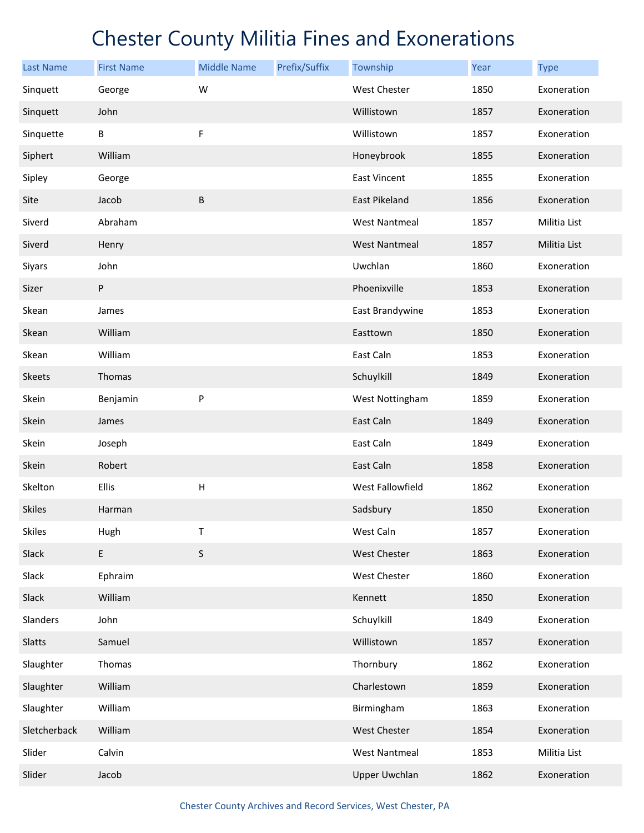| <b>Last Name</b> | <b>First Name</b> | <b>Middle Name</b>        | Prefix/Suffix | Township             | Year | <b>Type</b>  |
|------------------|-------------------|---------------------------|---------------|----------------------|------|--------------|
| Sinquett         | George            | W                         |               | West Chester         | 1850 | Exoneration  |
| Sinquett         | John              |                           |               | Willistown           | 1857 | Exoneration  |
| Sinquette        | B                 | F                         |               | Willistown           | 1857 | Exoneration  |
| Siphert          | William           |                           |               | Honeybrook           | 1855 | Exoneration  |
| Sipley           | George            |                           |               | <b>East Vincent</b>  | 1855 | Exoneration  |
| Site             | Jacob             | $\sf B$                   |               | East Pikeland        | 1856 | Exoneration  |
| Siverd           | Abraham           |                           |               | <b>West Nantmeal</b> | 1857 | Militia List |
| Siverd           | Henry             |                           |               | <b>West Nantmeal</b> | 1857 | Militia List |
| Siyars           | John              |                           |               | Uwchlan              | 1860 | Exoneration  |
| Sizer            | P                 |                           |               | Phoenixville         | 1853 | Exoneration  |
| Skean            | James             |                           |               | East Brandywine      | 1853 | Exoneration  |
| Skean            | William           |                           |               | Easttown             | 1850 | Exoneration  |
| Skean            | William           |                           |               | East Caln            | 1853 | Exoneration  |
| Skeets           | Thomas            |                           |               | Schuylkill           | 1849 | Exoneration  |
| Skein            | Benjamin          | P                         |               | West Nottingham      | 1859 | Exoneration  |
| Skein            | James             |                           |               | East Caln            | 1849 | Exoneration  |
| Skein            | Joseph            |                           |               | East Caln            | 1849 | Exoneration  |
| Skein            | Robert            |                           |               | East Caln            | 1858 | Exoneration  |
| Skelton          | <b>Ellis</b>      | $\boldsymbol{\mathsf{H}}$ |               | West Fallowfield     | 1862 | Exoneration  |
| <b>Skiles</b>    | Harman            |                           |               | Sadsbury             | 1850 | Exoneration  |
| <b>Skiles</b>    | Hugh              | T                         |               | West Caln            | 1857 | Exoneration  |
| Slack            | $\mathsf E$       | $\sf S$                   |               | West Chester         | 1863 | Exoneration  |
| Slack            | Ephraim           |                           |               | West Chester         | 1860 | Exoneration  |
| Slack            | William           |                           |               | Kennett              | 1850 | Exoneration  |
| Slanders         | John              |                           |               | Schuylkill           | 1849 | Exoneration  |
| Slatts           | Samuel            |                           |               | Willistown           | 1857 | Exoneration  |
| Slaughter        | Thomas            |                           |               | Thornbury            | 1862 | Exoneration  |
| Slaughter        | William           |                           |               | Charlestown          | 1859 | Exoneration  |
| Slaughter        | William           |                           |               | Birmingham           | 1863 | Exoneration  |
| Sletcherback     | William           |                           |               | West Chester         | 1854 | Exoneration  |
| Slider           | Calvin            |                           |               | <b>West Nantmeal</b> | 1853 | Militia List |
| Slider           | Jacob             |                           |               | <b>Upper Uwchlan</b> | 1862 | Exoneration  |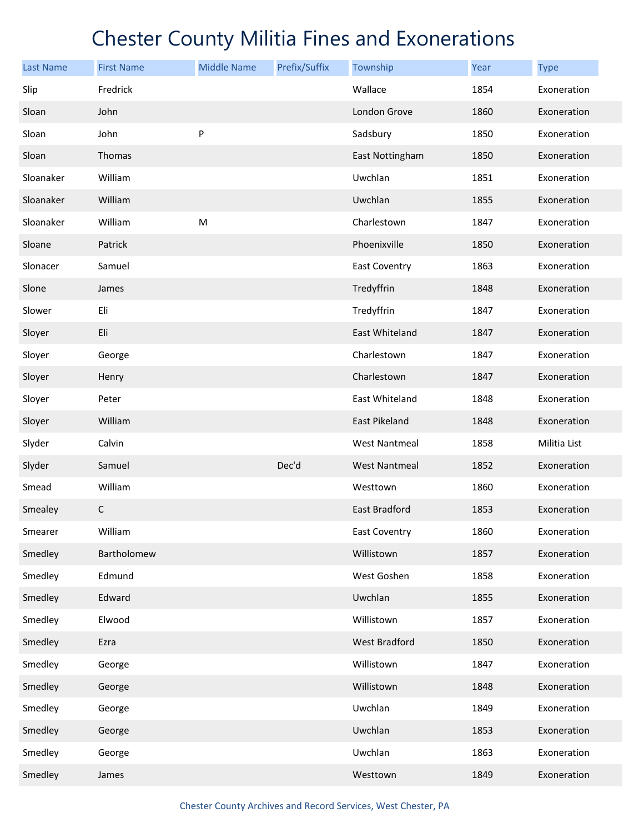| <b>Last Name</b> | <b>First Name</b> | <b>Middle Name</b> | Prefix/Suffix | Township             | <b>Year</b> | <b>Type</b>  |
|------------------|-------------------|--------------------|---------------|----------------------|-------------|--------------|
| Slip             | Fredrick          |                    |               | Wallace              | 1854        | Exoneration  |
| Sloan            | John              |                    |               | London Grove         | 1860        | Exoneration  |
| Sloan            | John              | P                  |               | Sadsbury             | 1850        | Exoneration  |
| Sloan            | Thomas            |                    |               | East Nottingham      | 1850        | Exoneration  |
| Sloanaker        | William           |                    |               | Uwchlan              | 1851        | Exoneration  |
| Sloanaker        | William           |                    |               | Uwchlan              | 1855        | Exoneration  |
| Sloanaker        | William           | ${\sf M}$          |               | Charlestown          | 1847        | Exoneration  |
| Sloane           | Patrick           |                    |               | Phoenixville         | 1850        | Exoneration  |
| Slonacer         | Samuel            |                    |               | <b>East Coventry</b> | 1863        | Exoneration  |
| Slone            | James             |                    |               | Tredyffrin           | 1848        | Exoneration  |
| Slower           | Eli               |                    |               | Tredyffrin           | 1847        | Exoneration  |
| Sloyer           | Eli               |                    |               | East Whiteland       | 1847        | Exoneration  |
| Sloyer           | George            |                    |               | Charlestown          | 1847        | Exoneration  |
| Sloyer           | Henry             |                    |               | Charlestown          | 1847        | Exoneration  |
| Sloyer           | Peter             |                    |               | East Whiteland       | 1848        | Exoneration  |
| Sloyer           | William           |                    |               | East Pikeland        | 1848        | Exoneration  |
| Slyder           | Calvin            |                    |               | <b>West Nantmeal</b> | 1858        | Militia List |
| Slyder           | Samuel            |                    | Dec'd         | <b>West Nantmeal</b> | 1852        | Exoneration  |
| Smead            | William           |                    |               | Westtown             | 1860        | Exoneration  |
| Smealey          | $\mathsf C$       |                    |               | <b>East Bradford</b> | 1853        | Exoneration  |
| Smearer          | William           |                    |               | <b>East Coventry</b> | 1860        | Exoneration  |
| Smedley          | Bartholomew       |                    |               | Willistown           | 1857        | Exoneration  |
| Smedley          | Edmund            |                    |               | West Goshen          | 1858        | Exoneration  |
| Smedley          | Edward            |                    |               | Uwchlan              | 1855        | Exoneration  |
| Smedley          | Elwood            |                    |               | Willistown           | 1857        | Exoneration  |
| Smedley          | Ezra              |                    |               | <b>West Bradford</b> | 1850        | Exoneration  |
| Smedley          | George            |                    |               | Willistown           | 1847        | Exoneration  |
| Smedley          | George            |                    |               | Willistown           | 1848        | Exoneration  |
| Smedley          | George            |                    |               | Uwchlan              | 1849        | Exoneration  |
| Smedley          | George            |                    |               | Uwchlan              | 1853        | Exoneration  |
| Smedley          | George            |                    |               | Uwchlan              | 1863        | Exoneration  |
| Smedley          | James             |                    |               | Westtown             | 1849        | Exoneration  |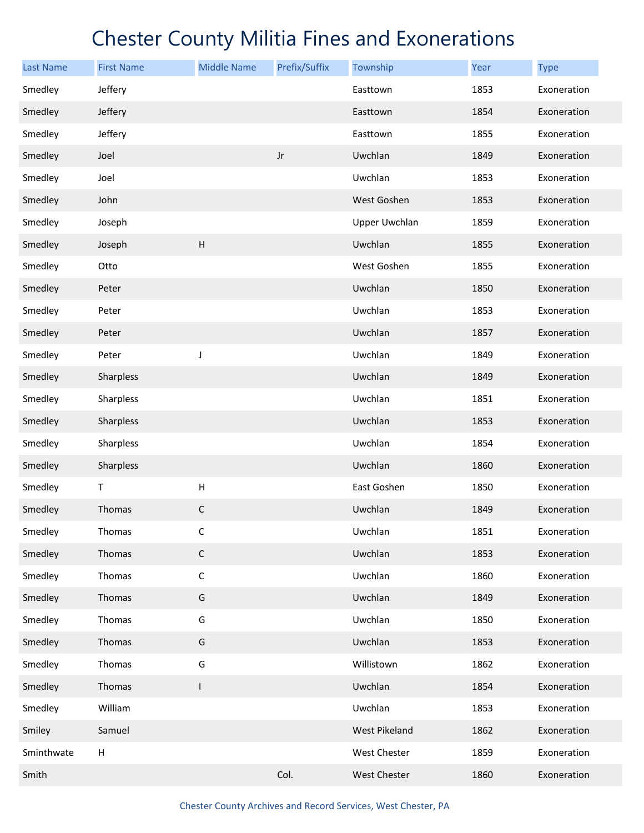| <b>Last Name</b> | <b>First Name</b> | <b>Middle Name</b>        | Prefix/Suffix | Township             | Year | <b>Type</b> |
|------------------|-------------------|---------------------------|---------------|----------------------|------|-------------|
| Smedley          | Jeffery           |                           |               | Easttown             | 1853 | Exoneration |
| Smedley          | Jeffery           |                           |               | Easttown             | 1854 | Exoneration |
| Smedley          | Jeffery           |                           |               | Easttown             | 1855 | Exoneration |
| Smedley          | Joel              |                           | $_{\rm Jr}$   | Uwchlan              | 1849 | Exoneration |
| Smedley          | Joel              |                           |               | Uwchlan              | 1853 | Exoneration |
| Smedley          | John              |                           |               | West Goshen          | 1853 | Exoneration |
| Smedley          | Joseph            |                           |               | <b>Upper Uwchlan</b> | 1859 | Exoneration |
| Smedley          | Joseph            | $\boldsymbol{\mathsf{H}}$ |               | Uwchlan              | 1855 | Exoneration |
| Smedley          | Otto              |                           |               | West Goshen          | 1855 | Exoneration |
| Smedley          | Peter             |                           |               | Uwchlan              | 1850 | Exoneration |
| Smedley          | Peter             |                           |               | Uwchlan              | 1853 | Exoneration |
| Smedley          | Peter             |                           |               | Uwchlan              | 1857 | Exoneration |
| Smedley          | Peter             | J                         |               | Uwchlan              | 1849 | Exoneration |
| Smedley          | Sharpless         |                           |               | Uwchlan              | 1849 | Exoneration |
| Smedley          | Sharpless         |                           |               | Uwchlan              | 1851 | Exoneration |
| Smedley          | Sharpless         |                           |               | Uwchlan              | 1853 | Exoneration |
| Smedley          | Sharpless         |                           |               | Uwchlan              | 1854 | Exoneration |
| Smedley          | Sharpless         |                           |               | Uwchlan              | 1860 | Exoneration |
| Smedley          | T                 | $\boldsymbol{\mathsf{H}}$ |               | East Goshen          | 1850 | Exoneration |
| Smedley          | Thomas            | $\mathsf C$               |               | Uwchlan              | 1849 | Exoneration |
| Smedley          | Thomas            | С                         |               | Uwchlan              | 1851 | Exoneration |
| Smedley          | Thomas            | $\mathsf C$               |               | Uwchlan              | 1853 | Exoneration |
| Smedley          | Thomas            | $\mathsf C$               |               | Uwchlan              | 1860 | Exoneration |
| Smedley          | Thomas            | ${\mathsf G}$             |               | Uwchlan              | 1849 | Exoneration |
| Smedley          | Thomas            | G                         |               | Uwchlan              | 1850 | Exoneration |
| Smedley          | Thomas            | G                         |               | Uwchlan              | 1853 | Exoneration |
| Smedley          | Thomas            | G                         |               | Willistown           | 1862 | Exoneration |
| Smedley          | Thomas            | $\mathsf I$               |               | Uwchlan              | 1854 | Exoneration |
| Smedley          | William           |                           |               | Uwchlan              | 1853 | Exoneration |
| Smiley           | Samuel            |                           |               | West Pikeland        | 1862 | Exoneration |
| Sminthwate       | Н                 |                           |               | West Chester         | 1859 | Exoneration |
| Smith            |                   |                           | Col.          | West Chester         | 1860 | Exoneration |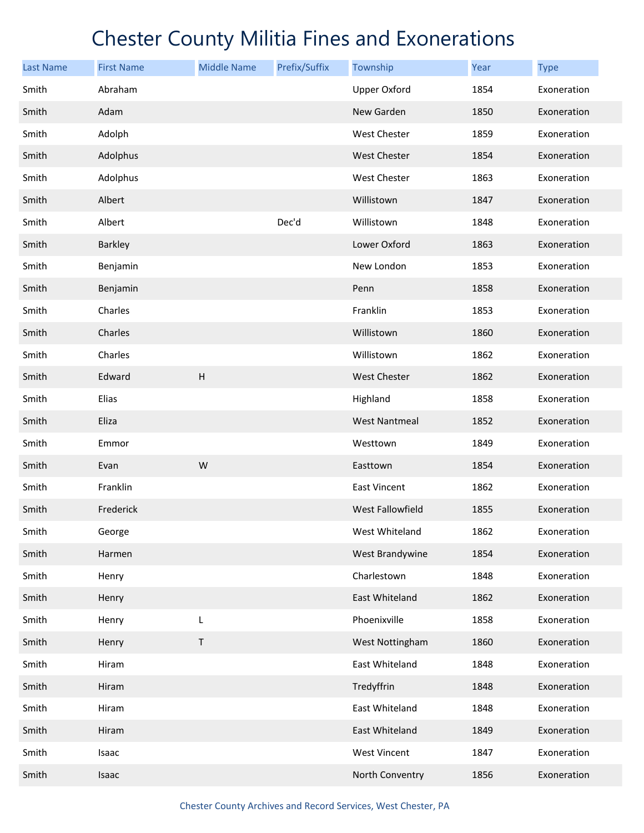| <b>Last Name</b> | <b>First Name</b> | <b>Middle Name</b> | Prefix/Suffix | Township             | <b>Year</b> | <b>Type</b> |
|------------------|-------------------|--------------------|---------------|----------------------|-------------|-------------|
| Smith            | Abraham           |                    |               | <b>Upper Oxford</b>  | 1854        | Exoneration |
| Smith            | Adam              |                    |               | New Garden           | 1850        | Exoneration |
| Smith            | Adolph            |                    |               | West Chester         | 1859        | Exoneration |
| Smith            | Adolphus          |                    |               | <b>West Chester</b>  | 1854        | Exoneration |
| Smith            | Adolphus          |                    |               | <b>West Chester</b>  | 1863        | Exoneration |
| Smith            | Albert            |                    |               | Willistown           | 1847        | Exoneration |
| Smith            | Albert            |                    | Dec'd         | Willistown           | 1848        | Exoneration |
| Smith            | Barkley           |                    |               | Lower Oxford         | 1863        | Exoneration |
| Smith            | Benjamin          |                    |               | New London           | 1853        | Exoneration |
| Smith            | Benjamin          |                    |               | Penn                 | 1858        | Exoneration |
| Smith            | Charles           |                    |               | Franklin             | 1853        | Exoneration |
| Smith            | Charles           |                    |               | Willistown           | 1860        | Exoneration |
| Smith            | Charles           |                    |               | Willistown           | 1862        | Exoneration |
| Smith            | Edward            | H                  |               | <b>West Chester</b>  | 1862        | Exoneration |
| Smith            | Elias             |                    |               | Highland             | 1858        | Exoneration |
| Smith            | Eliza             |                    |               | <b>West Nantmeal</b> | 1852        | Exoneration |
| Smith            | Emmor             |                    |               | Westtown             | 1849        | Exoneration |
| Smith            | Evan              | W                  |               | Easttown             | 1854        | Exoneration |
| Smith            | Franklin          |                    |               | <b>East Vincent</b>  | 1862        | Exoneration |
| Smith            | Frederick         |                    |               | West Fallowfield     | 1855        | Exoneration |
| Smith            | George            |                    |               | West Whiteland       | 1862        | Exoneration |
| Smith            | Harmen            |                    |               | West Brandywine      | 1854        | Exoneration |
| Smith            | Henry             |                    |               | Charlestown          | 1848        | Exoneration |
| Smith            | Henry             |                    |               | East Whiteland       | 1862        | Exoneration |
| Smith            | Henry             | L                  |               | Phoenixville         | 1858        | Exoneration |
| Smith            | Henry             | T                  |               | West Nottingham      | 1860        | Exoneration |
| Smith            | Hiram             |                    |               | East Whiteland       | 1848        | Exoneration |
| Smith            | Hiram             |                    |               | Tredyffrin           | 1848        | Exoneration |
| Smith            | Hiram             |                    |               | East Whiteland       | 1848        | Exoneration |
| Smith            | Hiram             |                    |               | East Whiteland       | 1849        | Exoneration |
| Smith            | Isaac             |                    |               | West Vincent         | 1847        | Exoneration |
| Smith            | Isaac             |                    |               | North Conventry      | 1856        | Exoneration |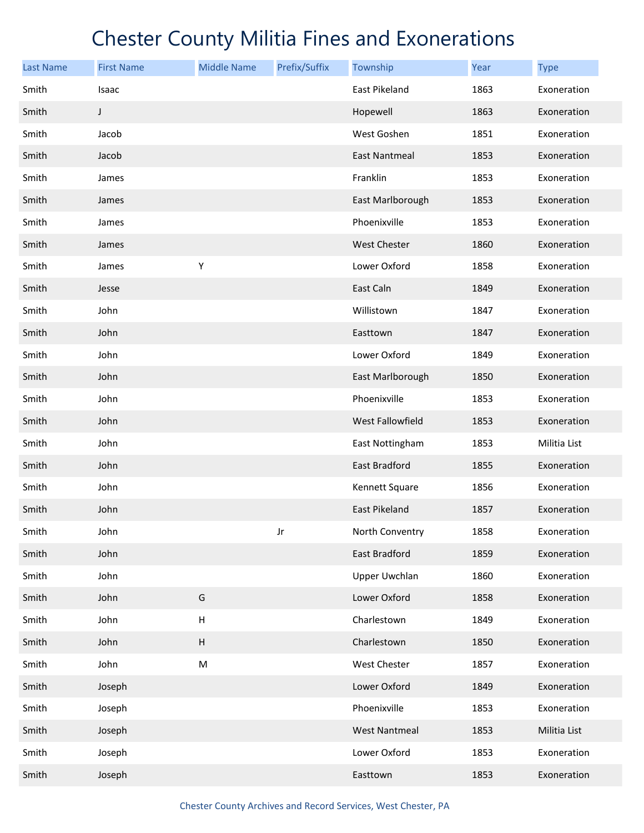| <b>Last Name</b> | <b>First Name</b> | <b>Middle Name</b> | Prefix/Suffix | Township             | <b>Year</b> | <b>Type</b>  |
|------------------|-------------------|--------------------|---------------|----------------------|-------------|--------------|
| Smith            | Isaac             |                    |               | <b>East Pikeland</b> | 1863        | Exoneration  |
| Smith            | J                 |                    |               | Hopewell             | 1863        | Exoneration  |
| Smith            | Jacob             |                    |               | West Goshen          | 1851        | Exoneration  |
| Smith            | Jacob             |                    |               | <b>East Nantmeal</b> | 1853        | Exoneration  |
| Smith            | James             |                    |               | Franklin             | 1853        | Exoneration  |
| Smith            | James             |                    |               | East Marlborough     | 1853        | Exoneration  |
| Smith            | James             |                    |               | Phoenixville         | 1853        | Exoneration  |
| Smith            | James             |                    |               | <b>West Chester</b>  | 1860        | Exoneration  |
| Smith            | James             | Υ                  |               | Lower Oxford         | 1858        | Exoneration  |
| Smith            | Jesse             |                    |               | East Caln            | 1849        | Exoneration  |
| Smith            | John              |                    |               | Willistown           | 1847        | Exoneration  |
| Smith            | John              |                    |               | Easttown             | 1847        | Exoneration  |
| Smith            | John              |                    |               | Lower Oxford         | 1849        | Exoneration  |
| Smith            | John              |                    |               | East Marlborough     | 1850        | Exoneration  |
| Smith            | John              |                    |               | Phoenixville         | 1853        | Exoneration  |
| Smith            | John              |                    |               | West Fallowfield     | 1853        | Exoneration  |
| Smith            | John              |                    |               | East Nottingham      | 1853        | Militia List |
| Smith            | John              |                    |               | East Bradford        | 1855        | Exoneration  |
| Smith            | John              |                    |               | Kennett Square       | 1856        | Exoneration  |
| Smith            | John              |                    |               | <b>East Pikeland</b> | 1857        | Exoneration  |
| Smith            | John              |                    | Jr            | North Conventry      | 1858        | Exoneration  |
| Smith            | John              |                    |               | East Bradford        | 1859        | Exoneration  |
| Smith            | John              |                    |               | <b>Upper Uwchlan</b> | 1860        | Exoneration  |
| Smith            | John              | G                  |               | Lower Oxford         | 1858        | Exoneration  |
| Smith            | John              | Н                  |               | Charlestown          | 1849        | Exoneration  |
| Smith            | John              | $\sf H$            |               | Charlestown          | 1850        | Exoneration  |
| Smith            | John              | ${\sf M}$          |               | West Chester         | 1857        | Exoneration  |
| Smith            | Joseph            |                    |               | Lower Oxford         | 1849        | Exoneration  |
| Smith            | Joseph            |                    |               | Phoenixville         | 1853        | Exoneration  |
| Smith            | Joseph            |                    |               | <b>West Nantmeal</b> | 1853        | Militia List |
| Smith            | Joseph            |                    |               | Lower Oxford         | 1853        | Exoneration  |
| Smith            | Joseph            |                    |               | Easttown             | 1853        | Exoneration  |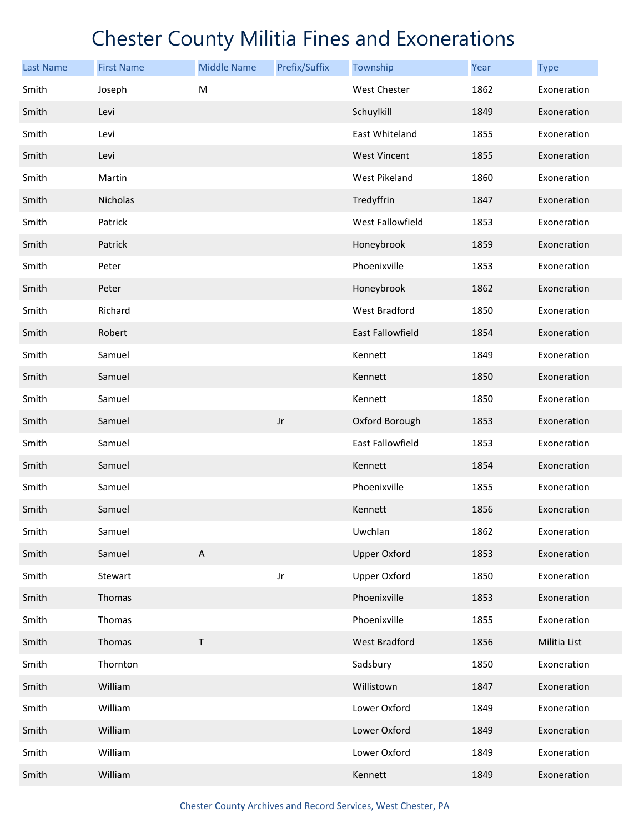| <b>Last Name</b> | <b>First Name</b> | <b>Middle Name</b> | Prefix/Suffix | Township                | Year | <b>Type</b>  |
|------------------|-------------------|--------------------|---------------|-------------------------|------|--------------|
| Smith            | Joseph            | M                  |               | <b>West Chester</b>     | 1862 | Exoneration  |
| Smith            | Levi              |                    |               | Schuylkill              | 1849 | Exoneration  |
| Smith            | Levi              |                    |               | East Whiteland          | 1855 | Exoneration  |
| Smith            | Levi              |                    |               | <b>West Vincent</b>     | 1855 | Exoneration  |
| Smith            | Martin            |                    |               | West Pikeland           | 1860 | Exoneration  |
| Smith            | Nicholas          |                    |               | Tredyffrin              | 1847 | Exoneration  |
| Smith            | Patrick           |                    |               | West Fallowfield        | 1853 | Exoneration  |
| Smith            | Patrick           |                    |               | Honeybrook              | 1859 | Exoneration  |
| Smith            | Peter             |                    |               | Phoenixville            | 1853 | Exoneration  |
| Smith            | Peter             |                    |               | Honeybrook              | 1862 | Exoneration  |
| Smith            | Richard           |                    |               | West Bradford           | 1850 | Exoneration  |
| Smith            | Robert            |                    |               | <b>East Fallowfield</b> | 1854 | Exoneration  |
| Smith            | Samuel            |                    |               | Kennett                 | 1849 | Exoneration  |
| Smith            | Samuel            |                    |               | Kennett                 | 1850 | Exoneration  |
| Smith            | Samuel            |                    |               | Kennett                 | 1850 | Exoneration  |
| Smith            | Samuel            |                    | $_{\rm Jr}$   | Oxford Borough          | 1853 | Exoneration  |
| Smith            | Samuel            |                    |               | East Fallowfield        | 1853 | Exoneration  |
| Smith            | Samuel            |                    |               | Kennett                 | 1854 | Exoneration  |
| Smith            | Samuel            |                    |               | Phoenixville            | 1855 | Exoneration  |
| Smith            | Samuel            |                    |               | Kennett                 | 1856 | Exoneration  |
| Smith            | Samuel            |                    |               | Uwchlan                 | 1862 | Exoneration  |
| Smith            | Samuel            | $\mathsf A$        |               | <b>Upper Oxford</b>     | 1853 | Exoneration  |
| Smith            | Stewart           |                    | Jr            | <b>Upper Oxford</b>     | 1850 | Exoneration  |
| Smith            | Thomas            |                    |               | Phoenixville            | 1853 | Exoneration  |
| Smith            | Thomas            |                    |               | Phoenixville            | 1855 | Exoneration  |
| Smith            | Thomas            | $\top$             |               | <b>West Bradford</b>    | 1856 | Militia List |
| Smith            | Thornton          |                    |               | Sadsbury                | 1850 | Exoneration  |
| Smith            | William           |                    |               | Willistown              | 1847 | Exoneration  |
| Smith            | William           |                    |               | Lower Oxford            | 1849 | Exoneration  |
| Smith            | William           |                    |               | Lower Oxford            | 1849 | Exoneration  |
| Smith            | William           |                    |               | Lower Oxford            | 1849 | Exoneration  |
| Smith            | William           |                    |               | Kennett                 | 1849 | Exoneration  |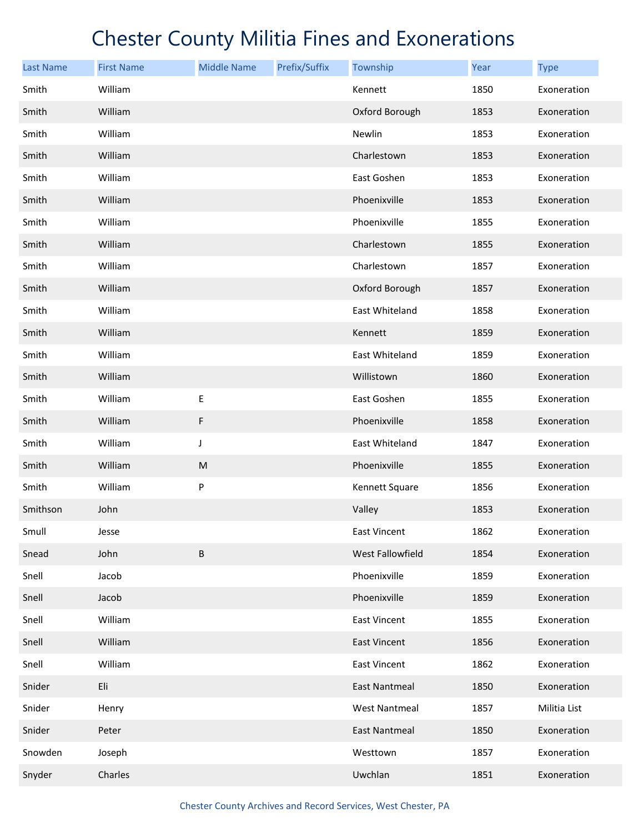| <b>Last Name</b> | <b>First Name</b> | <b>Middle Name</b> | Prefix/Suffix | Township             | Year | <b>Type</b>  |
|------------------|-------------------|--------------------|---------------|----------------------|------|--------------|
| Smith            | William           |                    |               | Kennett              | 1850 | Exoneration  |
| Smith            | William           |                    |               | Oxford Borough       | 1853 | Exoneration  |
| Smith            | William           |                    |               | Newlin               | 1853 | Exoneration  |
| Smith            | William           |                    |               | Charlestown          | 1853 | Exoneration  |
| Smith            | William           |                    |               | East Goshen          | 1853 | Exoneration  |
| Smith            | William           |                    |               | Phoenixville         | 1853 | Exoneration  |
| Smith            | William           |                    |               | Phoenixville         | 1855 | Exoneration  |
| Smith            | William           |                    |               | Charlestown          | 1855 | Exoneration  |
| Smith            | William           |                    |               | Charlestown          | 1857 | Exoneration  |
| Smith            | William           |                    |               | Oxford Borough       | 1857 | Exoneration  |
| Smith            | William           |                    |               | East Whiteland       | 1858 | Exoneration  |
| Smith            | William           |                    |               | Kennett              | 1859 | Exoneration  |
| Smith            | William           |                    |               | East Whiteland       | 1859 | Exoneration  |
| Smith            | William           |                    |               | Willistown           | 1860 | Exoneration  |
| Smith            | William           | E                  |               | East Goshen          | 1855 | Exoneration  |
| Smith            | William           | F                  |               | Phoenixville         | 1858 | Exoneration  |
| Smith            | William           | J                  |               | East Whiteland       | 1847 | Exoneration  |
| Smith            | William           | ${\sf M}$          |               | Phoenixville         | 1855 | Exoneration  |
| Smith            | William           | P                  |               | Kennett Square       | 1856 | Exoneration  |
| Smithson         | John              |                    |               | Valley               | 1853 | Exoneration  |
| Smull            | Jesse             |                    |               | <b>East Vincent</b>  | 1862 | Exoneration  |
| Snead            | John              | B                  |               | West Fallowfield     | 1854 | Exoneration  |
| Snell            | Jacob             |                    |               | Phoenixville         | 1859 | Exoneration  |
| Snell            | Jacob             |                    |               | Phoenixville         | 1859 | Exoneration  |
| Snell            | William           |                    |               | <b>East Vincent</b>  | 1855 | Exoneration  |
| Snell            | William           |                    |               | <b>East Vincent</b>  | 1856 | Exoneration  |
| Snell            | William           |                    |               | <b>East Vincent</b>  | 1862 | Exoneration  |
| Snider           | Eli               |                    |               | East Nantmeal        | 1850 | Exoneration  |
| Snider           | Henry             |                    |               | <b>West Nantmeal</b> | 1857 | Militia List |
| Snider           | Peter             |                    |               | East Nantmeal        | 1850 | Exoneration  |
| Snowden          | Joseph            |                    |               | Westtown             | 1857 | Exoneration  |
| Snyder           | Charles           |                    |               | Uwchlan              | 1851 | Exoneration  |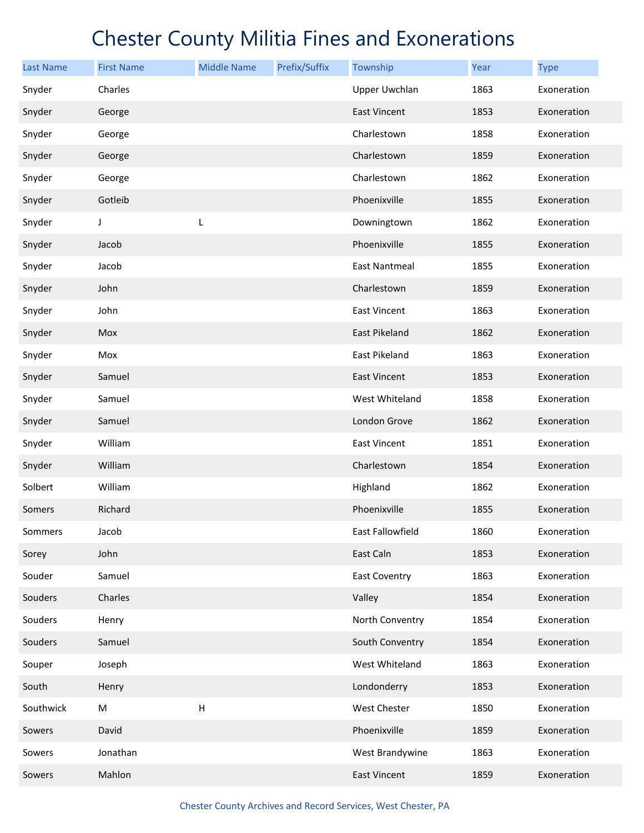| <b>Last Name</b> | <b>First Name</b> | <b>Middle Name</b>        | Prefix/Suffix | Township             | Year | <b>Type</b> |
|------------------|-------------------|---------------------------|---------------|----------------------|------|-------------|
| Snyder           | Charles           |                           |               | Upper Uwchlan        | 1863 | Exoneration |
| Snyder           | George            |                           |               | <b>East Vincent</b>  | 1853 | Exoneration |
| Snyder           | George            |                           |               | Charlestown          | 1858 | Exoneration |
| Snyder           | George            |                           |               | Charlestown          | 1859 | Exoneration |
| Snyder           | George            |                           |               | Charlestown          | 1862 | Exoneration |
| Snyder           | Gotleib           |                           |               | Phoenixville         | 1855 | Exoneration |
| Snyder           | J                 | L                         |               | Downingtown          | 1862 | Exoneration |
| Snyder           | Jacob             |                           |               | Phoenixville         | 1855 | Exoneration |
| Snyder           | Jacob             |                           |               | <b>East Nantmeal</b> | 1855 | Exoneration |
| Snyder           | John              |                           |               | Charlestown          | 1859 | Exoneration |
| Snyder           | John              |                           |               | <b>East Vincent</b>  | 1863 | Exoneration |
| Snyder           | Mox               |                           |               | East Pikeland        | 1862 | Exoneration |
| Snyder           | Mox               |                           |               | East Pikeland        | 1863 | Exoneration |
| Snyder           | Samuel            |                           |               | East Vincent         | 1853 | Exoneration |
| Snyder           | Samuel            |                           |               | West Whiteland       | 1858 | Exoneration |
| Snyder           | Samuel            |                           |               | London Grove         | 1862 | Exoneration |
| Snyder           | William           |                           |               | <b>East Vincent</b>  | 1851 | Exoneration |
| Snyder           | William           |                           |               | Charlestown          | 1854 | Exoneration |
| Solbert          | William           |                           |               | Highland             | 1862 | Exoneration |
| Somers           | Richard           |                           |               | Phoenixville         | 1855 | Exoneration |
| Sommers          | Jacob             |                           |               | East Fallowfield     | 1860 | Exoneration |
| Sorey            | John              |                           |               | East Caln            | 1853 | Exoneration |
| Souder           | Samuel            |                           |               | <b>East Coventry</b> | 1863 | Exoneration |
| Souders          | Charles           |                           |               | Valley               | 1854 | Exoneration |
| Souders          | Henry             |                           |               | North Conventry      | 1854 | Exoneration |
| Souders          | Samuel            |                           |               | South Conventry      | 1854 | Exoneration |
| Souper           | Joseph            |                           |               | West Whiteland       | 1863 | Exoneration |
| South            | Henry             |                           |               | Londonderry          | 1853 | Exoneration |
| Southwick        | M                 | $\boldsymbol{\mathsf{H}}$ |               | West Chester         | 1850 | Exoneration |
| Sowers           | David             |                           |               | Phoenixville         | 1859 | Exoneration |
| Sowers           | Jonathan          |                           |               | West Brandywine      | 1863 | Exoneration |
| Sowers           | Mahlon            |                           |               | <b>East Vincent</b>  | 1859 | Exoneration |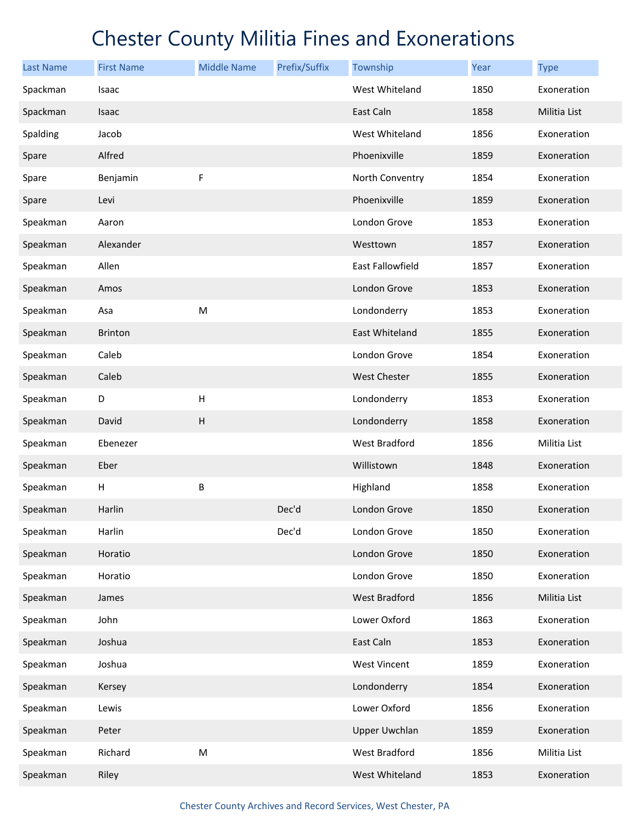| <b>Last Name</b> | <b>First Name</b> | <b>Middle Name</b>        | Prefix/Suffix | Township             | Year | <b>Type</b>  |
|------------------|-------------------|---------------------------|---------------|----------------------|------|--------------|
| Spackman         | Isaac             |                           |               | West Whiteland       | 1850 | Exoneration  |
| Spackman         | Isaac             |                           |               | East Caln            | 1858 | Militia List |
| Spalding         | Jacob             |                           |               | West Whiteland       | 1856 | Exoneration  |
| Spare            | Alfred            |                           |               | Phoenixville         | 1859 | Exoneration  |
| Spare            | Benjamin          | F                         |               | North Conventry      | 1854 | Exoneration  |
| Spare            | Levi              |                           |               | Phoenixville         | 1859 | Exoneration  |
| Speakman         | Aaron             |                           |               | London Grove         | 1853 | Exoneration  |
| Speakman         | Alexander         |                           |               | Westtown             | 1857 | Exoneration  |
| Speakman         | Allen             |                           |               | East Fallowfield     | 1857 | Exoneration  |
| Speakman         | Amos              |                           |               | London Grove         | 1853 | Exoneration  |
| Speakman         | Asa               | M                         |               | Londonderry          | 1853 | Exoneration  |
| Speakman         | <b>Brinton</b>    |                           |               | East Whiteland       | 1855 | Exoneration  |
| Speakman         | Caleb             |                           |               | London Grove         | 1854 | Exoneration  |
| Speakman         | Caleb             |                           |               | West Chester         | 1855 | Exoneration  |
| Speakman         | D                 | $\boldsymbol{\mathsf{H}}$ |               | Londonderry          | 1853 | Exoneration  |
| Speakman         | David             | $\boldsymbol{\mathsf{H}}$ |               | Londonderry          | 1858 | Exoneration  |
| Speakman         | Ebenezer          |                           |               | West Bradford        | 1856 | Militia List |
| Speakman         | Eber              |                           |               | Willistown           | 1848 | Exoneration  |
| Speakman         | Н                 | B                         |               | Highland             | 1858 | Exoneration  |
| Speakman         | Harlin            |                           | Dec'd         | London Grove         | 1850 | Exoneration  |
| Speakman         | Harlin            |                           | Dec'd         | London Grove         | 1850 | Exoneration  |
| Speakman         | Horatio           |                           |               | London Grove         | 1850 | Exoneration  |
| Speakman         | Horatio           |                           |               | London Grove         | 1850 | Exoneration  |
| Speakman         | James             |                           |               | West Bradford        | 1856 | Militia List |
| Speakman         | John              |                           |               | Lower Oxford         | 1863 | Exoneration  |
| Speakman         | Joshua            |                           |               | East Caln            | 1853 | Exoneration  |
| Speakman         | Joshua            |                           |               | <b>West Vincent</b>  | 1859 | Exoneration  |
| Speakman         | Kersey            |                           |               | Londonderry          | 1854 | Exoneration  |
| Speakman         | Lewis             |                           |               | Lower Oxford         | 1856 | Exoneration  |
| Speakman         | Peter             |                           |               | <b>Upper Uwchlan</b> | 1859 | Exoneration  |
| Speakman         | Richard           | M                         |               | West Bradford        | 1856 | Militia List |
| Speakman         | Riley             |                           |               | West Whiteland       | 1853 | Exoneration  |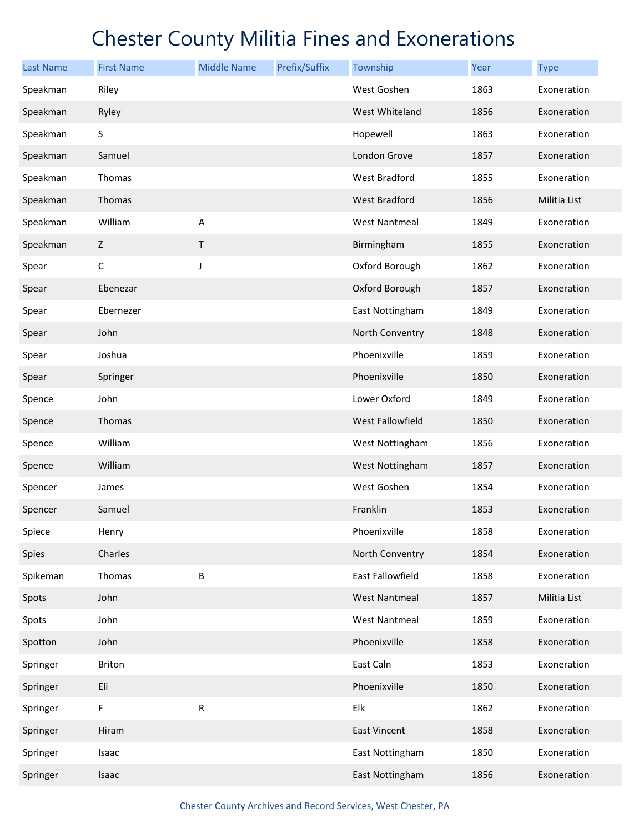| <b>Last Name</b> | <b>First Name</b> | <b>Middle Name</b> | Prefix/Suffix | Township             | Year | <b>Type</b>  |
|------------------|-------------------|--------------------|---------------|----------------------|------|--------------|
| Speakman         | Riley             |                    |               | West Goshen          | 1863 | Exoneration  |
| Speakman         | Ryley             |                    |               | West Whiteland       | 1856 | Exoneration  |
| Speakman         | S                 |                    |               | Hopewell             | 1863 | Exoneration  |
| Speakman         | Samuel            |                    |               | London Grove         | 1857 | Exoneration  |
| Speakman         | Thomas            |                    |               | West Bradford        | 1855 | Exoneration  |
| Speakman         | Thomas            |                    |               | <b>West Bradford</b> | 1856 | Militia List |
| Speakman         | William           | A                  |               | <b>West Nantmeal</b> | 1849 | Exoneration  |
| Speakman         | Z                 | $\mathsf T$        |               | Birmingham           | 1855 | Exoneration  |
| Spear            | С                 | J                  |               | Oxford Borough       | 1862 | Exoneration  |
| Spear            | Ebenezar          |                    |               | Oxford Borough       | 1857 | Exoneration  |
| Spear            | Ebernezer         |                    |               | East Nottingham      | 1849 | Exoneration  |
| Spear            | John              |                    |               | North Conventry      | 1848 | Exoneration  |
| Spear            | Joshua            |                    |               | Phoenixville         | 1859 | Exoneration  |
| Spear            | Springer          |                    |               | Phoenixville         | 1850 | Exoneration  |
| Spence           | John              |                    |               | Lower Oxford         | 1849 | Exoneration  |
| Spence           | Thomas            |                    |               | West Fallowfield     | 1850 | Exoneration  |
| Spence           | William           |                    |               | West Nottingham      | 1856 | Exoneration  |
| Spence           | William           |                    |               | West Nottingham      | 1857 | Exoneration  |
| Spencer          | James             |                    |               | West Goshen          | 1854 | Exoneration  |
| Spencer          | Samuel            |                    |               | Franklin             | 1853 | Exoneration  |
| Spiece           | Henry             |                    |               | Phoenixville         | 1858 | Exoneration  |
| Spies            | Charles           |                    |               | North Conventry      | 1854 | Exoneration  |
| Spikeman         | Thomas            | B                  |               | East Fallowfield     | 1858 | Exoneration  |
| Spots            | John              |                    |               | <b>West Nantmeal</b> | 1857 | Militia List |
| Spots            | John              |                    |               | <b>West Nantmeal</b> | 1859 | Exoneration  |
| Spotton          | John              |                    |               | Phoenixville         | 1858 | Exoneration  |
| Springer         | Briton            |                    |               | East Caln            | 1853 | Exoneration  |
| Springer         | Eli               |                    |               | Phoenixville         | 1850 | Exoneration  |
| Springer         | F                 | ${\sf R}$          |               | Elk                  | 1862 | Exoneration  |
| Springer         | Hiram             |                    |               | East Vincent         | 1858 | Exoneration  |
| Springer         | Isaac             |                    |               | East Nottingham      | 1850 | Exoneration  |
| Springer         | Isaac             |                    |               | East Nottingham      | 1856 | Exoneration  |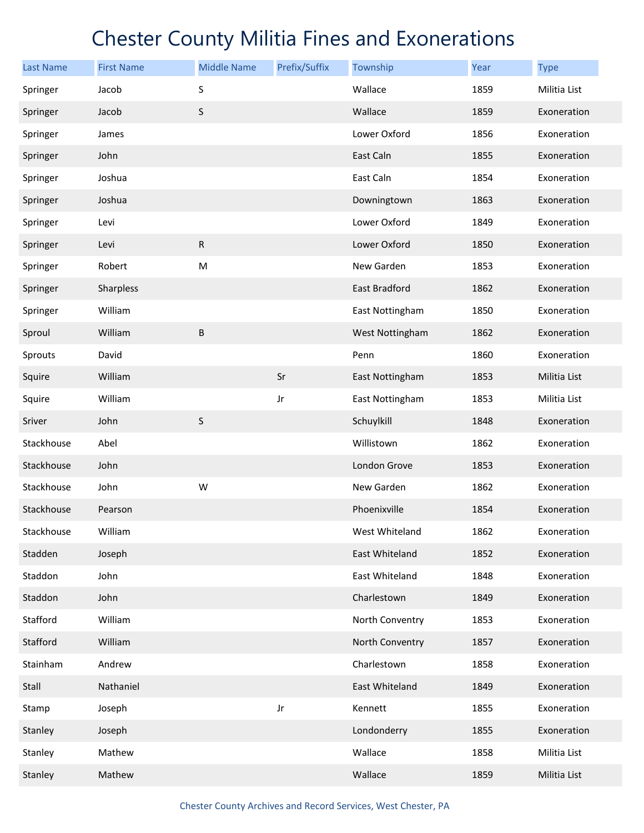| <b>Last Name</b> | <b>First Name</b> | <b>Middle Name</b> | Prefix/Suffix | Township             | Year | <b>Type</b>  |
|------------------|-------------------|--------------------|---------------|----------------------|------|--------------|
| Springer         | Jacob             | S                  |               | Wallace              | 1859 | Militia List |
| Springer         | Jacob             | $\sf S$            |               | Wallace              | 1859 | Exoneration  |
| Springer         | James             |                    |               | Lower Oxford         | 1856 | Exoneration  |
| Springer         | John              |                    |               | East Caln            | 1855 | Exoneration  |
| Springer         | Joshua            |                    |               | East Caln            | 1854 | Exoneration  |
| Springer         | Joshua            |                    |               | Downingtown          | 1863 | Exoneration  |
| Springer         | Levi              |                    |               | Lower Oxford         | 1849 | Exoneration  |
| Springer         | Levi              | ${\sf R}$          |               | Lower Oxford         | 1850 | Exoneration  |
| Springer         | Robert            | M                  |               | New Garden           | 1853 | Exoneration  |
| Springer         | Sharpless         |                    |               | <b>East Bradford</b> | 1862 | Exoneration  |
| Springer         | William           |                    |               | East Nottingham      | 1850 | Exoneration  |
| Sproul           | William           | $\sf B$            |               | West Nottingham      | 1862 | Exoneration  |
| Sprouts          | David             |                    |               | Penn                 | 1860 | Exoneration  |
| Squire           | William           |                    | Sr            | East Nottingham      | 1853 | Militia List |
| Squire           | William           |                    | Jr            | East Nottingham      | 1853 | Militia List |
| Sriver           | John              | $\sf S$            |               | Schuylkill           | 1848 | Exoneration  |
| Stackhouse       | Abel              |                    |               | Willistown           | 1862 | Exoneration  |
| Stackhouse       | John              |                    |               | London Grove         | 1853 | Exoneration  |
| Stackhouse       | John              | W                  |               | New Garden           | 1862 | Exoneration  |
| Stackhouse       | Pearson           |                    |               | Phoenixville         | 1854 | Exoneration  |
| Stackhouse       | William           |                    |               | West Whiteland       | 1862 | Exoneration  |
| Stadden          | Joseph            |                    |               | East Whiteland       | 1852 | Exoneration  |
| Staddon          | John              |                    |               | East Whiteland       | 1848 | Exoneration  |
| Staddon          | John              |                    |               | Charlestown          | 1849 | Exoneration  |
| Stafford         | William           |                    |               | North Conventry      | 1853 | Exoneration  |
| Stafford         | William           |                    |               | North Conventry      | 1857 | Exoneration  |
| Stainham         | Andrew            |                    |               | Charlestown          | 1858 | Exoneration  |
| Stall            | Nathaniel         |                    |               | East Whiteland       | 1849 | Exoneration  |
| Stamp            | Joseph            |                    | Jr            | Kennett              | 1855 | Exoneration  |
| Stanley          | Joseph            |                    |               | Londonderry          | 1855 | Exoneration  |
| Stanley          | Mathew            |                    |               | Wallace              | 1858 | Militia List |
| Stanley          | Mathew            |                    |               | Wallace              | 1859 | Militia List |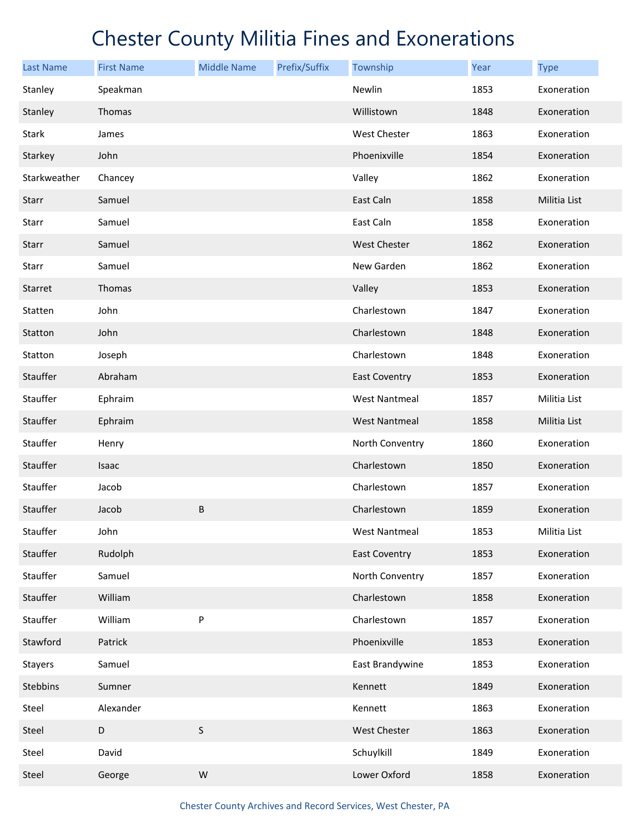| <b>Last Name</b> | <b>First Name</b> | <b>Middle Name</b> | Prefix/Suffix | Township             | Year | <b>Type</b>  |
|------------------|-------------------|--------------------|---------------|----------------------|------|--------------|
| Stanley          | Speakman          |                    |               | Newlin               | 1853 | Exoneration  |
| Stanley          | Thomas            |                    |               | Willistown           | 1848 | Exoneration  |
| Stark            | James             |                    |               | West Chester         | 1863 | Exoneration  |
| Starkey          | John              |                    |               | Phoenixville         | 1854 | Exoneration  |
| Starkweather     | Chancey           |                    |               | Valley               | 1862 | Exoneration  |
| <b>Starr</b>     | Samuel            |                    |               | East Caln            | 1858 | Militia List |
| Starr            | Samuel            |                    |               | East Caln            | 1858 | Exoneration  |
| Starr            | Samuel            |                    |               | <b>West Chester</b>  | 1862 | Exoneration  |
| Starr            | Samuel            |                    |               | New Garden           | 1862 | Exoneration  |
| Starret          | Thomas            |                    |               | Valley               | 1853 | Exoneration  |
| Statten          | John              |                    |               | Charlestown          | 1847 | Exoneration  |
| Statton          | John              |                    |               | Charlestown          | 1848 | Exoneration  |
| Statton          | Joseph            |                    |               | Charlestown          | 1848 | Exoneration  |
| Stauffer         | Abraham           |                    |               | East Coventry        | 1853 | Exoneration  |
| Stauffer         | Ephraim           |                    |               | <b>West Nantmeal</b> | 1857 | Militia List |
| Stauffer         | Ephraim           |                    |               | <b>West Nantmeal</b> | 1858 | Militia List |
| Stauffer         | Henry             |                    |               | North Conventry      | 1860 | Exoneration  |
| Stauffer         | Isaac             |                    |               | Charlestown          | 1850 | Exoneration  |
| Stauffer         | Jacob             |                    |               | Charlestown          | 1857 | Exoneration  |
| Stauffer         | Jacob             | $\sf B$            |               | Charlestown          | 1859 | Exoneration  |
| Stauffer         | John              |                    |               | <b>West Nantmeal</b> | 1853 | Militia List |
| Stauffer         | Rudolph           |                    |               | <b>East Coventry</b> | 1853 | Exoneration  |
| Stauffer         | Samuel            |                    |               | North Conventry      | 1857 | Exoneration  |
| Stauffer         | William           |                    |               | Charlestown          | 1858 | Exoneration  |
| Stauffer         | William           | P                  |               | Charlestown          | 1857 | Exoneration  |
| Stawford         | Patrick           |                    |               | Phoenixville         | 1853 | Exoneration  |
| <b>Stayers</b>   | Samuel            |                    |               | East Brandywine      | 1853 | Exoneration  |
| Stebbins         | Sumner            |                    |               | Kennett              | 1849 | Exoneration  |
| Steel            | Alexander         |                    |               | Kennett              | 1863 | Exoneration  |
| Steel            | D                 | $\sf S$            |               | West Chester         | 1863 | Exoneration  |
| Steel            | David             |                    |               | Schuylkill           | 1849 | Exoneration  |
| Steel            | George            | ${\sf W}$          |               | Lower Oxford         | 1858 | Exoneration  |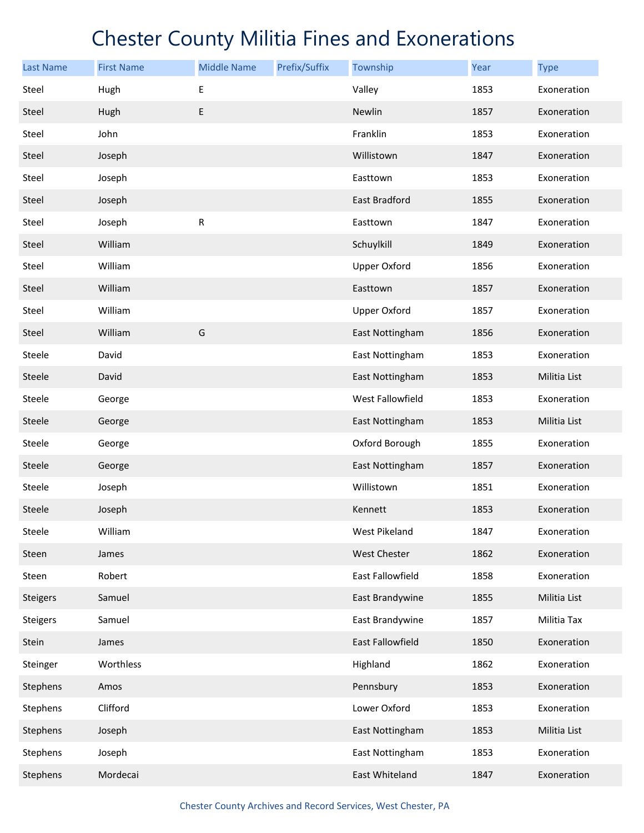| <b>Last Name</b> | <b>First Name</b> | <b>Middle Name</b> | Prefix/Suffix | Township            | Year | <b>Type</b>  |
|------------------|-------------------|--------------------|---------------|---------------------|------|--------------|
| Steel            | Hugh              | E                  |               | Valley              | 1853 | Exoneration  |
| Steel            | Hugh              | E                  |               | Newlin              | 1857 | Exoneration  |
| Steel            | John              |                    |               | Franklin            | 1853 | Exoneration  |
| Steel            | Joseph            |                    |               | Willistown          | 1847 | Exoneration  |
| Steel            | Joseph            |                    |               | Easttown            | 1853 | Exoneration  |
| Steel            | Joseph            |                    |               | East Bradford       | 1855 | Exoneration  |
| Steel            | Joseph            | R                  |               | Easttown            | 1847 | Exoneration  |
| Steel            | William           |                    |               | Schuylkill          | 1849 | Exoneration  |
| Steel            | William           |                    |               | <b>Upper Oxford</b> | 1856 | Exoneration  |
| Steel            | William           |                    |               | Easttown            | 1857 | Exoneration  |
| Steel            | William           |                    |               | <b>Upper Oxford</b> | 1857 | Exoneration  |
| Steel            | William           | G                  |               | East Nottingham     | 1856 | Exoneration  |
| Steele           | David             |                    |               | East Nottingham     | 1853 | Exoneration  |
| Steele           | David             |                    |               | East Nottingham     | 1853 | Militia List |
| Steele           | George            |                    |               | West Fallowfield    | 1853 | Exoneration  |
| Steele           | George            |                    |               | East Nottingham     | 1853 | Militia List |
| Steele           | George            |                    |               | Oxford Borough      | 1855 | Exoneration  |
| Steele           | George            |                    |               | East Nottingham     | 1857 | Exoneration  |
| Steele           | Joseph            |                    |               | Willistown          | 1851 | Exoneration  |
| Steele           | Joseph            |                    |               | Kennett             | 1853 | Exoneration  |
| Steele           | William           |                    |               | West Pikeland       | 1847 | Exoneration  |
| Steen            | James             |                    |               | West Chester        | 1862 | Exoneration  |
| Steen            | Robert            |                    |               | East Fallowfield    | 1858 | Exoneration  |
| <b>Steigers</b>  | Samuel            |                    |               | East Brandywine     | 1855 | Militia List |
| <b>Steigers</b>  | Samuel            |                    |               | East Brandywine     | 1857 | Militia Tax  |
| Stein            | James             |                    |               | East Fallowfield    | 1850 | Exoneration  |
| Steinger         | Worthless         |                    |               | Highland            | 1862 | Exoneration  |
| Stephens         | Amos              |                    |               | Pennsbury           | 1853 | Exoneration  |
| Stephens         | Clifford          |                    |               | Lower Oxford        | 1853 | Exoneration  |
| Stephens         | Joseph            |                    |               | East Nottingham     | 1853 | Militia List |
| Stephens         | Joseph            |                    |               | East Nottingham     | 1853 | Exoneration  |
| Stephens         | Mordecai          |                    |               | East Whiteland      | 1847 | Exoneration  |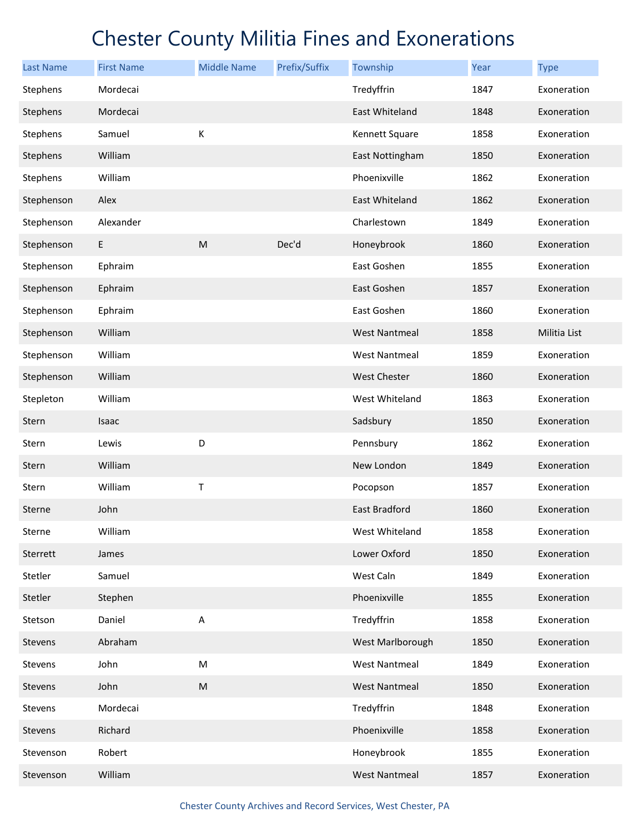| <b>Last Name</b> | <b>First Name</b> | <b>Middle Name</b>        | Prefix/Suffix | Township             | Year | <b>Type</b>  |
|------------------|-------------------|---------------------------|---------------|----------------------|------|--------------|
| Stephens         | Mordecai          |                           |               | Tredyffrin           | 1847 | Exoneration  |
| Stephens         | Mordecai          |                           |               | East Whiteland       | 1848 | Exoneration  |
| Stephens         | Samuel            | К                         |               | Kennett Square       | 1858 | Exoneration  |
| Stephens         | William           |                           |               | East Nottingham      | 1850 | Exoneration  |
| Stephens         | William           |                           |               | Phoenixville         | 1862 | Exoneration  |
| Stephenson       | Alex              |                           |               | East Whiteland       | 1862 | Exoneration  |
| Stephenson       | Alexander         |                           |               | Charlestown          | 1849 | Exoneration  |
| Stephenson       | E                 | M                         | Dec'd         | Honeybrook           | 1860 | Exoneration  |
| Stephenson       | Ephraim           |                           |               | East Goshen          | 1855 | Exoneration  |
| Stephenson       | Ephraim           |                           |               | East Goshen          | 1857 | Exoneration  |
| Stephenson       | Ephraim           |                           |               | East Goshen          | 1860 | Exoneration  |
| Stephenson       | William           |                           |               | <b>West Nantmeal</b> | 1858 | Militia List |
| Stephenson       | William           |                           |               | <b>West Nantmeal</b> | 1859 | Exoneration  |
| Stephenson       | William           |                           |               | <b>West Chester</b>  | 1860 | Exoneration  |
| Stepleton        | William           |                           |               | West Whiteland       | 1863 | Exoneration  |
| Stern            | Isaac             |                           |               | Sadsbury             | 1850 | Exoneration  |
| Stern            | Lewis             | D                         |               | Pennsbury            | 1862 | Exoneration  |
| Stern            | William           |                           |               | New London           | 1849 | Exoneration  |
| Stern            | William           | Τ                         |               | Pocopson             | 1857 | Exoneration  |
| Sterne           | John              |                           |               | <b>East Bradford</b> | 1860 | Exoneration  |
| Sterne           | William           |                           |               | West Whiteland       | 1858 | Exoneration  |
| Sterrett         | James             |                           |               | Lower Oxford         | 1850 | Exoneration  |
| Stetler          | Samuel            |                           |               | West Caln            | 1849 | Exoneration  |
| Stetler          | Stephen           |                           |               | Phoenixville         | 1855 | Exoneration  |
| Stetson          | Daniel            | $\boldsymbol{\mathsf{A}}$ |               | Tredyffrin           | 1858 | Exoneration  |
| Stevens          | Abraham           |                           |               | West Marlborough     | 1850 | Exoneration  |
| Stevens          | John              | ${\sf M}$                 |               | <b>West Nantmeal</b> | 1849 | Exoneration  |
| Stevens          | John              | M                         |               | <b>West Nantmeal</b> | 1850 | Exoneration  |
| Stevens          | Mordecai          |                           |               | Tredyffrin           | 1848 | Exoneration  |
| Stevens          | Richard           |                           |               | Phoenixville         | 1858 | Exoneration  |
| Stevenson        | Robert            |                           |               | Honeybrook           | 1855 | Exoneration  |
| Stevenson        | William           |                           |               | <b>West Nantmeal</b> | 1857 | Exoneration  |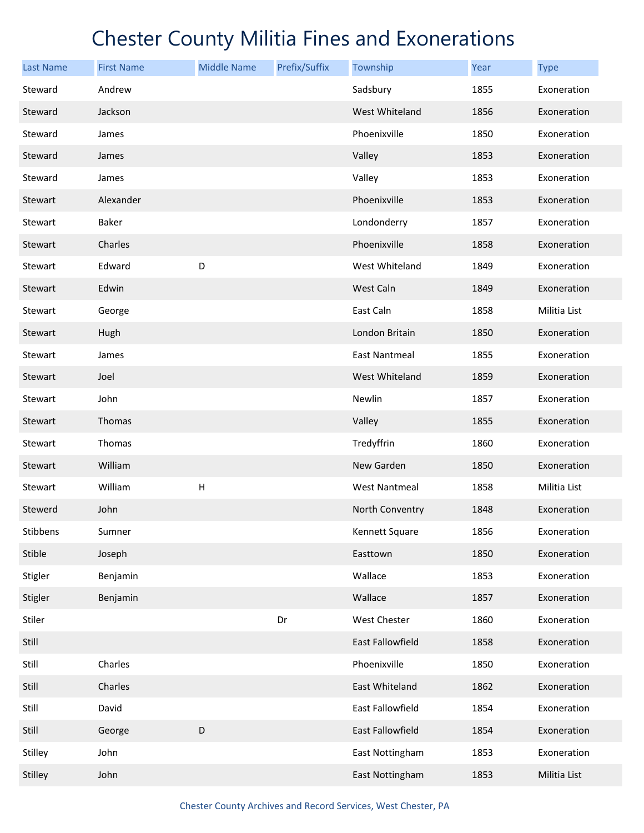| <b>Last Name</b> | <b>First Name</b> | <b>Middle Name</b>        | Prefix/Suffix | Township             | <b>Year</b> | <b>Type</b>  |
|------------------|-------------------|---------------------------|---------------|----------------------|-------------|--------------|
| Steward          | Andrew            |                           |               | Sadsbury             | 1855        | Exoneration  |
| Steward          | Jackson           |                           |               | West Whiteland       | 1856        | Exoneration  |
| Steward          | James             |                           |               | Phoenixville         | 1850        | Exoneration  |
| Steward          | James             |                           |               | Valley               | 1853        | Exoneration  |
| Steward          | James             |                           |               | Valley               | 1853        | Exoneration  |
| Stewart          | Alexander         |                           |               | Phoenixville         | 1853        | Exoneration  |
| Stewart          | Baker             |                           |               | Londonderry          | 1857        | Exoneration  |
| Stewart          | Charles           |                           |               | Phoenixville         | 1858        | Exoneration  |
| Stewart          | Edward            | D                         |               | West Whiteland       | 1849        | Exoneration  |
| Stewart          | Edwin             |                           |               | West Caln            | 1849        | Exoneration  |
| Stewart          | George            |                           |               | East Caln            | 1858        | Militia List |
| Stewart          | Hugh              |                           |               | London Britain       | 1850        | Exoneration  |
| Stewart          | James             |                           |               | <b>East Nantmeal</b> | 1855        | Exoneration  |
| Stewart          | Joel              |                           |               | West Whiteland       | 1859        | Exoneration  |
| Stewart          | John              |                           |               | Newlin               | 1857        | Exoneration  |
| Stewart          | Thomas            |                           |               | Valley               | 1855        | Exoneration  |
| Stewart          | Thomas            |                           |               | Tredyffrin           | 1860        | Exoneration  |
| Stewart          | William           |                           |               | New Garden           | 1850        | Exoneration  |
| Stewart          | William           | $\boldsymbol{\mathsf{H}}$ |               | <b>West Nantmeal</b> | 1858        | Militia List |
| Stewerd          | John              |                           |               | North Conventry      | 1848        | Exoneration  |
| Stibbens         | Sumner            |                           |               | Kennett Square       | 1856        | Exoneration  |
| Stible           | Joseph            |                           |               | Easttown             | 1850        | Exoneration  |
| Stigler          | Benjamin          |                           |               | Wallace              | 1853        | Exoneration  |
| Stigler          | Benjamin          |                           |               | Wallace              | 1857        | Exoneration  |
| Stiler           |                   |                           | Dr            | West Chester         | 1860        | Exoneration  |
| Still            |                   |                           |               | East Fallowfield     | 1858        | Exoneration  |
| Still            | Charles           |                           |               | Phoenixville         | 1850        | Exoneration  |
| Still            | Charles           |                           |               | East Whiteland       | 1862        | Exoneration  |
| Still            | David             |                           |               | East Fallowfield     | 1854        | Exoneration  |
| Still            | George            | D                         |               | East Fallowfield     | 1854        | Exoneration  |
| Stilley          | John              |                           |               | East Nottingham      | 1853        | Exoneration  |
| Stilley          | John              |                           |               | East Nottingham      | 1853        | Militia List |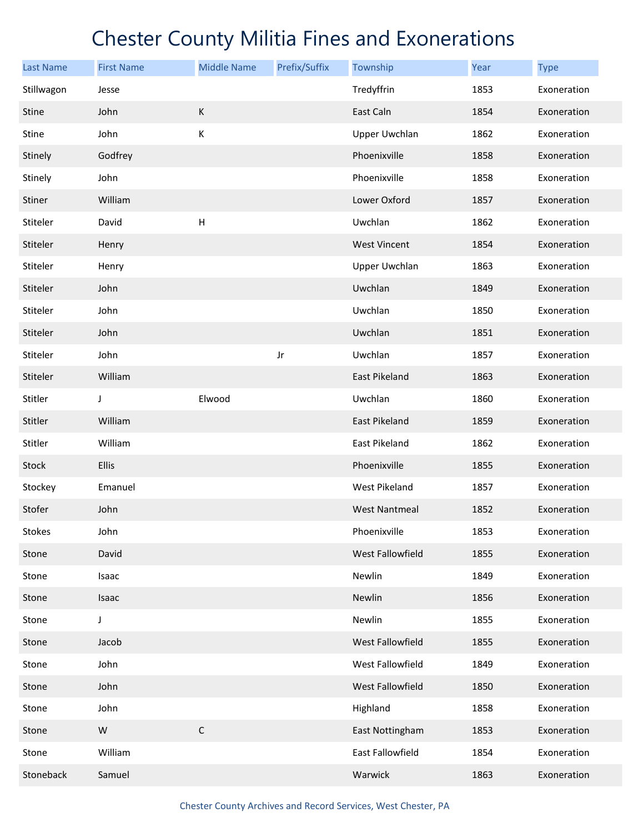| <b>Last Name</b> | <b>First Name</b> | <b>Middle Name</b>        | Prefix/Suffix | Township             | Year | <b>Type</b> |
|------------------|-------------------|---------------------------|---------------|----------------------|------|-------------|
| Stillwagon       | Jesse             |                           |               | Tredyffrin           | 1853 | Exoneration |
| <b>Stine</b>     | John              | К                         |               | East Caln            | 1854 | Exoneration |
| Stine            | John              | К                         |               | <b>Upper Uwchlan</b> | 1862 | Exoneration |
| Stinely          | Godfrey           |                           |               | Phoenixville         | 1858 | Exoneration |
| Stinely          | John              |                           |               | Phoenixville         | 1858 | Exoneration |
| Stiner           | William           |                           |               | Lower Oxford         | 1857 | Exoneration |
| Stiteler         | David             | $\boldsymbol{\mathsf{H}}$ |               | Uwchlan              | 1862 | Exoneration |
| Stiteler         | Henry             |                           |               | <b>West Vincent</b>  | 1854 | Exoneration |
| Stiteler         | Henry             |                           |               | Upper Uwchlan        | 1863 | Exoneration |
| Stiteler         | John              |                           |               | Uwchlan              | 1849 | Exoneration |
| Stiteler         | John              |                           |               | Uwchlan              | 1850 | Exoneration |
| Stiteler         | John              |                           |               | Uwchlan              | 1851 | Exoneration |
| Stiteler         | John              |                           | Jr            | Uwchlan              | 1857 | Exoneration |
| Stiteler         | William           |                           |               | East Pikeland        | 1863 | Exoneration |
| Stitler          | J                 | Elwood                    |               | Uwchlan              | 1860 | Exoneration |
| Stitler          | William           |                           |               | East Pikeland        | 1859 | Exoneration |
| Stitler          | William           |                           |               | East Pikeland        | 1862 | Exoneration |
| Stock            | Ellis             |                           |               | Phoenixville         | 1855 | Exoneration |
| Stockey          | Emanuel           |                           |               | West Pikeland        | 1857 | Exoneration |
| Stofer           | John              |                           |               | <b>West Nantmeal</b> | 1852 | Exoneration |
| <b>Stokes</b>    | John              |                           |               | Phoenixville         | 1853 | Exoneration |
| Stone            | David             |                           |               | West Fallowfield     | 1855 | Exoneration |
| Stone            | Isaac             |                           |               | Newlin               | 1849 | Exoneration |
| Stone            | Isaac             |                           |               | Newlin               | 1856 | Exoneration |
| Stone            | J                 |                           |               | Newlin               | 1855 | Exoneration |
| Stone            | Jacob             |                           |               | West Fallowfield     | 1855 | Exoneration |
| Stone            | John              |                           |               | West Fallowfield     | 1849 | Exoneration |
| Stone            | John              |                           |               | West Fallowfield     | 1850 | Exoneration |
| Stone            | John              |                           |               | Highland             | 1858 | Exoneration |
| Stone            | ${\sf W}$         | $\mathsf C$               |               | East Nottingham      | 1853 | Exoneration |
| Stone            | William           |                           |               | East Fallowfield     | 1854 | Exoneration |
| Stoneback        | Samuel            |                           |               | Warwick              | 1863 | Exoneration |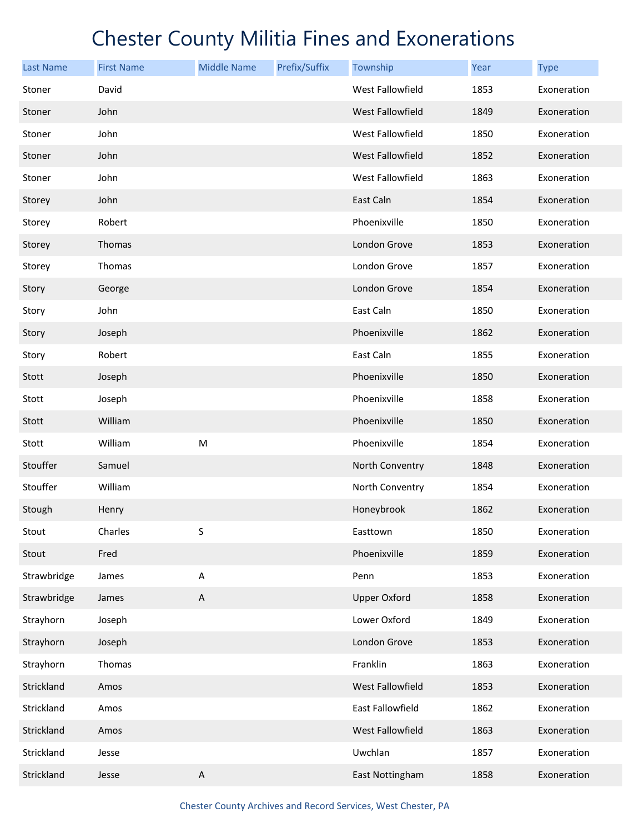| <b>Last Name</b> | <b>First Name</b> | <b>Middle Name</b> | Prefix/Suffix | Township            | <b>Year</b> | <b>Type</b> |
|------------------|-------------------|--------------------|---------------|---------------------|-------------|-------------|
| Stoner           | David             |                    |               | West Fallowfield    | 1853        | Exoneration |
| Stoner           | John              |                    |               | West Fallowfield    | 1849        | Exoneration |
| Stoner           | John              |                    |               | West Fallowfield    | 1850        | Exoneration |
| Stoner           | John              |                    |               | West Fallowfield    | 1852        | Exoneration |
| Stoner           | John              |                    |               | West Fallowfield    | 1863        | Exoneration |
| Storey           | John              |                    |               | East Caln           | 1854        | Exoneration |
| Storey           | Robert            |                    |               | Phoenixville        | 1850        | Exoneration |
| Storey           | Thomas            |                    |               | London Grove        | 1853        | Exoneration |
| Storey           | Thomas            |                    |               | London Grove        | 1857        | Exoneration |
| Story            | George            |                    |               | London Grove        | 1854        | Exoneration |
| Story            | John              |                    |               | East Caln           | 1850        | Exoneration |
| Story            | Joseph            |                    |               | Phoenixville        | 1862        | Exoneration |
| Story            | Robert            |                    |               | East Caln           | 1855        | Exoneration |
| Stott            | Joseph            |                    |               | Phoenixville        | 1850        | Exoneration |
| Stott            | Joseph            |                    |               | Phoenixville        | 1858        | Exoneration |
| Stott            | William           |                    |               | Phoenixville        | 1850        | Exoneration |
| Stott            | William           | M                  |               | Phoenixville        | 1854        | Exoneration |
| Stouffer         | Samuel            |                    |               | North Conventry     | 1848        | Exoneration |
| Stouffer         | William           |                    |               | North Conventry     | 1854        | Exoneration |
| Stough           | Henry             |                    |               | Honeybrook          | 1862        | Exoneration |
| Stout            | Charles           | S                  |               | Easttown            | 1850        | Exoneration |
| Stout            | Fred              |                    |               | Phoenixville        | 1859        | Exoneration |
| Strawbridge      | James             | $\sf A$            |               | Penn                | 1853        | Exoneration |
| Strawbridge      | James             | $\sf A$            |               | <b>Upper Oxford</b> | 1858        | Exoneration |
| Strayhorn        | Joseph            |                    |               | Lower Oxford        | 1849        | Exoneration |
| Strayhorn        | Joseph            |                    |               | London Grove        | 1853        | Exoneration |
| Strayhorn        | Thomas            |                    |               | Franklin            | 1863        | Exoneration |
| Strickland       | Amos              |                    |               | West Fallowfield    | 1853        | Exoneration |
| Strickland       | Amos              |                    |               | East Fallowfield    | 1862        | Exoneration |
| Strickland       | Amos              |                    |               | West Fallowfield    | 1863        | Exoneration |
| Strickland       | Jesse             |                    |               | Uwchlan             | 1857        | Exoneration |
| Strickland       | Jesse             | $\sf A$            |               | East Nottingham     | 1858        | Exoneration |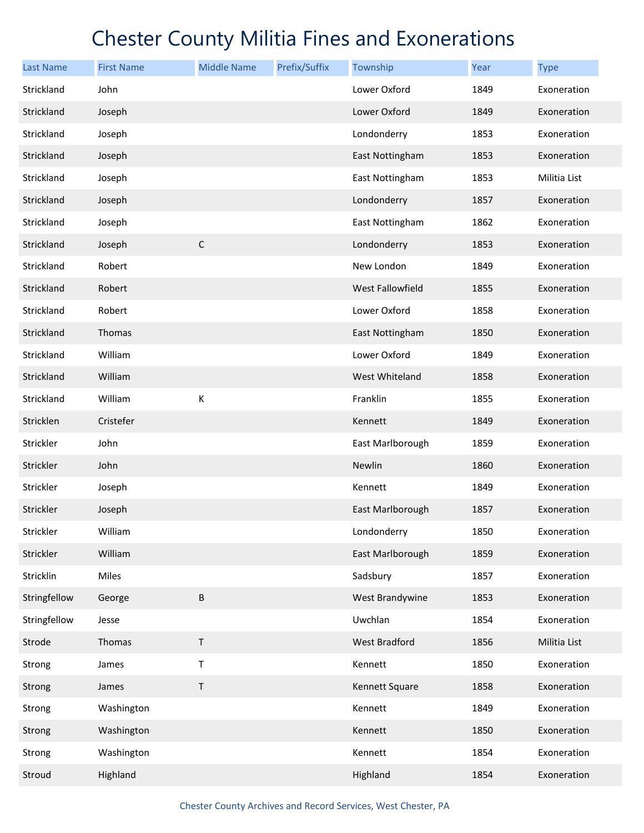| <b>Last Name</b> | <b>First Name</b> | <b>Middle Name</b> | Prefix/Suffix | Township                | Year | <b>Type</b>  |
|------------------|-------------------|--------------------|---------------|-------------------------|------|--------------|
| Strickland       | John              |                    |               | Lower Oxford            | 1849 | Exoneration  |
| Strickland       | Joseph            |                    |               | Lower Oxford            | 1849 | Exoneration  |
| Strickland       | Joseph            |                    |               | Londonderry             | 1853 | Exoneration  |
| Strickland       | Joseph            |                    |               | East Nottingham         | 1853 | Exoneration  |
| Strickland       | Joseph            |                    |               | East Nottingham         | 1853 | Militia List |
| Strickland       | Joseph            |                    |               | Londonderry             | 1857 | Exoneration  |
| Strickland       | Joseph            |                    |               | East Nottingham         | 1862 | Exoneration  |
| Strickland       | Joseph            | $\mathsf C$        |               | Londonderry             | 1853 | Exoneration  |
| Strickland       | Robert            |                    |               | New London              | 1849 | Exoneration  |
| Strickland       | Robert            |                    |               | <b>West Fallowfield</b> | 1855 | Exoneration  |
| Strickland       | Robert            |                    |               | Lower Oxford            | 1858 | Exoneration  |
| Strickland       | Thomas            |                    |               | East Nottingham         | 1850 | Exoneration  |
| Strickland       | William           |                    |               | Lower Oxford            | 1849 | Exoneration  |
| Strickland       | William           |                    |               | West Whiteland          | 1858 | Exoneration  |
| Strickland       | William           | К                  |               | Franklin                | 1855 | Exoneration  |
| Stricklen        | Cristefer         |                    |               | Kennett                 | 1849 | Exoneration  |
| Strickler        | John              |                    |               | East Marlborough        | 1859 | Exoneration  |
| Strickler        | John              |                    |               | Newlin                  | 1860 | Exoneration  |
| Strickler        | Joseph            |                    |               | Kennett                 | 1849 | Exoneration  |
| Strickler        | Joseph            |                    |               | East Marlborough        | 1857 | Exoneration  |
| Strickler        | William           |                    |               | Londonderry             | 1850 | Exoneration  |
| Strickler        | William           |                    |               | East Marlborough        | 1859 | Exoneration  |
| Stricklin        | Miles             |                    |               | Sadsbury                | 1857 | Exoneration  |
| Stringfellow     | George            | $\sf B$            |               | West Brandywine         | 1853 | Exoneration  |
| Stringfellow     | Jesse             |                    |               | Uwchlan                 | 1854 | Exoneration  |
| Strode           | Thomas            | $\mathsf T$        |               | West Bradford           | 1856 | Militia List |
| Strong           | James             | Τ                  |               | Kennett                 | 1850 | Exoneration  |
| Strong           | James             | $\sf T$            |               | Kennett Square          | 1858 | Exoneration  |
| Strong           | Washington        |                    |               | Kennett                 | 1849 | Exoneration  |
| Strong           | Washington        |                    |               | Kennett                 | 1850 | Exoneration  |
| Strong           | Washington        |                    |               | Kennett                 | 1854 | Exoneration  |
| Stroud           | Highland          |                    |               | Highland                | 1854 | Exoneration  |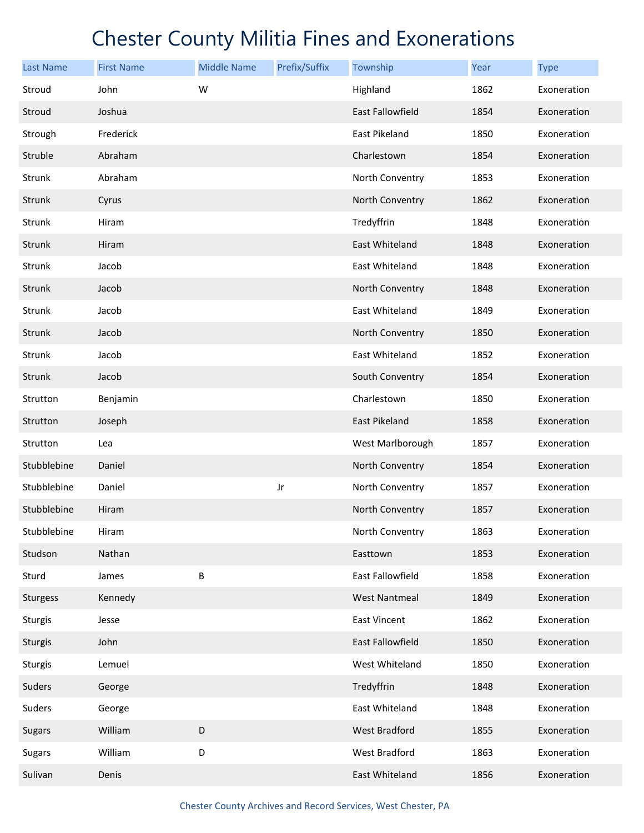| <b>Last Name</b> | <b>First Name</b> | <b>Middle Name</b> | Prefix/Suffix | Township             | Year | <b>Type</b> |
|------------------|-------------------|--------------------|---------------|----------------------|------|-------------|
| Stroud           | John              | W                  |               | Highland             | 1862 | Exoneration |
| Stroud           | Joshua            |                    |               | East Fallowfield     | 1854 | Exoneration |
| Strough          | Frederick         |                    |               | East Pikeland        | 1850 | Exoneration |
| Struble          | Abraham           |                    |               | Charlestown          | 1854 | Exoneration |
| Strunk           | Abraham           |                    |               | North Conventry      | 1853 | Exoneration |
| Strunk           | Cyrus             |                    |               | North Conventry      | 1862 | Exoneration |
| Strunk           | Hiram             |                    |               | Tredyffrin           | 1848 | Exoneration |
| Strunk           | Hiram             |                    |               | East Whiteland       | 1848 | Exoneration |
| Strunk           | Jacob             |                    |               | East Whiteland       | 1848 | Exoneration |
| Strunk           | Jacob             |                    |               | North Conventry      | 1848 | Exoneration |
| Strunk           | Jacob             |                    |               | East Whiteland       | 1849 | Exoneration |
| Strunk           | Jacob             |                    |               | North Conventry      | 1850 | Exoneration |
| Strunk           | Jacob             |                    |               | East Whiteland       | 1852 | Exoneration |
| Strunk           | Jacob             |                    |               | South Conventry      | 1854 | Exoneration |
| Strutton         | Benjamin          |                    |               | Charlestown          | 1850 | Exoneration |
| Strutton         | Joseph            |                    |               | East Pikeland        | 1858 | Exoneration |
| Strutton         | Lea               |                    |               | West Marlborough     | 1857 | Exoneration |
| Stubblebine      | Daniel            |                    |               | North Conventry      | 1854 | Exoneration |
| Stubblebine      | Daniel            |                    | Jr            | North Conventry      | 1857 | Exoneration |
| Stubblebine      | Hiram             |                    |               | North Conventry      | 1857 | Exoneration |
| Stubblebine      | Hiram             |                    |               | North Conventry      | 1863 | Exoneration |
| Studson          | Nathan            |                    |               | Easttown             | 1853 | Exoneration |
| Sturd            | James             | B                  |               | East Fallowfield     | 1858 | Exoneration |
| <b>Sturgess</b>  | Kennedy           |                    |               | <b>West Nantmeal</b> | 1849 | Exoneration |
| <b>Sturgis</b>   | Jesse             |                    |               | <b>East Vincent</b>  | 1862 | Exoneration |
| <b>Sturgis</b>   | John              |                    |               | East Fallowfield     | 1850 | Exoneration |
| Sturgis          | Lemuel            |                    |               | West Whiteland       | 1850 | Exoneration |
| Suders           | George            |                    |               | Tredyffrin           | 1848 | Exoneration |
| Suders           | George            |                    |               | East Whiteland       | 1848 | Exoneration |
| <b>Sugars</b>    | William           | D                  |               | West Bradford        | 1855 | Exoneration |
| Sugars           | William           | D                  |               | West Bradford        | 1863 | Exoneration |
| Sulivan          | Denis             |                    |               | East Whiteland       | 1856 | Exoneration |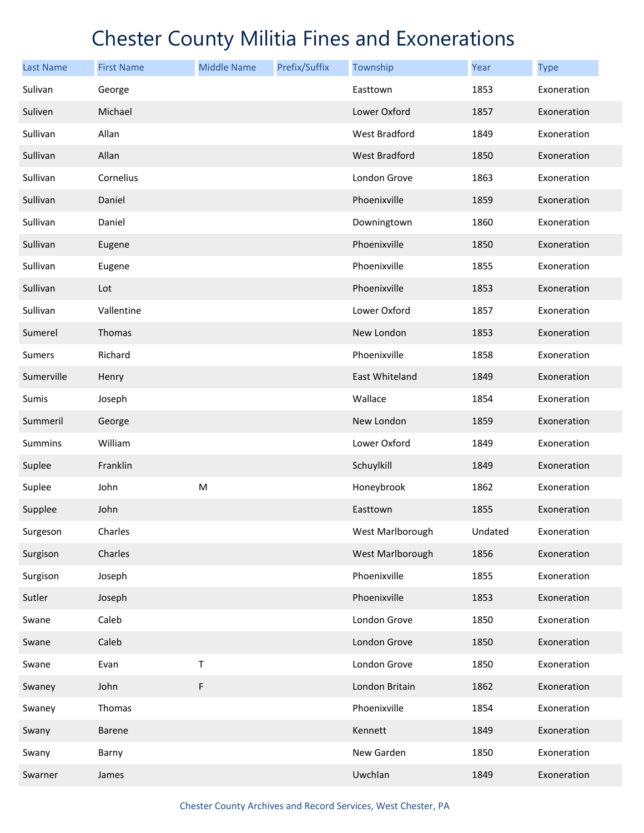| <b>Last Name</b> | <b>First Name</b> | <b>Middle Name</b> | Prefix/Suffix | Township         | Year    | <b>Type</b> |
|------------------|-------------------|--------------------|---------------|------------------|---------|-------------|
| Sulivan          | George            |                    |               | Easttown         | 1853    | Exoneration |
| Suliven          | Michael           |                    |               | Lower Oxford     | 1857    | Exoneration |
| Sullivan         | Allan             |                    |               | West Bradford    | 1849    | Exoneration |
| Sullivan         | Allan             |                    |               | West Bradford    | 1850    | Exoneration |
| Sullivan         | Cornelius         |                    |               | London Grove     | 1863    | Exoneration |
| Sullivan         | Daniel            |                    |               | Phoenixville     | 1859    | Exoneration |
| Sullivan         | Daniel            |                    |               | Downingtown      | 1860    | Exoneration |
| Sullivan         | Eugene            |                    |               | Phoenixville     | 1850    | Exoneration |
| Sullivan         | Eugene            |                    |               | Phoenixville     | 1855    | Exoneration |
| Sullivan         | Lot               |                    |               | Phoenixville     | 1853    | Exoneration |
| Sullivan         | Vallentine        |                    |               | Lower Oxford     | 1857    | Exoneration |
| Sumerel          | Thomas            |                    |               | New London       | 1853    | Exoneration |
| Sumers           | Richard           |                    |               | Phoenixville     | 1858    | Exoneration |
| Sumerville       | Henry             |                    |               | East Whiteland   | 1849    | Exoneration |
| Sumis            | Joseph            |                    |               | Wallace          | 1854    | Exoneration |
| Summeril         | George            |                    |               | New London       | 1859    | Exoneration |
| Summins          | William           |                    |               | Lower Oxford     | 1849    | Exoneration |
| Suplee           | Franklin          |                    |               | Schuylkill       | 1849    | Exoneration |
| Suplee           | John              | ${\sf M}$          |               | Honeybrook       | 1862    | Exoneration |
| Supplee          | John              |                    |               | Easttown         | 1855    | Exoneration |
| Surgeson         | Charles           |                    |               | West Marlborough | Undated | Exoneration |
| Surgison         | Charles           |                    |               | West Marlborough | 1856    | Exoneration |
| Surgison         | Joseph            |                    |               | Phoenixville     | 1855    | Exoneration |
| Sutler           | Joseph            |                    |               | Phoenixville     | 1853    | Exoneration |
| Swane            | Caleb             |                    |               | London Grove     | 1850    | Exoneration |
| Swane            | Caleb             |                    |               | London Grove     | 1850    | Exoneration |
| Swane            | Evan              | T                  |               | London Grove     | 1850    | Exoneration |
| Swaney           | John              | F                  |               | London Britain   | 1862    | Exoneration |
| Swaney           | Thomas            |                    |               | Phoenixville     | 1854    | Exoneration |
| Swany            | Barene            |                    |               | Kennett          | 1849    | Exoneration |
| Swany            | Barny             |                    |               | New Garden       | 1850    | Exoneration |
| Swarner          | James             |                    |               | Uwchlan          | 1849    | Exoneration |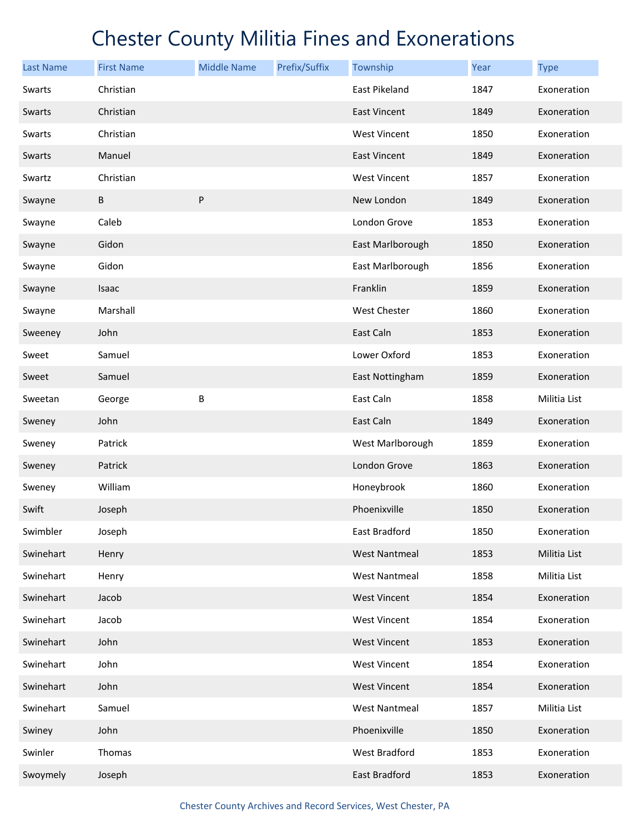| <b>Last Name</b> | <b>First Name</b> | <b>Middle Name</b> | Prefix/Suffix | Township             | Year | <b>Type</b>  |
|------------------|-------------------|--------------------|---------------|----------------------|------|--------------|
| Swarts           | Christian         |                    |               | East Pikeland        | 1847 | Exoneration  |
| Swarts           | Christian         |                    |               | <b>East Vincent</b>  | 1849 | Exoneration  |
| Swarts           | Christian         |                    |               | West Vincent         | 1850 | Exoneration  |
| Swarts           | Manuel            |                    |               | East Vincent         | 1849 | Exoneration  |
| Swartz           | Christian         |                    |               | West Vincent         | 1857 | Exoneration  |
| Swayne           | $\sf B$           | P                  |               | New London           | 1849 | Exoneration  |
| Swayne           | Caleb             |                    |               | London Grove         | 1853 | Exoneration  |
| Swayne           | Gidon             |                    |               | East Marlborough     | 1850 | Exoneration  |
| Swayne           | Gidon             |                    |               | East Marlborough     | 1856 | Exoneration  |
| Swayne           | Isaac             |                    |               | Franklin             | 1859 | Exoneration  |
| Swayne           | Marshall          |                    |               | West Chester         | 1860 | Exoneration  |
| Sweeney          | John              |                    |               | East Caln            | 1853 | Exoneration  |
| Sweet            | Samuel            |                    |               | Lower Oxford         | 1853 | Exoneration  |
| Sweet            | Samuel            |                    |               | East Nottingham      | 1859 | Exoneration  |
| Sweetan          | George            | B                  |               | East Caln            | 1858 | Militia List |
| Sweney           | John              |                    |               | East Caln            | 1849 | Exoneration  |
| Sweney           | Patrick           |                    |               | West Marlborough     | 1859 | Exoneration  |
| Sweney           | Patrick           |                    |               | London Grove         | 1863 | Exoneration  |
| Sweney           | William           |                    |               | Honeybrook           | 1860 | Exoneration  |
| Swift            | Joseph            |                    |               | Phoenixville         | 1850 | Exoneration  |
| Swimbler         | Joseph            |                    |               | East Bradford        | 1850 | Exoneration  |
| Swinehart        | Henry             |                    |               | <b>West Nantmeal</b> | 1853 | Militia List |
| Swinehart        | Henry             |                    |               | <b>West Nantmeal</b> | 1858 | Militia List |
| Swinehart        | Jacob             |                    |               | <b>West Vincent</b>  | 1854 | Exoneration  |
| Swinehart        | Jacob             |                    |               | West Vincent         | 1854 | Exoneration  |
| Swinehart        | John              |                    |               | <b>West Vincent</b>  | 1853 | Exoneration  |
| Swinehart        | John              |                    |               | <b>West Vincent</b>  | 1854 | Exoneration  |
| Swinehart        | John              |                    |               | <b>West Vincent</b>  | 1854 | Exoneration  |
| Swinehart        | Samuel            |                    |               | <b>West Nantmeal</b> | 1857 | Militia List |
| Swiney           | John              |                    |               | Phoenixville         | 1850 | Exoneration  |
| Swinler          | Thomas            |                    |               | West Bradford        | 1853 | Exoneration  |
| Swoymely         | Joseph            |                    |               | East Bradford        | 1853 | Exoneration  |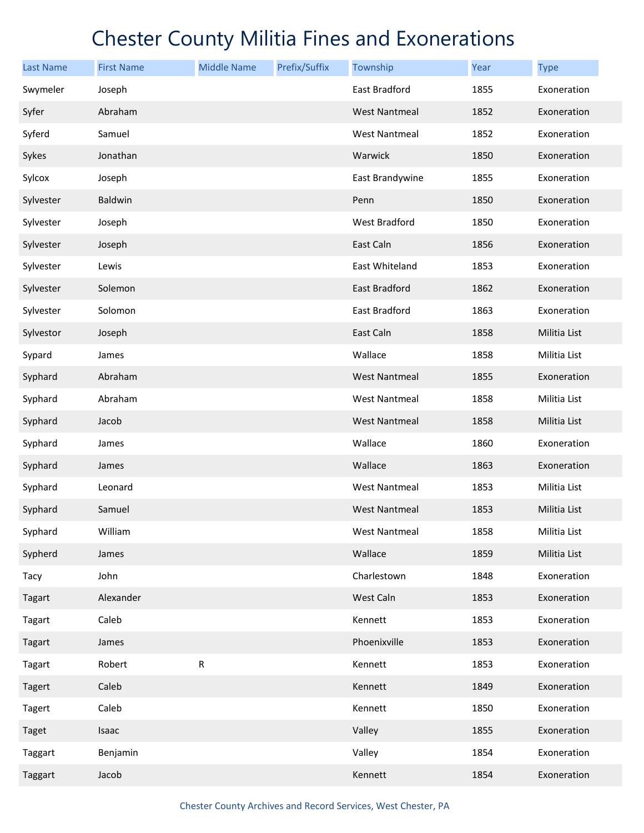| <b>Last Name</b> | <b>First Name</b> | <b>Middle Name</b> | Prefix/Suffix | Township             | Year | <b>Type</b>  |
|------------------|-------------------|--------------------|---------------|----------------------|------|--------------|
| Swymeler         | Joseph            |                    |               | East Bradford        | 1855 | Exoneration  |
| Syfer            | Abraham           |                    |               | <b>West Nantmeal</b> | 1852 | Exoneration  |
| Syferd           | Samuel            |                    |               | <b>West Nantmeal</b> | 1852 | Exoneration  |
| Sykes            | Jonathan          |                    |               | Warwick              | 1850 | Exoneration  |
| Sylcox           | Joseph            |                    |               | East Brandywine      | 1855 | Exoneration  |
| Sylvester        | Baldwin           |                    |               | Penn                 | 1850 | Exoneration  |
| Sylvester        | Joseph            |                    |               | West Bradford        | 1850 | Exoneration  |
| Sylvester        | Joseph            |                    |               | East Caln            | 1856 | Exoneration  |
| Sylvester        | Lewis             |                    |               | East Whiteland       | 1853 | Exoneration  |
| Sylvester        | Solemon           |                    |               | East Bradford        | 1862 | Exoneration  |
| Sylvester        | Solomon           |                    |               | East Bradford        | 1863 | Exoneration  |
| Sylvestor        | Joseph            |                    |               | East Caln            | 1858 | Militia List |
| Sypard           | James             |                    |               | Wallace              | 1858 | Militia List |
| Syphard          | Abraham           |                    |               | <b>West Nantmeal</b> | 1855 | Exoneration  |
| Syphard          | Abraham           |                    |               | <b>West Nantmeal</b> | 1858 | Militia List |
| Syphard          | Jacob             |                    |               | <b>West Nantmeal</b> | 1858 | Militia List |
| Syphard          | James             |                    |               | Wallace              | 1860 | Exoneration  |
| Syphard          | James             |                    |               | Wallace              | 1863 | Exoneration  |
| Syphard          | Leonard           |                    |               | West Nantmeal        | 1853 | Militia List |
| Syphard          | Samuel            |                    |               | <b>West Nantmeal</b> | 1853 | Militia List |
| Syphard          | William           |                    |               | <b>West Nantmeal</b> | 1858 | Militia List |
| Sypherd          | James             |                    |               | Wallace              | 1859 | Militia List |
| Tacy             | John              |                    |               | Charlestown          | 1848 | Exoneration  |
| Tagart           | Alexander         |                    |               | West Caln            | 1853 | Exoneration  |
| Tagart           | Caleb             |                    |               | Kennett              | 1853 | Exoneration  |
| Tagart           | James             |                    |               | Phoenixville         | 1853 | Exoneration  |
| Tagart           | Robert            | R                  |               | Kennett              | 1853 | Exoneration  |
| <b>Tagert</b>    | Caleb             |                    |               | Kennett              | 1849 | Exoneration  |
| Tagert           | Caleb             |                    |               | Kennett              | 1850 | Exoneration  |
| <b>Taget</b>     | Isaac             |                    |               | Valley               | 1855 | Exoneration  |
| Taggart          | Benjamin          |                    |               | Valley               | 1854 | Exoneration  |
| Taggart          | Jacob             |                    |               | Kennett              | 1854 | Exoneration  |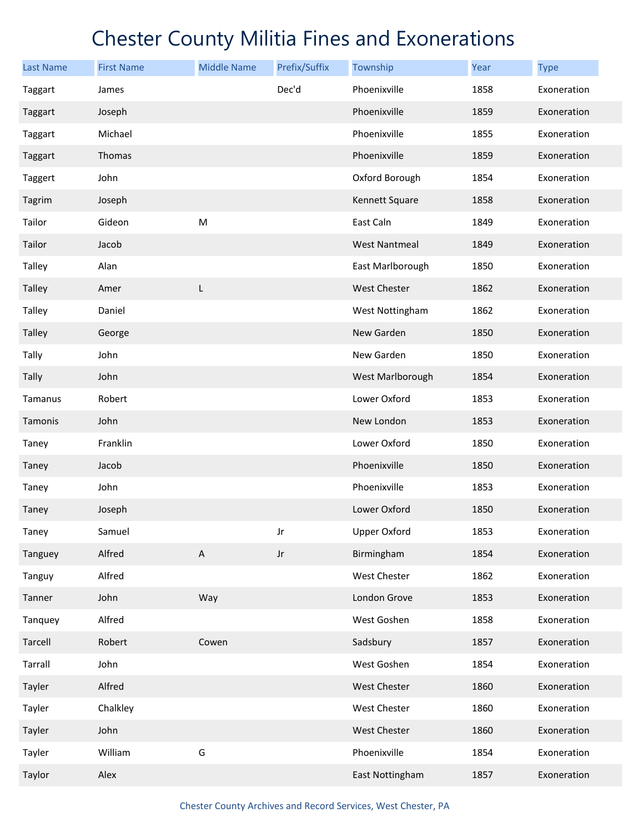| <b>Last Name</b> | <b>First Name</b> | <b>Middle Name</b>        | Prefix/Suffix | Township             | Year | <b>Type</b> |
|------------------|-------------------|---------------------------|---------------|----------------------|------|-------------|
| Taggart          | James             |                           | Dec'd         | Phoenixville         | 1858 | Exoneration |
| Taggart          | Joseph            |                           |               | Phoenixville         | 1859 | Exoneration |
| Taggart          | Michael           |                           |               | Phoenixville         | 1855 | Exoneration |
| Taggart          | Thomas            |                           |               | Phoenixville         | 1859 | Exoneration |
| Taggert          | John              |                           |               | Oxford Borough       | 1854 | Exoneration |
| Tagrim           | Joseph            |                           |               | Kennett Square       | 1858 | Exoneration |
| Tailor           | Gideon            | M                         |               | East Caln            | 1849 | Exoneration |
| Tailor           | Jacob             |                           |               | <b>West Nantmeal</b> | 1849 | Exoneration |
| Talley           | Alan              |                           |               | East Marlborough     | 1850 | Exoneration |
| Talley           | Amer              | L                         |               | <b>West Chester</b>  | 1862 | Exoneration |
| Talley           | Daniel            |                           |               | West Nottingham      | 1862 | Exoneration |
| <b>Talley</b>    | George            |                           |               | New Garden           | 1850 | Exoneration |
| Tally            | John              |                           |               | New Garden           | 1850 | Exoneration |
| Tally            | John              |                           |               | West Marlborough     | 1854 | Exoneration |
| Tamanus          | Robert            |                           |               | Lower Oxford         | 1853 | Exoneration |
| Tamonis          | John              |                           |               | New London           | 1853 | Exoneration |
| Taney            | Franklin          |                           |               | Lower Oxford         | 1850 | Exoneration |
| Taney            | Jacob             |                           |               | Phoenixville         | 1850 | Exoneration |
| Taney            | John              |                           |               | Phoenixville         | 1853 | Exoneration |
| Taney            | Joseph            |                           |               | Lower Oxford         | 1850 | Exoneration |
| Taney            | Samuel            |                           | Jr            | <b>Upper Oxford</b>  | 1853 | Exoneration |
| Tanguey          | Alfred            | $\boldsymbol{\mathsf{A}}$ | $_{\rm Jr}$   | Birmingham           | 1854 | Exoneration |
| Tanguy           | Alfred            |                           |               | West Chester         | 1862 | Exoneration |
| Tanner           | John              | Way                       |               | London Grove         | 1853 | Exoneration |
| Tanquey          | Alfred            |                           |               | West Goshen          | 1858 | Exoneration |
| Tarcell          | Robert            | Cowen                     |               | Sadsbury             | 1857 | Exoneration |
| Tarrall          | John              |                           |               | West Goshen          | 1854 | Exoneration |
| Tayler           | Alfred            |                           |               | <b>West Chester</b>  | 1860 | Exoneration |
| Tayler           | Chalkley          |                           |               | West Chester         | 1860 | Exoneration |
| Tayler           | John              |                           |               | West Chester         | 1860 | Exoneration |
| Tayler           | William           | G                         |               | Phoenixville         | 1854 | Exoneration |
| Taylor           | Alex              |                           |               | East Nottingham      | 1857 | Exoneration |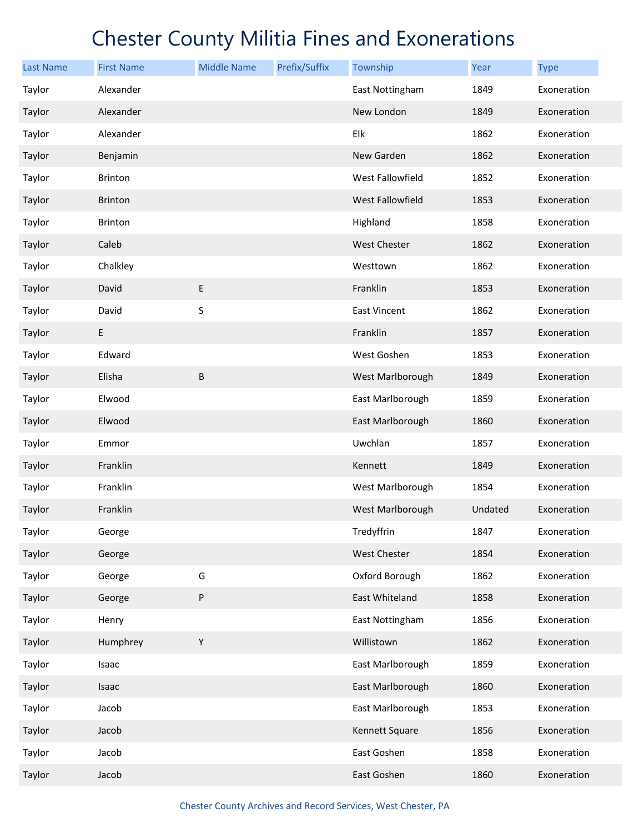| <b>Last Name</b> | <b>First Name</b> | <b>Middle Name</b> | Prefix/Suffix | Township                | Year    | <b>Type</b> |
|------------------|-------------------|--------------------|---------------|-------------------------|---------|-------------|
| Taylor           | Alexander         |                    |               | East Nottingham         | 1849    | Exoneration |
| Taylor           | Alexander         |                    |               | New London              | 1849    | Exoneration |
| Taylor           | Alexander         |                    |               | Elk                     | 1862    | Exoneration |
| Taylor           | Benjamin          |                    |               | New Garden              | 1862    | Exoneration |
| Taylor           | <b>Brinton</b>    |                    |               | West Fallowfield        | 1852    | Exoneration |
| Taylor           | <b>Brinton</b>    |                    |               | <b>West Fallowfield</b> | 1853    | Exoneration |
| Taylor           | <b>Brinton</b>    |                    |               | Highland                | 1858    | Exoneration |
| Taylor           | Caleb             |                    |               | <b>West Chester</b>     | 1862    | Exoneration |
| Taylor           | Chalkley          |                    |               | Westtown                | 1862    | Exoneration |
| Taylor           | David             | $\sf E$            |               | Franklin                | 1853    | Exoneration |
| Taylor           | David             | S                  |               | <b>East Vincent</b>     | 1862    | Exoneration |
| Taylor           | $\mathsf E$       |                    |               | Franklin                | 1857    | Exoneration |
| Taylor           | Edward            |                    |               | West Goshen             | 1853    | Exoneration |
| Taylor           | Elisha            | $\sf B$            |               | West Marlborough        | 1849    | Exoneration |
| Taylor           | Elwood            |                    |               | East Marlborough        | 1859    | Exoneration |
| Taylor           | Elwood            |                    |               | East Marlborough        | 1860    | Exoneration |
| Taylor           | Emmor             |                    |               | Uwchlan                 | 1857    | Exoneration |
| Taylor           | Franklin          |                    |               | Kennett                 | 1849    | Exoneration |
| Taylor           | Franklin          |                    |               | West Marlborough        | 1854    | Exoneration |
| Taylor           | Franklin          |                    |               | West Marlborough        | Undated | Exoneration |
| Taylor           | George            |                    |               | Tredyffrin              | 1847    | Exoneration |
| Taylor           | George            |                    |               | West Chester            | 1854    | Exoneration |
| Taylor           | George            | G                  |               | Oxford Borough          | 1862    | Exoneration |
| Taylor           | George            | ${\sf P}$          |               | East Whiteland          | 1858    | Exoneration |
| Taylor           | Henry             |                    |               | East Nottingham         | 1856    | Exoneration |
| Taylor           | Humphrey          | $\mathsf Y$        |               | Willistown              | 1862    | Exoneration |
| Taylor           | Isaac             |                    |               | East Marlborough        | 1859    | Exoneration |
| Taylor           | Isaac             |                    |               | East Marlborough        | 1860    | Exoneration |
| Taylor           | Jacob             |                    |               | East Marlborough        | 1853    | Exoneration |
| Taylor           | Jacob             |                    |               | Kennett Square          | 1856    | Exoneration |
| Taylor           | Jacob             |                    |               | East Goshen             | 1858    | Exoneration |
| Taylor           | Jacob             |                    |               | East Goshen             | 1860    | Exoneration |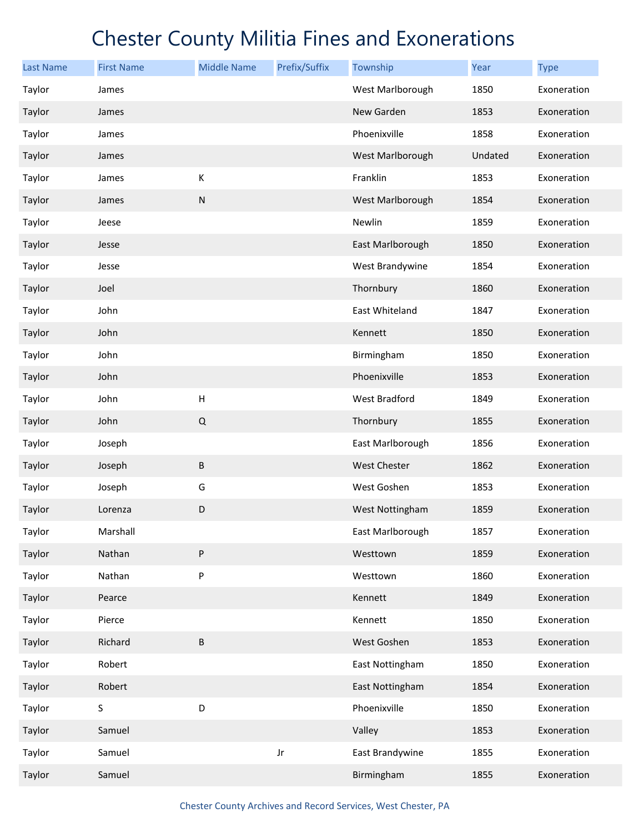| <b>Last Name</b> | <b>First Name</b> | <b>Middle Name</b>        | Prefix/Suffix | Township            | Year    | <b>Type</b> |
|------------------|-------------------|---------------------------|---------------|---------------------|---------|-------------|
| Taylor           | James             |                           |               | West Marlborough    | 1850    | Exoneration |
| Taylor           | James             |                           |               | New Garden          | 1853    | Exoneration |
| Taylor           | James             |                           |               | Phoenixville        | 1858    | Exoneration |
| Taylor           | James             |                           |               | West Marlborough    | Undated | Exoneration |
| Taylor           | James             | К                         |               | Franklin            | 1853    | Exoneration |
| Taylor           | James             | ${\sf N}$                 |               | West Marlborough    | 1854    | Exoneration |
| Taylor           | Jeese             |                           |               | Newlin              | 1859    | Exoneration |
| Taylor           | Jesse             |                           |               | East Marlborough    | 1850    | Exoneration |
| Taylor           | Jesse             |                           |               | West Brandywine     | 1854    | Exoneration |
| Taylor           | Joel              |                           |               | Thornbury           | 1860    | Exoneration |
| Taylor           | John              |                           |               | East Whiteland      | 1847    | Exoneration |
| Taylor           | John              |                           |               | Kennett             | 1850    | Exoneration |
| Taylor           | John              |                           |               | Birmingham          | 1850    | Exoneration |
| Taylor           | John              |                           |               | Phoenixville        | 1853    | Exoneration |
| Taylor           | John              | $\boldsymbol{\mathsf{H}}$ |               | West Bradford       | 1849    | Exoneration |
| Taylor           | John              | $\mathsf Q$               |               | Thornbury           | 1855    | Exoneration |
| Taylor           | Joseph            |                           |               | East Marlborough    | 1856    | Exoneration |
| Taylor           | Joseph            | $\sf B$                   |               | <b>West Chester</b> | 1862    | Exoneration |
| Taylor           | Joseph            | G                         |               | West Goshen         | 1853    | Exoneration |
| Taylor           | Lorenza           | D                         |               | West Nottingham     | 1859    | Exoneration |
| Taylor           | Marshall          |                           |               | East Marlborough    | 1857    | Exoneration |
| Taylor           | Nathan            | ${\sf P}$                 |               | Westtown            | 1859    | Exoneration |
| Taylor           | Nathan            | ${\sf P}$                 |               | Westtown            | 1860    | Exoneration |
| Taylor           | Pearce            |                           |               | Kennett             | 1849    | Exoneration |
| Taylor           | Pierce            |                           |               | Kennett             | 1850    | Exoneration |
| Taylor           | Richard           | $\sf B$                   |               | West Goshen         | 1853    | Exoneration |
| Taylor           | Robert            |                           |               | East Nottingham     | 1850    | Exoneration |
| Taylor           | Robert            |                           |               | East Nottingham     | 1854    | Exoneration |
| Taylor           | $\sf S$           | D                         |               | Phoenixville        | 1850    | Exoneration |
| Taylor           | Samuel            |                           |               | Valley              | 1853    | Exoneration |
| Taylor           | Samuel            |                           | Jr            | East Brandywine     | 1855    | Exoneration |
| Taylor           | Samuel            |                           |               | Birmingham          | 1855    | Exoneration |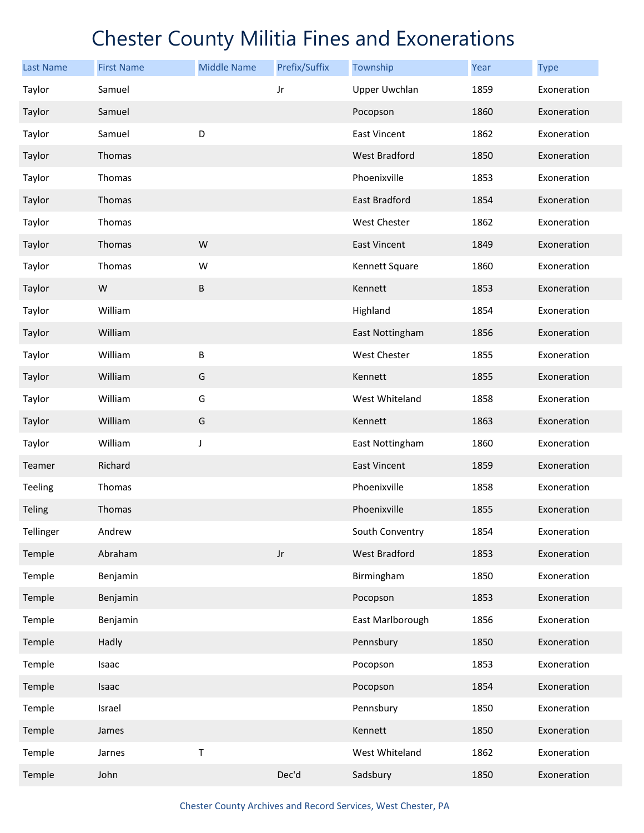| <b>Last Name</b> | <b>First Name</b> | <b>Middle Name</b> | Prefix/Suffix          | Township             | Year | <b>Type</b> |
|------------------|-------------------|--------------------|------------------------|----------------------|------|-------------|
| Taylor           | Samuel            |                    | Jr                     | <b>Upper Uwchlan</b> | 1859 | Exoneration |
| Taylor           | Samuel            |                    |                        | Pocopson             | 1860 | Exoneration |
| Taylor           | Samuel            | D                  |                        | East Vincent         | 1862 | Exoneration |
| Taylor           | Thomas            |                    |                        | West Bradford        | 1850 | Exoneration |
| Taylor           | Thomas            |                    |                        | Phoenixville         | 1853 | Exoneration |
| Taylor           | Thomas            |                    |                        | East Bradford        | 1854 | Exoneration |
| Taylor           | Thomas            |                    |                        | West Chester         | 1862 | Exoneration |
| Taylor           | Thomas            | W                  |                        | <b>East Vincent</b>  | 1849 | Exoneration |
| Taylor           | Thomas            | W                  |                        | Kennett Square       | 1860 | Exoneration |
| Taylor           | ${\sf W}$         | $\sf B$            |                        | Kennett              | 1853 | Exoneration |
| Taylor           | William           |                    |                        | Highland             | 1854 | Exoneration |
| Taylor           | William           |                    |                        | East Nottingham      | 1856 | Exoneration |
| Taylor           | William           | $\sf B$            |                        | West Chester         | 1855 | Exoneration |
| Taylor           | William           | G                  |                        | Kennett              | 1855 | Exoneration |
| Taylor           | William           | G                  |                        | West Whiteland       | 1858 | Exoneration |
| Taylor           | William           | G                  |                        | Kennett              | 1863 | Exoneration |
| Taylor           | William           | J                  |                        | East Nottingham      | 1860 | Exoneration |
| Teamer           | Richard           |                    |                        | <b>East Vincent</b>  | 1859 | Exoneration |
| Teeling          | Thomas            |                    |                        | Phoenixville         | 1858 | Exoneration |
| <b>Teling</b>    | Thomas            |                    |                        | Phoenixville         | 1855 | Exoneration |
| Tellinger        | Andrew            |                    |                        | South Conventry      | 1854 | Exoneration |
| Temple           | Abraham           |                    | $\mathsf{J}\mathsf{r}$ | West Bradford        | 1853 | Exoneration |
| Temple           | Benjamin          |                    |                        | Birmingham           | 1850 | Exoneration |
| Temple           | Benjamin          |                    |                        | Pocopson             | 1853 | Exoneration |
| Temple           | Benjamin          |                    |                        | East Marlborough     | 1856 | Exoneration |
| Temple           | Hadly             |                    |                        | Pennsbury            | 1850 | Exoneration |
| Temple           | Isaac             |                    |                        | Pocopson             | 1853 | Exoneration |
| Temple           | Isaac             |                    |                        | Pocopson             | 1854 | Exoneration |
| Temple           | Israel            |                    |                        | Pennsbury            | 1850 | Exoneration |
| Temple           | James             |                    |                        | Kennett              | 1850 | Exoneration |
| Temple           | Jarnes            | Τ                  |                        | West Whiteland       | 1862 | Exoneration |
| Temple           | John              |                    | Dec'd                  | Sadsbury             | 1850 | Exoneration |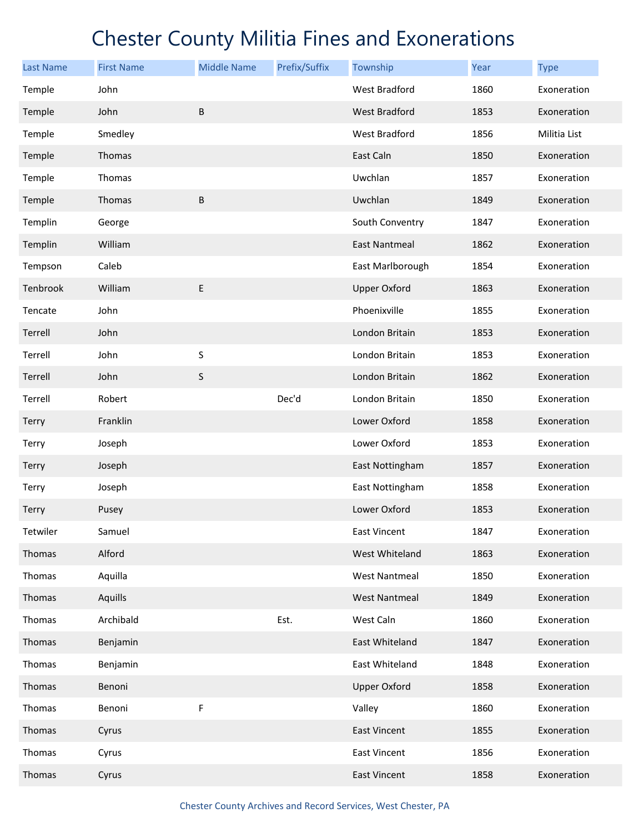| Last Name | <b>First Name</b> | <b>Middle Name</b> | Prefix/Suffix | Township             | Year | <b>Type</b>  |
|-----------|-------------------|--------------------|---------------|----------------------|------|--------------|
| Temple    | John              |                    |               | West Bradford        | 1860 | Exoneration  |
| Temple    | John              | B                  |               | <b>West Bradford</b> | 1853 | Exoneration  |
| Temple    | Smedley           |                    |               | West Bradford        | 1856 | Militia List |
| Temple    | Thomas            |                    |               | East Caln            | 1850 | Exoneration  |
| Temple    | Thomas            |                    |               | Uwchlan              | 1857 | Exoneration  |
| Temple    | Thomas            | $\sf B$            |               | Uwchlan              | 1849 | Exoneration  |
| Templin   | George            |                    |               | South Conventry      | 1847 | Exoneration  |
| Templin   | William           |                    |               | <b>East Nantmeal</b> | 1862 | Exoneration  |
| Tempson   | Caleb             |                    |               | East Marlborough     | 1854 | Exoneration  |
| Tenbrook  | William           | $\sf E$            |               | <b>Upper Oxford</b>  | 1863 | Exoneration  |
| Tencate   | John              |                    |               | Phoenixville         | 1855 | Exoneration  |
| Terrell   | John              |                    |               | London Britain       | 1853 | Exoneration  |
| Terrell   | John              | $\sf S$            |               | London Britain       | 1853 | Exoneration  |
| Terrell   | John              | $\sf S$            |               | London Britain       | 1862 | Exoneration  |
| Terrell   | Robert            |                    | Dec'd         | London Britain       | 1850 | Exoneration  |
| Terry     | Franklin          |                    |               | Lower Oxford         | 1858 | Exoneration  |
| Terry     | Joseph            |                    |               | Lower Oxford         | 1853 | Exoneration  |
| Terry     | Joseph            |                    |               | East Nottingham      | 1857 | Exoneration  |
| Terry     | Joseph            |                    |               | East Nottingham      | 1858 | Exoneration  |
| Terry     | Pusey             |                    |               | Lower Oxford         | 1853 | Exoneration  |
| Tetwiler  | Samuel            |                    |               | <b>East Vincent</b>  | 1847 | Exoneration  |
| Thomas    | Alford            |                    |               | West Whiteland       | 1863 | Exoneration  |
| Thomas    | Aquilla           |                    |               | <b>West Nantmeal</b> | 1850 | Exoneration  |
| Thomas    | Aquills           |                    |               | <b>West Nantmeal</b> | 1849 | Exoneration  |
| Thomas    | Archibald         |                    | Est.          | West Caln            | 1860 | Exoneration  |
| Thomas    | Benjamin          |                    |               | East Whiteland       | 1847 | Exoneration  |
| Thomas    | Benjamin          |                    |               | East Whiteland       | 1848 | Exoneration  |
| Thomas    | Benoni            |                    |               | <b>Upper Oxford</b>  | 1858 | Exoneration  |
| Thomas    | Benoni            | F                  |               | Valley               | 1860 | Exoneration  |
| Thomas    | Cyrus             |                    |               | <b>East Vincent</b>  | 1855 | Exoneration  |
| Thomas    | Cyrus             |                    |               | East Vincent         | 1856 | Exoneration  |
| Thomas    | Cyrus             |                    |               | <b>East Vincent</b>  | 1858 | Exoneration  |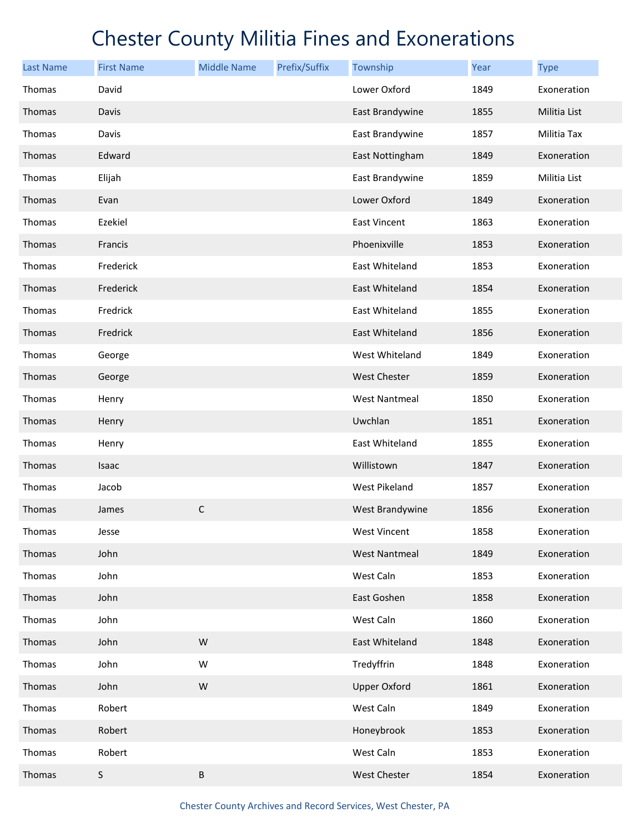| <b>Last Name</b> | <b>First Name</b> | <b>Middle Name</b> | Prefix/Suffix | Township             | Year | <b>Type</b>  |
|------------------|-------------------|--------------------|---------------|----------------------|------|--------------|
| Thomas           | David             |                    |               | Lower Oxford         | 1849 | Exoneration  |
| Thomas           | Davis             |                    |               | East Brandywine      | 1855 | Militia List |
| Thomas           | Davis             |                    |               | East Brandywine      | 1857 | Militia Tax  |
| Thomas           | Edward            |                    |               | East Nottingham      | 1849 | Exoneration  |
| Thomas           | Elijah            |                    |               | East Brandywine      | 1859 | Militia List |
| Thomas           | Evan              |                    |               | Lower Oxford         | 1849 | Exoneration  |
| Thomas           | Ezekiel           |                    |               | <b>East Vincent</b>  | 1863 | Exoneration  |
| Thomas           | Francis           |                    |               | Phoenixville         | 1853 | Exoneration  |
| Thomas           | Frederick         |                    |               | East Whiteland       | 1853 | Exoneration  |
| Thomas           | Frederick         |                    |               | East Whiteland       | 1854 | Exoneration  |
| Thomas           | Fredrick          |                    |               | East Whiteland       | 1855 | Exoneration  |
| Thomas           | Fredrick          |                    |               | East Whiteland       | 1856 | Exoneration  |
| Thomas           | George            |                    |               | West Whiteland       | 1849 | Exoneration  |
| Thomas           | George            |                    |               | <b>West Chester</b>  | 1859 | Exoneration  |
| Thomas           | Henry             |                    |               | <b>West Nantmeal</b> | 1850 | Exoneration  |
| Thomas           | Henry             |                    |               | Uwchlan              | 1851 | Exoneration  |
| Thomas           | Henry             |                    |               | East Whiteland       | 1855 | Exoneration  |
| Thomas           | Isaac             |                    |               | Willistown           | 1847 | Exoneration  |
| Thomas           | Jacob             |                    |               | West Pikeland        | 1857 | Exoneration  |
| Thomas           | James             | $\mathsf C$        |               | West Brandywine      | 1856 | Exoneration  |
| Thomas           | Jesse             |                    |               | <b>West Vincent</b>  | 1858 | Exoneration  |
| Thomas           | John              |                    |               | <b>West Nantmeal</b> | 1849 | Exoneration  |
| Thomas           | John              |                    |               | West Caln            | 1853 | Exoneration  |
| Thomas           | John              |                    |               | East Goshen          | 1858 | Exoneration  |
| Thomas           | John              |                    |               | West Caln            | 1860 | Exoneration  |
| Thomas           | John              | W                  |               | East Whiteland       | 1848 | Exoneration  |
| Thomas           | John              | W                  |               | Tredyffrin           | 1848 | Exoneration  |
| Thomas           | John              | ${\sf W}$          |               | <b>Upper Oxford</b>  | 1861 | Exoneration  |
| Thomas           | Robert            |                    |               | West Caln            | 1849 | Exoneration  |
| Thomas           | Robert            |                    |               | Honeybrook           | 1853 | Exoneration  |
| Thomas           | Robert            |                    |               | West Caln            | 1853 | Exoneration  |
| Thomas           | $\sf S$           | $\sf B$            |               | West Chester         | 1854 | Exoneration  |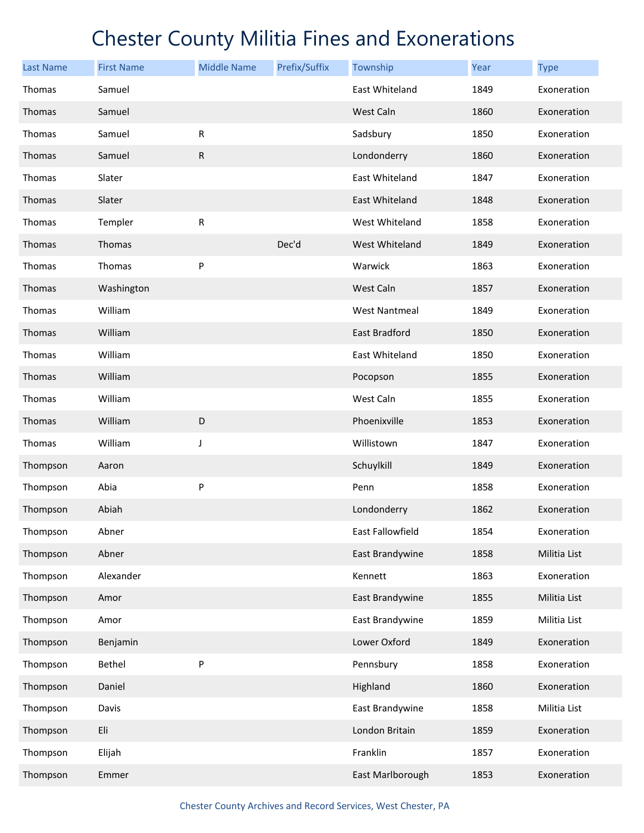| <b>Last Name</b> | <b>First Name</b> | <b>Middle Name</b> | Prefix/Suffix | Township             | Year | <b>Type</b>  |
|------------------|-------------------|--------------------|---------------|----------------------|------|--------------|
| Thomas           | Samuel            |                    |               | East Whiteland       | 1849 | Exoneration  |
| Thomas           | Samuel            |                    |               | West Caln            | 1860 | Exoneration  |
| Thomas           | Samuel            | R                  |               | Sadsbury             | 1850 | Exoneration  |
| Thomas           | Samuel            | ${\sf R}$          |               | Londonderry          | 1860 | Exoneration  |
| Thomas           | Slater            |                    |               | East Whiteland       | 1847 | Exoneration  |
| Thomas           | Slater            |                    |               | East Whiteland       | 1848 | Exoneration  |
| Thomas           | Templer           | ${\sf R}$          |               | West Whiteland       | 1858 | Exoneration  |
| Thomas           | Thomas            |                    | Dec'd         | West Whiteland       | 1849 | Exoneration  |
| Thomas           | Thomas            | P                  |               | Warwick              | 1863 | Exoneration  |
| Thomas           | Washington        |                    |               | West Caln            | 1857 | Exoneration  |
| Thomas           | William           |                    |               | <b>West Nantmeal</b> | 1849 | Exoneration  |
| Thomas           | William           |                    |               | <b>East Bradford</b> | 1850 | Exoneration  |
| Thomas           | William           |                    |               | East Whiteland       | 1850 | Exoneration  |
| Thomas           | William           |                    |               | Pocopson             | 1855 | Exoneration  |
| Thomas           | William           |                    |               | West Caln            | 1855 | Exoneration  |
| Thomas           | William           | $\mathsf D$        |               | Phoenixville         | 1853 | Exoneration  |
| Thomas           | William           | J                  |               | Willistown           | 1847 | Exoneration  |
| Thompson         | Aaron             |                    |               | Schuylkill           | 1849 | Exoneration  |
| Thompson         | Abia              | P                  |               | Penn                 | 1858 | Exoneration  |
| Thompson         | Abiah             |                    |               | Londonderry          | 1862 | Exoneration  |
| Thompson         | Abner             |                    |               | East Fallowfield     | 1854 | Exoneration  |
| Thompson         | Abner             |                    |               | East Brandywine      | 1858 | Militia List |
| Thompson         | Alexander         |                    |               | Kennett              | 1863 | Exoneration  |
| Thompson         | Amor              |                    |               | East Brandywine      | 1855 | Militia List |
| Thompson         | Amor              |                    |               | East Brandywine      | 1859 | Militia List |
| Thompson         | Benjamin          |                    |               | Lower Oxford         | 1849 | Exoneration  |
| Thompson         | Bethel            | P                  |               | Pennsbury            | 1858 | Exoneration  |
| Thompson         | Daniel            |                    |               | Highland             | 1860 | Exoneration  |
| Thompson         | Davis             |                    |               | East Brandywine      | 1858 | Militia List |
| Thompson         | Eli               |                    |               | London Britain       | 1859 | Exoneration  |
| Thompson         | Elijah            |                    |               | Franklin             | 1857 | Exoneration  |
| Thompson         | Emmer             |                    |               | East Marlborough     | 1853 | Exoneration  |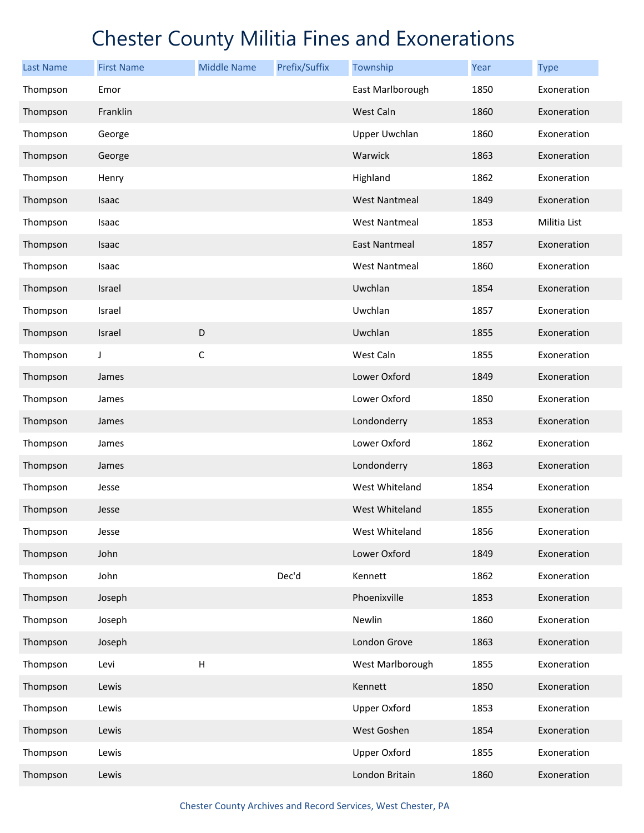| <b>Last Name</b> | <b>First Name</b> | <b>Middle Name</b>        | Prefix/Suffix | Township             | Year | <b>Type</b>  |
|------------------|-------------------|---------------------------|---------------|----------------------|------|--------------|
| Thompson         | Emor              |                           |               | East Marlborough     | 1850 | Exoneration  |
| Thompson         | Franklin          |                           |               | West Caln            | 1860 | Exoneration  |
| Thompson         | George            |                           |               | <b>Upper Uwchlan</b> | 1860 | Exoneration  |
| Thompson         | George            |                           |               | Warwick              | 1863 | Exoneration  |
| Thompson         | Henry             |                           |               | Highland             | 1862 | Exoneration  |
| Thompson         | Isaac             |                           |               | <b>West Nantmeal</b> | 1849 | Exoneration  |
| Thompson         | Isaac             |                           |               | <b>West Nantmeal</b> | 1853 | Militia List |
| Thompson         | Isaac             |                           |               | <b>East Nantmeal</b> | 1857 | Exoneration  |
| Thompson         | Isaac             |                           |               | <b>West Nantmeal</b> | 1860 | Exoneration  |
| Thompson         | Israel            |                           |               | Uwchlan              | 1854 | Exoneration  |
| Thompson         | Israel            |                           |               | Uwchlan              | 1857 | Exoneration  |
| Thompson         | Israel            | D                         |               | Uwchlan              | 1855 | Exoneration  |
| Thompson         | J                 | $\mathsf C$               |               | West Caln            | 1855 | Exoneration  |
| Thompson         | James             |                           |               | Lower Oxford         | 1849 | Exoneration  |
| Thompson         | James             |                           |               | Lower Oxford         | 1850 | Exoneration  |
| Thompson         | James             |                           |               | Londonderry          | 1853 | Exoneration  |
| Thompson         | James             |                           |               | Lower Oxford         | 1862 | Exoneration  |
| Thompson         | James             |                           |               | Londonderry          | 1863 | Exoneration  |
| Thompson         | Jesse             |                           |               | West Whiteland       | 1854 | Exoneration  |
| Thompson         | Jesse             |                           |               | West Whiteland       | 1855 | Exoneration  |
| Thompson         | Jesse             |                           |               | West Whiteland       | 1856 | Exoneration  |
| Thompson         | John              |                           |               | Lower Oxford         | 1849 | Exoneration  |
| Thompson         | John              |                           | Dec'd         | Kennett              | 1862 | Exoneration  |
| Thompson         | Joseph            |                           |               | Phoenixville         | 1853 | Exoneration  |
| Thompson         | Joseph            |                           |               | Newlin               | 1860 | Exoneration  |
| Thompson         | Joseph            |                           |               | London Grove         | 1863 | Exoneration  |
| Thompson         | Levi              | $\boldsymbol{\mathsf{H}}$ |               | West Marlborough     | 1855 | Exoneration  |
| Thompson         | Lewis             |                           |               | Kennett              | 1850 | Exoneration  |
| Thompson         | Lewis             |                           |               | <b>Upper Oxford</b>  | 1853 | Exoneration  |
| Thompson         | Lewis             |                           |               | West Goshen          | 1854 | Exoneration  |
| Thompson         | Lewis             |                           |               | <b>Upper Oxford</b>  | 1855 | Exoneration  |
| Thompson         | Lewis             |                           |               | London Britain       | 1860 | Exoneration  |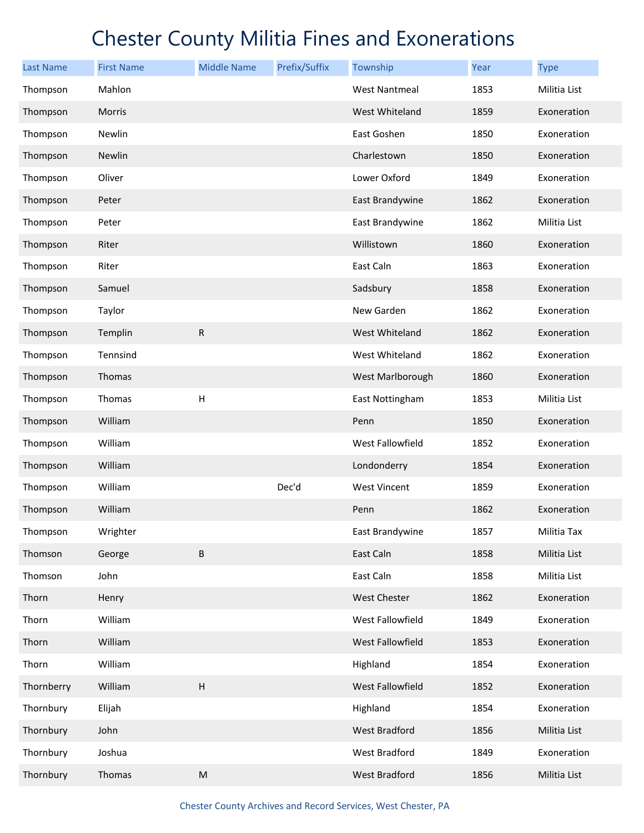| <b>Last Name</b> | <b>First Name</b> | <b>Middle Name</b>        | Prefix/Suffix | Township             | Year | <b>Type</b>  |
|------------------|-------------------|---------------------------|---------------|----------------------|------|--------------|
| Thompson         | Mahlon            |                           |               | <b>West Nantmeal</b> | 1853 | Militia List |
| Thompson         | Morris            |                           |               | West Whiteland       | 1859 | Exoneration  |
| Thompson         | Newlin            |                           |               | East Goshen          | 1850 | Exoneration  |
| Thompson         | Newlin            |                           |               | Charlestown          | 1850 | Exoneration  |
| Thompson         | Oliver            |                           |               | Lower Oxford         | 1849 | Exoneration  |
| Thompson         | Peter             |                           |               | East Brandywine      | 1862 | Exoneration  |
| Thompson         | Peter             |                           |               | East Brandywine      | 1862 | Militia List |
| Thompson         | Riter             |                           |               | Willistown           | 1860 | Exoneration  |
| Thompson         | Riter             |                           |               | East Caln            | 1863 | Exoneration  |
| Thompson         | Samuel            |                           |               | Sadsbury             | 1858 | Exoneration  |
| Thompson         | Taylor            |                           |               | New Garden           | 1862 | Exoneration  |
| Thompson         | Templin           | $\mathsf{R}$              |               | West Whiteland       | 1862 | Exoneration  |
| Thompson         | Tennsind          |                           |               | West Whiteland       | 1862 | Exoneration  |
| Thompson         | Thomas            |                           |               | West Marlborough     | 1860 | Exoneration  |
| Thompson         | Thomas            | H                         |               | East Nottingham      | 1853 | Militia List |
| Thompson         | William           |                           |               | Penn                 | 1850 | Exoneration  |
| Thompson         | William           |                           |               | West Fallowfield     | 1852 | Exoneration  |
| Thompson         | William           |                           |               | Londonderry          | 1854 | Exoneration  |
| Thompson         | William           |                           | Dec'd         | <b>West Vincent</b>  | 1859 | Exoneration  |
| Thompson         | William           |                           |               | Penn                 | 1862 | Exoneration  |
| Thompson         | Wrighter          |                           |               | East Brandywine      | 1857 | Militia Tax  |
| Thomson          | George            | $\sf B$                   |               | East Caln            | 1858 | Militia List |
| Thomson          | John              |                           |               | East Caln            | 1858 | Militia List |
| Thorn            | Henry             |                           |               | <b>West Chester</b>  | 1862 | Exoneration  |
| Thorn            | William           |                           |               | West Fallowfield     | 1849 | Exoneration  |
| Thorn            | William           |                           |               | West Fallowfield     | 1853 | Exoneration  |
| Thorn            | William           |                           |               | Highland             | 1854 | Exoneration  |
| Thornberry       | William           | $\boldsymbol{\mathsf{H}}$ |               | West Fallowfield     | 1852 | Exoneration  |
| Thornbury        | Elijah            |                           |               | Highland             | 1854 | Exoneration  |
| Thornbury        | John              |                           |               | West Bradford        | 1856 | Militia List |
| Thornbury        | Joshua            |                           |               | West Bradford        | 1849 | Exoneration  |
| Thornbury        | Thomas            | ${\sf M}$                 |               | West Bradford        | 1856 | Militia List |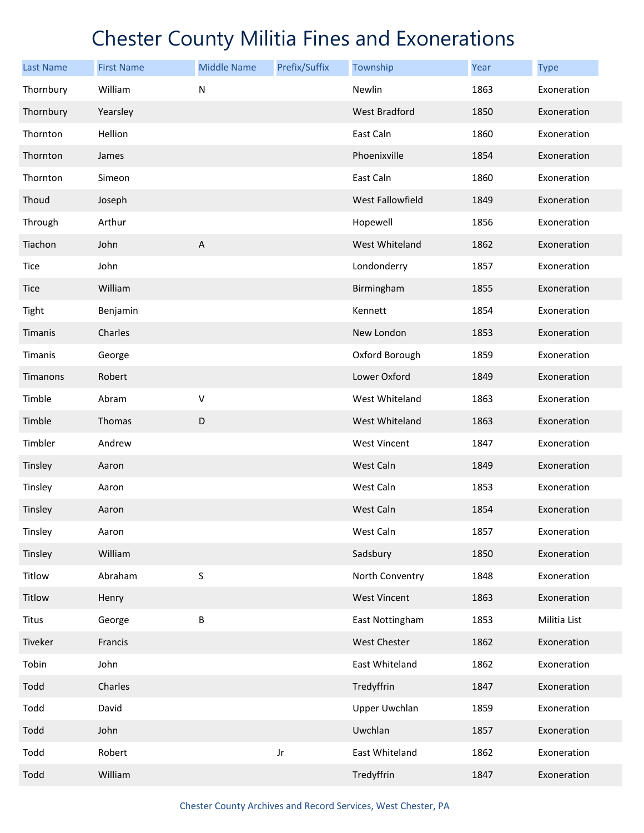| <b>Last Name</b> | <b>First Name</b> | <b>Middle Name</b> | Prefix/Suffix | Township                | Year | <b>Type</b>  |
|------------------|-------------------|--------------------|---------------|-------------------------|------|--------------|
| Thornbury        | William           | $\mathsf{N}$       |               | Newlin                  | 1863 | Exoneration  |
| Thornbury        | Yearsley          |                    |               | West Bradford           | 1850 | Exoneration  |
| Thornton         | Hellion           |                    |               | East Caln               | 1860 | Exoneration  |
| Thornton         | James             |                    |               | Phoenixville            | 1854 | Exoneration  |
| Thornton         | Simeon            |                    |               | East Caln               | 1860 | Exoneration  |
| Thoud            | Joseph            |                    |               | <b>West Fallowfield</b> | 1849 | Exoneration  |
| Through          | Arthur            |                    |               | Hopewell                | 1856 | Exoneration  |
| Tiachon          | John              | $\mathsf A$        |               | West Whiteland          | 1862 | Exoneration  |
| Tice             | John              |                    |               | Londonderry             | 1857 | Exoneration  |
| <b>Tice</b>      | William           |                    |               | Birmingham              | 1855 | Exoneration  |
| Tight            | Benjamin          |                    |               | Kennett                 | 1854 | Exoneration  |
| Timanis          | Charles           |                    |               | New London              | 1853 | Exoneration  |
| Timanis          | George            |                    |               | Oxford Borough          | 1859 | Exoneration  |
| Timanons         | Robert            |                    |               | Lower Oxford            | 1849 | Exoneration  |
| Timble           | Abram             | V                  |               | West Whiteland          | 1863 | Exoneration  |
| Timble           | Thomas            | D                  |               | West Whiteland          | 1863 | Exoneration  |
| Timbler          | Andrew            |                    |               | <b>West Vincent</b>     | 1847 | Exoneration  |
| Tinsley          | Aaron             |                    |               | West Caln               | 1849 | Exoneration  |
| Tinsley          | Aaron             |                    |               | West Caln               | 1853 | Exoneration  |
| Tinsley          | Aaron             |                    |               | West Caln               | 1854 | Exoneration  |
| Tinsley          | Aaron             |                    |               | West Caln               | 1857 | Exoneration  |
| Tinsley          | William           |                    |               | Sadsbury                | 1850 | Exoneration  |
| Titlow           | Abraham           | $\sf S$            |               | North Conventry         | 1848 | Exoneration  |
| Titlow           | Henry             |                    |               | <b>West Vincent</b>     | 1863 | Exoneration  |
| <b>Titus</b>     | George            | B                  |               | East Nottingham         | 1853 | Militia List |
| Tiveker          | Francis           |                    |               | West Chester            | 1862 | Exoneration  |
| Tobin            | John              |                    |               | East Whiteland          | 1862 | Exoneration  |
| Todd             | Charles           |                    |               | Tredyffrin              | 1847 | Exoneration  |
| Todd             | David             |                    |               | <b>Upper Uwchlan</b>    | 1859 | Exoneration  |
| Todd             | John              |                    |               | Uwchlan                 | 1857 | Exoneration  |
| Todd             | Robert            |                    | Jr            | East Whiteland          | 1862 | Exoneration  |
| Todd             | William           |                    |               | Tredyffrin              | 1847 | Exoneration  |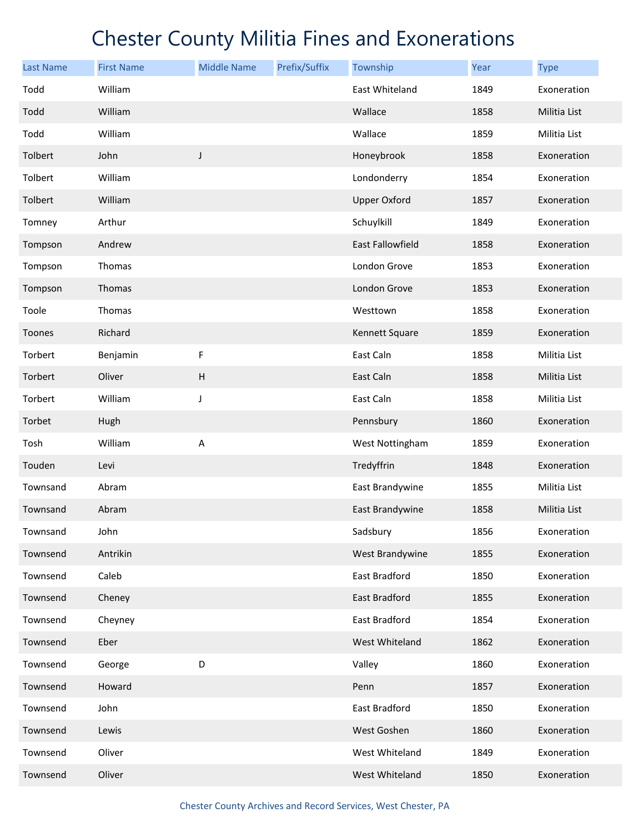| <b>Last Name</b> | <b>First Name</b> | <b>Middle Name</b>        | Prefix/Suffix | Township            | Year | <b>Type</b>  |
|------------------|-------------------|---------------------------|---------------|---------------------|------|--------------|
| Todd             | William           |                           |               | East Whiteland      | 1849 | Exoneration  |
| Todd             | William           |                           |               | Wallace             | 1858 | Militia List |
| Todd             | William           |                           |               | Wallace             | 1859 | Militia List |
| Tolbert          | John              | $\mathsf J$               |               | Honeybrook          | 1858 | Exoneration  |
| Tolbert          | William           |                           |               | Londonderry         | 1854 | Exoneration  |
| Tolbert          | William           |                           |               | <b>Upper Oxford</b> | 1857 | Exoneration  |
| Tomney           | Arthur            |                           |               | Schuylkill          | 1849 | Exoneration  |
| Tompson          | Andrew            |                           |               | East Fallowfield    | 1858 | Exoneration  |
| Tompson          | Thomas            |                           |               | London Grove        | 1853 | Exoneration  |
| Tompson          | Thomas            |                           |               | London Grove        | 1853 | Exoneration  |
| Toole            | Thomas            |                           |               | Westtown            | 1858 | Exoneration  |
| Toones           | Richard           |                           |               | Kennett Square      | 1859 | Exoneration  |
| Torbert          | Benjamin          | F                         |               | East Caln           | 1858 | Militia List |
| Torbert          | Oliver            | $\boldsymbol{\mathsf{H}}$ |               | East Caln           | 1858 | Militia List |
| Torbert          | William           | J                         |               | East Caln           | 1858 | Militia List |
| Torbet           | Hugh              |                           |               | Pennsbury           | 1860 | Exoneration  |
| Tosh             | William           | Α                         |               | West Nottingham     | 1859 | Exoneration  |
| Touden           | Levi              |                           |               | Tredyffrin          | 1848 | Exoneration  |
| Townsand         | Abram             |                           |               | East Brandywine     | 1855 | Militia List |
| Townsand         | Abram             |                           |               | East Brandywine     | 1858 | Militia List |
| Townsand         | John              |                           |               | Sadsbury            | 1856 | Exoneration  |
| Townsend         | Antrikin          |                           |               | West Brandywine     | 1855 | Exoneration  |
| Townsend         | Caleb             |                           |               | East Bradford       | 1850 | Exoneration  |
| Townsend         | Cheney            |                           |               | East Bradford       | 1855 | Exoneration  |
| Townsend         | Cheyney           |                           |               | East Bradford       | 1854 | Exoneration  |
| Townsend         | Eber              |                           |               | West Whiteland      | 1862 | Exoneration  |
| Townsend         | George            | D                         |               | Valley              | 1860 | Exoneration  |
| Townsend         | Howard            |                           |               | Penn                | 1857 | Exoneration  |
| Townsend         | John              |                           |               | East Bradford       | 1850 | Exoneration  |
| Townsend         | Lewis             |                           |               | West Goshen         | 1860 | Exoneration  |
| Townsend         | Oliver            |                           |               | West Whiteland      | 1849 | Exoneration  |
| Townsend         | Oliver            |                           |               | West Whiteland      | 1850 | Exoneration  |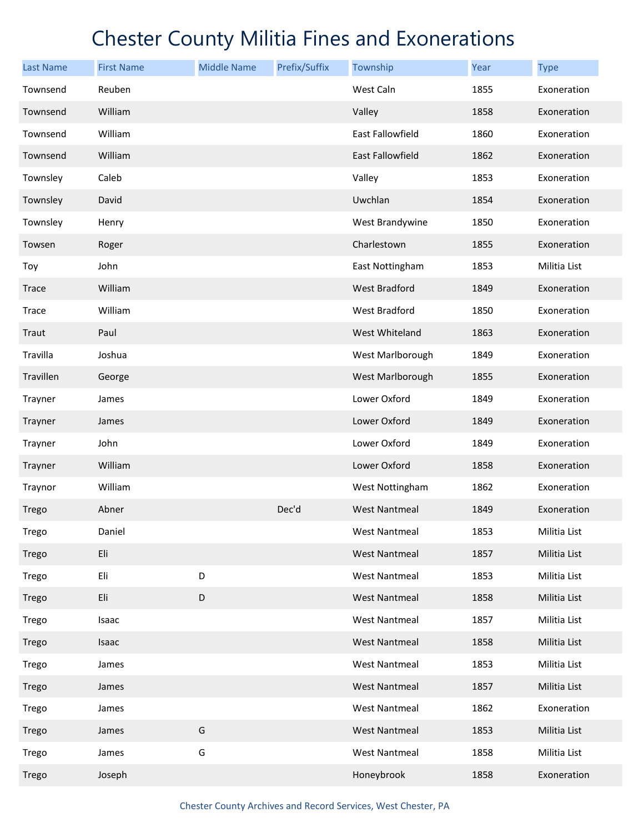| <b>Last Name</b> | <b>First Name</b> | <b>Middle Name</b> | Prefix/Suffix | Township             | Year | <b>Type</b>  |
|------------------|-------------------|--------------------|---------------|----------------------|------|--------------|
| Townsend         | Reuben            |                    |               | West Caln            | 1855 | Exoneration  |
| Townsend         | William           |                    |               | Valley               | 1858 | Exoneration  |
| Townsend         | William           |                    |               | East Fallowfield     | 1860 | Exoneration  |
| Townsend         | William           |                    |               | East Fallowfield     | 1862 | Exoneration  |
| Townsley         | Caleb             |                    |               | Valley               | 1853 | Exoneration  |
| Townsley         | David             |                    |               | Uwchlan              | 1854 | Exoneration  |
| Townsley         | Henry             |                    |               | West Brandywine      | 1850 | Exoneration  |
| Towsen           | Roger             |                    |               | Charlestown          | 1855 | Exoneration  |
| Toy              | John              |                    |               | East Nottingham      | 1853 | Militia List |
| <b>Trace</b>     | William           |                    |               | <b>West Bradford</b> | 1849 | Exoneration  |
| <b>Trace</b>     | William           |                    |               | West Bradford        | 1850 | Exoneration  |
| Traut            | Paul              |                    |               | West Whiteland       | 1863 | Exoneration  |
| Travilla         | Joshua            |                    |               | West Marlborough     | 1849 | Exoneration  |
| Travillen        | George            |                    |               | West Marlborough     | 1855 | Exoneration  |
| Trayner          | James             |                    |               | Lower Oxford         | 1849 | Exoneration  |
| Trayner          | James             |                    |               | Lower Oxford         | 1849 | Exoneration  |
| Trayner          | John              |                    |               | Lower Oxford         | 1849 | Exoneration  |
| Trayner          | William           |                    |               | Lower Oxford         | 1858 | Exoneration  |
| Traynor          | William           |                    |               | West Nottingham      | 1862 | Exoneration  |
| Trego            | Abner             |                    | Dec'd         | <b>West Nantmeal</b> | 1849 | Exoneration  |
| Trego            | Daniel            |                    |               | <b>West Nantmeal</b> | 1853 | Militia List |
| Trego            | Eli               |                    |               | <b>West Nantmeal</b> | 1857 | Militia List |
| Trego            | Eli               | D                  |               | <b>West Nantmeal</b> | 1853 | Militia List |
| Trego            | Eli               | $\mathsf D$        |               | <b>West Nantmeal</b> | 1858 | Militia List |
| Trego            | Isaac             |                    |               | <b>West Nantmeal</b> | 1857 | Militia List |
| Trego            | Isaac             |                    |               | <b>West Nantmeal</b> | 1858 | Militia List |
| Trego            | James             |                    |               | <b>West Nantmeal</b> | 1853 | Militia List |
| Trego            | James             |                    |               | <b>West Nantmeal</b> | 1857 | Militia List |
| Trego            | James             |                    |               | <b>West Nantmeal</b> | 1862 | Exoneration  |
| Trego            | James             | G                  |               | <b>West Nantmeal</b> | 1853 | Militia List |
| Trego            | James             | G                  |               | <b>West Nantmeal</b> | 1858 | Militia List |
| Trego            | Joseph            |                    |               | Honeybrook           | 1858 | Exoneration  |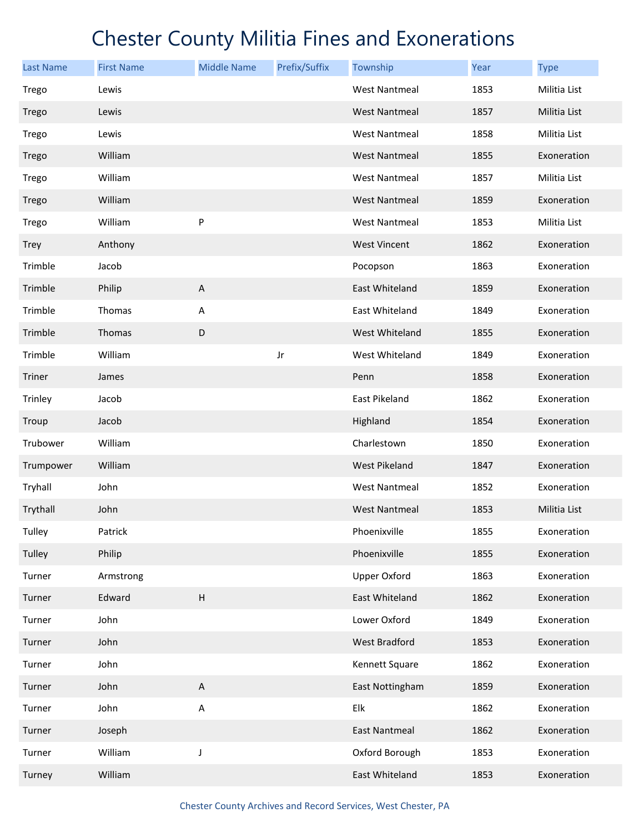| <b>Last Name</b> | <b>First Name</b> | <b>Middle Name</b>        | Prefix/Suffix | Township             | Year | <b>Type</b>  |
|------------------|-------------------|---------------------------|---------------|----------------------|------|--------------|
| Trego            | Lewis             |                           |               | <b>West Nantmeal</b> | 1853 | Militia List |
| Trego            | Lewis             |                           |               | <b>West Nantmeal</b> | 1857 | Militia List |
| Trego            | Lewis             |                           |               | <b>West Nantmeal</b> | 1858 | Militia List |
| Trego            | William           |                           |               | <b>West Nantmeal</b> | 1855 | Exoneration  |
| Trego            | William           |                           |               | West Nantmeal        | 1857 | Militia List |
| Trego            | William           |                           |               | <b>West Nantmeal</b> | 1859 | Exoneration  |
| Trego            | William           | P                         |               | <b>West Nantmeal</b> | 1853 | Militia List |
| Trey             | Anthony           |                           |               | <b>West Vincent</b>  | 1862 | Exoneration  |
| Trimble          | Jacob             |                           |               | Pocopson             | 1863 | Exoneration  |
| Trimble          | Philip            | $\mathsf A$               |               | East Whiteland       | 1859 | Exoneration  |
| Trimble          | Thomas            | Α                         |               | East Whiteland       | 1849 | Exoneration  |
| Trimble          | Thomas            | D                         |               | West Whiteland       | 1855 | Exoneration  |
| Trimble          | William           |                           | Jr            | West Whiteland       | 1849 | Exoneration  |
| <b>Triner</b>    | James             |                           |               | Penn                 | 1858 | Exoneration  |
| Trinley          | Jacob             |                           |               | East Pikeland        | 1862 | Exoneration  |
| Troup            | Jacob             |                           |               | Highland             | 1854 | Exoneration  |
| Trubower         | William           |                           |               | Charlestown          | 1850 | Exoneration  |
| Trumpower        | William           |                           |               | West Pikeland        | 1847 | Exoneration  |
| Tryhall          | John              |                           |               | <b>West Nantmeal</b> | 1852 | Exoneration  |
| Trythall         | John              |                           |               | <b>West Nantmeal</b> | 1853 | Militia List |
| Tulley           | Patrick           |                           |               | Phoenixville         | 1855 | Exoneration  |
| Tulley           | Philip            |                           |               | Phoenixville         | 1855 | Exoneration  |
| Turner           | Armstrong         |                           |               | <b>Upper Oxford</b>  | 1863 | Exoneration  |
| Turner           | Edward            | $\boldsymbol{\mathsf{H}}$ |               | East Whiteland       | 1862 | Exoneration  |
| Turner           | John              |                           |               | Lower Oxford         | 1849 | Exoneration  |
| Turner           | John              |                           |               | West Bradford        | 1853 | Exoneration  |
| Turner           | John              |                           |               | Kennett Square       | 1862 | Exoneration  |
| Turner           | John              | $\sf A$                   |               | East Nottingham      | 1859 | Exoneration  |
| Turner           | John              | A                         |               | Elk                  | 1862 | Exoneration  |
| Turner           | Joseph            |                           |               | <b>East Nantmeal</b> | 1862 | Exoneration  |
| Turner           | William           | J                         |               | Oxford Borough       | 1853 | Exoneration  |
| Turney           | William           |                           |               | East Whiteland       | 1853 | Exoneration  |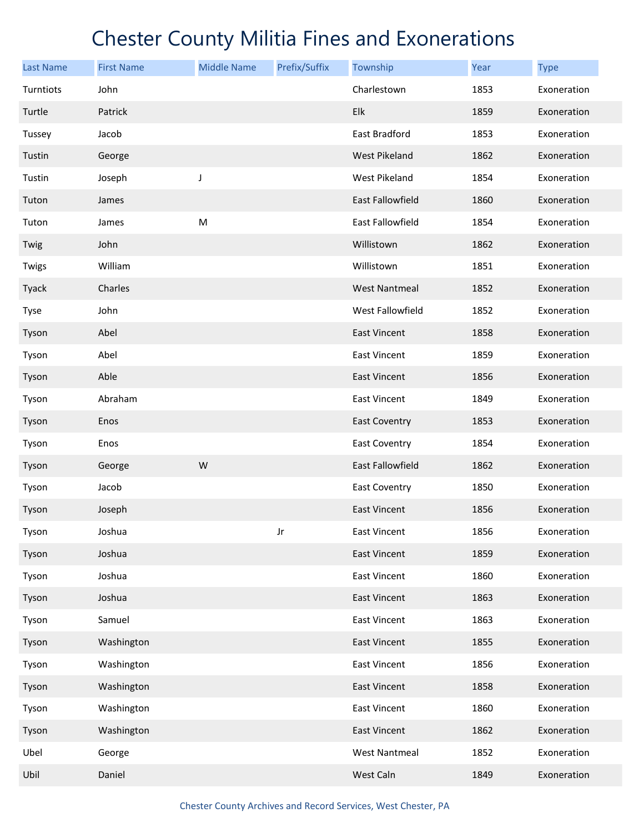| <b>Last Name</b> | <b>First Name</b> | <b>Middle Name</b> | Prefix/Suffix | Township                | Year | <b>Type</b> |
|------------------|-------------------|--------------------|---------------|-------------------------|------|-------------|
| Turntiots        | John              |                    |               | Charlestown             | 1853 | Exoneration |
| Turtle           | Patrick           |                    |               | Elk                     | 1859 | Exoneration |
| Tussey           | Jacob             |                    |               | East Bradford           | 1853 | Exoneration |
| Tustin           | George            |                    |               | <b>West Pikeland</b>    | 1862 | Exoneration |
| Tustin           | Joseph            | J                  |               | West Pikeland           | 1854 | Exoneration |
| Tuton            | James             |                    |               | <b>East Fallowfield</b> | 1860 | Exoneration |
| Tuton            | James             | M                  |               | East Fallowfield        | 1854 | Exoneration |
| Twig             | John              |                    |               | Willistown              | 1862 | Exoneration |
| Twigs            | William           |                    |               | Willistown              | 1851 | Exoneration |
| Tyack            | Charles           |                    |               | <b>West Nantmeal</b>    | 1852 | Exoneration |
| Tyse             | John              |                    |               | West Fallowfield        | 1852 | Exoneration |
| Tyson            | Abel              |                    |               | <b>East Vincent</b>     | 1858 | Exoneration |
| Tyson            | Abel              |                    |               | East Vincent            | 1859 | Exoneration |
| Tyson            | Able              |                    |               | East Vincent            | 1856 | Exoneration |
| Tyson            | Abraham           |                    |               | East Vincent            | 1849 | Exoneration |
| Tyson            | Enos              |                    |               | <b>East Coventry</b>    | 1853 | Exoneration |
| Tyson            | Enos              |                    |               | <b>East Coventry</b>    | 1854 | Exoneration |
| Tyson            | George            | W                  |               | East Fallowfield        | 1862 | Exoneration |
| Tyson            | Jacob             |                    |               | East Coventry           | 1850 | Exoneration |
| Tyson            | Joseph            |                    |               | <b>East Vincent</b>     | 1856 | Exoneration |
| Tyson            | Joshua            |                    | Jr            | <b>East Vincent</b>     | 1856 | Exoneration |
| Tyson            | Joshua            |                    |               | <b>East Vincent</b>     | 1859 | Exoneration |
| Tyson            | Joshua            |                    |               | East Vincent            | 1860 | Exoneration |
| Tyson            | Joshua            |                    |               | East Vincent            | 1863 | Exoneration |
| Tyson            | Samuel            |                    |               | <b>East Vincent</b>     | 1863 | Exoneration |
| Tyson            | Washington        |                    |               | East Vincent            | 1855 | Exoneration |
| Tyson            | Washington        |                    |               | East Vincent            | 1856 | Exoneration |
| Tyson            | Washington        |                    |               | East Vincent            | 1858 | Exoneration |
| Tyson            | Washington        |                    |               | East Vincent            | 1860 | Exoneration |
| Tyson            | Washington        |                    |               | <b>East Vincent</b>     | 1862 | Exoneration |
| Ubel             | George            |                    |               | <b>West Nantmeal</b>    | 1852 | Exoneration |
| Ubil             | Daniel            |                    |               | West Caln               | 1849 | Exoneration |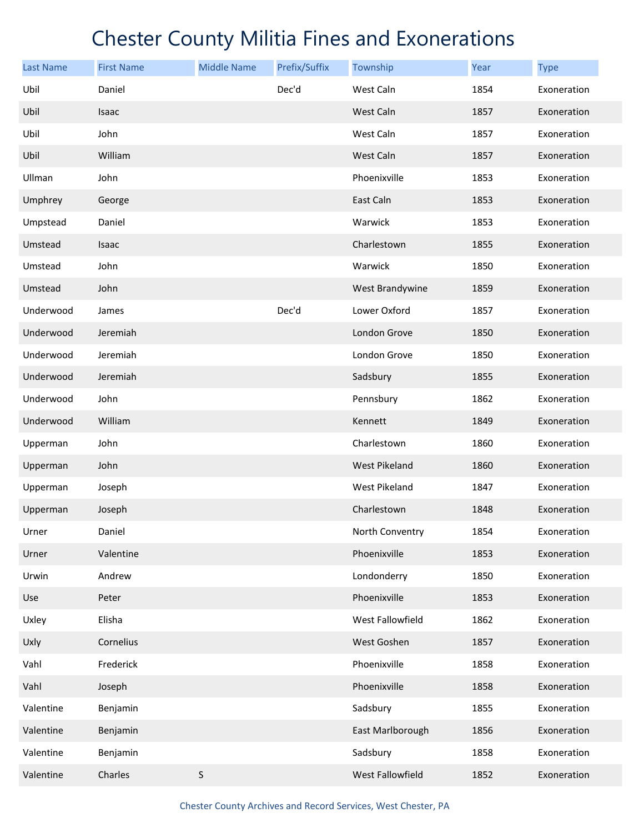| <b>Last Name</b> | <b>First Name</b> | <b>Middle Name</b> | Prefix/Suffix | Township         | <b>Year</b> | <b>Type</b> |
|------------------|-------------------|--------------------|---------------|------------------|-------------|-------------|
| Ubil             | Daniel            |                    | Dec'd         | West Caln        | 1854        | Exoneration |
| Ubil             | Isaac             |                    |               | West Caln        | 1857        | Exoneration |
| Ubil             | John              |                    |               | West Caln        | 1857        | Exoneration |
| Ubil             | William           |                    |               | West Caln        | 1857        | Exoneration |
| Ullman           | John              |                    |               | Phoenixville     | 1853        | Exoneration |
| Umphrey          | George            |                    |               | East Caln        | 1853        | Exoneration |
| Umpstead         | Daniel            |                    |               | Warwick          | 1853        | Exoneration |
| Umstead          | Isaac             |                    |               | Charlestown      | 1855        | Exoneration |
| Umstead          | John              |                    |               | Warwick          | 1850        | Exoneration |
| Umstead          | John              |                    |               | West Brandywine  | 1859        | Exoneration |
| Underwood        | James             |                    | Dec'd         | Lower Oxford     | 1857        | Exoneration |
| Underwood        | Jeremiah          |                    |               | London Grove     | 1850        | Exoneration |
| Underwood        | Jeremiah          |                    |               | London Grove     | 1850        | Exoneration |
| Underwood        | Jeremiah          |                    |               | Sadsbury         | 1855        | Exoneration |
| Underwood        | John              |                    |               | Pennsbury        | 1862        | Exoneration |
| Underwood        | William           |                    |               | Kennett          | 1849        | Exoneration |
| Upperman         | John              |                    |               | Charlestown      | 1860        | Exoneration |
| Upperman         | John              |                    |               | West Pikeland    | 1860        | Exoneration |
| Upperman         | Joseph            |                    |               | West Pikeland    | 1847        | Exoneration |
| Upperman         | Joseph            |                    |               | Charlestown      | 1848        | Exoneration |
| Urner            | Daniel            |                    |               | North Conventry  | 1854        | Exoneration |
| Urner            | Valentine         |                    |               | Phoenixville     | 1853        | Exoneration |
| Urwin            | Andrew            |                    |               | Londonderry      | 1850        | Exoneration |
| Use              | Peter             |                    |               | Phoenixville     | 1853        | Exoneration |
| Uxley            | Elisha            |                    |               | West Fallowfield | 1862        | Exoneration |
| Uxly             | Cornelius         |                    |               | West Goshen      | 1857        | Exoneration |
| Vahl             | Frederick         |                    |               | Phoenixville     | 1858        | Exoneration |
| Vahl             | Joseph            |                    |               | Phoenixville     | 1858        | Exoneration |
| Valentine        | Benjamin          |                    |               | Sadsbury         | 1855        | Exoneration |
| Valentine        | Benjamin          |                    |               | East Marlborough | 1856        | Exoneration |
| Valentine        | Benjamin          |                    |               | Sadsbury         | 1858        | Exoneration |
| Valentine        | Charles           | $\sf S$            |               | West Fallowfield | 1852        | Exoneration |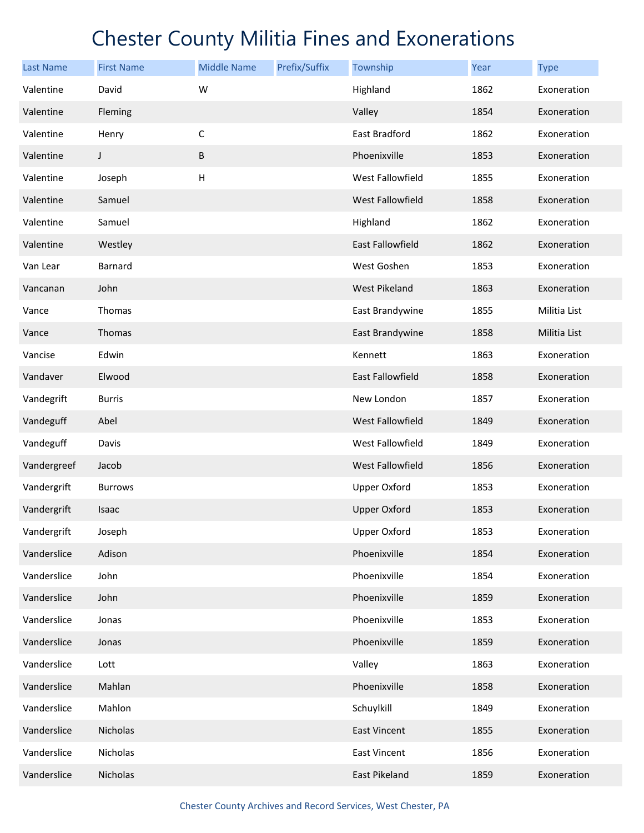| <b>Last Name</b> | <b>First Name</b> | <b>Middle Name</b> | Prefix/Suffix | Township                | Year | <b>Type</b>  |
|------------------|-------------------|--------------------|---------------|-------------------------|------|--------------|
| Valentine        | David             | W                  |               | Highland                | 1862 | Exoneration  |
| Valentine        | <b>Fleming</b>    |                    |               | Valley                  | 1854 | Exoneration  |
| Valentine        | Henry             | $\mathsf C$        |               | East Bradford           | 1862 | Exoneration  |
| Valentine        | J                 | B                  |               | Phoenixville            | 1853 | Exoneration  |
| Valentine        | Joseph            | H                  |               | West Fallowfield        | 1855 | Exoneration  |
| Valentine        | Samuel            |                    |               | <b>West Fallowfield</b> | 1858 | Exoneration  |
| Valentine        | Samuel            |                    |               | Highland                | 1862 | Exoneration  |
| Valentine        | Westley           |                    |               | <b>East Fallowfield</b> | 1862 | Exoneration  |
| Van Lear         | Barnard           |                    |               | West Goshen             | 1853 | Exoneration  |
| Vancanan         | John              |                    |               | <b>West Pikeland</b>    | 1863 | Exoneration  |
| Vance            | Thomas            |                    |               | East Brandywine         | 1855 | Militia List |
| Vance            | Thomas            |                    |               | East Brandywine         | 1858 | Militia List |
| Vancise          | Edwin             |                    |               | Kennett                 | 1863 | Exoneration  |
| Vandaver         | Elwood            |                    |               | East Fallowfield        | 1858 | Exoneration  |
| Vandegrift       | <b>Burris</b>     |                    |               | New London              | 1857 | Exoneration  |
| Vandeguff        | Abel              |                    |               | West Fallowfield        | 1849 | Exoneration  |
| Vandeguff        | Davis             |                    |               | West Fallowfield        | 1849 | Exoneration  |
| Vandergreef      | Jacob             |                    |               | <b>West Fallowfield</b> | 1856 | Exoneration  |
| Vandergrift      | <b>Burrows</b>    |                    |               | <b>Upper Oxford</b>     | 1853 | Exoneration  |
| Vandergrift      | Isaac             |                    |               | <b>Upper Oxford</b>     | 1853 | Exoneration  |
| Vandergrift      | Joseph            |                    |               | <b>Upper Oxford</b>     | 1853 | Exoneration  |
| Vanderslice      | Adison            |                    |               | Phoenixville            | 1854 | Exoneration  |
| Vanderslice      | John              |                    |               | Phoenixville            | 1854 | Exoneration  |
| Vanderslice      | John              |                    |               | Phoenixville            | 1859 | Exoneration  |
| Vanderslice      | Jonas             |                    |               | Phoenixville            | 1853 | Exoneration  |
| Vanderslice      | Jonas             |                    |               | Phoenixville            | 1859 | Exoneration  |
| Vanderslice      | Lott              |                    |               | Valley                  | 1863 | Exoneration  |
| Vanderslice      | Mahlan            |                    |               | Phoenixville            | 1858 | Exoneration  |
| Vanderslice      | Mahlon            |                    |               | Schuylkill              | 1849 | Exoneration  |
| Vanderslice      | Nicholas          |                    |               | <b>East Vincent</b>     | 1855 | Exoneration  |
| Vanderslice      | Nicholas          |                    |               | East Vincent            | 1856 | Exoneration  |
| Vanderslice      | Nicholas          |                    |               | East Pikeland           | 1859 | Exoneration  |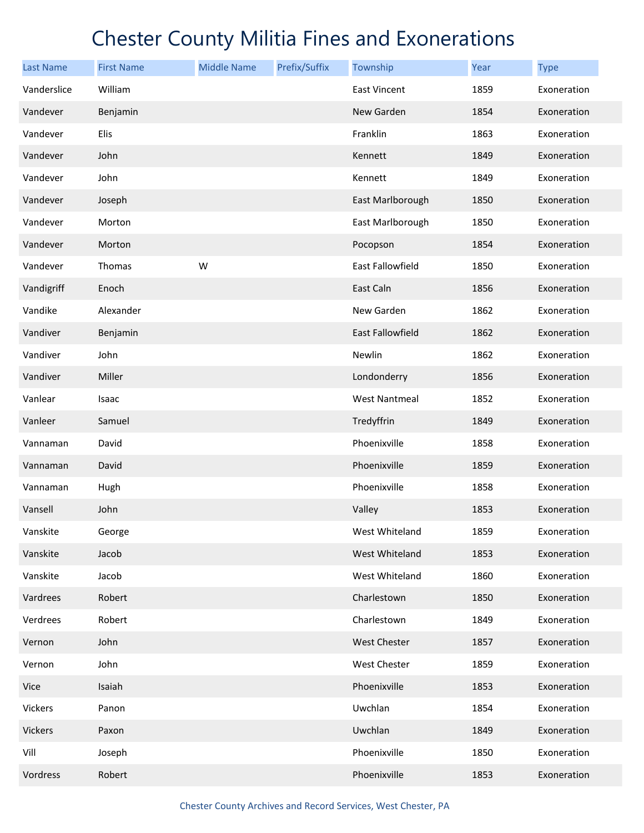| <b>Last Name</b> | <b>First Name</b> | <b>Middle Name</b> | Prefix/Suffix | Township             | Year | <b>Type</b> |
|------------------|-------------------|--------------------|---------------|----------------------|------|-------------|
| Vanderslice      | William           |                    |               | East Vincent         | 1859 | Exoneration |
| Vandever         | Benjamin          |                    |               | New Garden           | 1854 | Exoneration |
| Vandever         | Elis              |                    |               | Franklin             | 1863 | Exoneration |
| Vandever         | John              |                    |               | Kennett              | 1849 | Exoneration |
| Vandever         | John              |                    |               | Kennett              | 1849 | Exoneration |
| Vandever         | Joseph            |                    |               | East Marlborough     | 1850 | Exoneration |
| Vandever         | Morton            |                    |               | East Marlborough     | 1850 | Exoneration |
| Vandever         | Morton            |                    |               | Pocopson             | 1854 | Exoneration |
| Vandever         | Thomas            | W                  |               | East Fallowfield     | 1850 | Exoneration |
| Vandigriff       | Enoch             |                    |               | East Caln            | 1856 | Exoneration |
| Vandike          | Alexander         |                    |               | New Garden           | 1862 | Exoneration |
| Vandiver         | Benjamin          |                    |               | East Fallowfield     | 1862 | Exoneration |
| Vandiver         | John              |                    |               | Newlin               | 1862 | Exoneration |
| Vandiver         | Miller            |                    |               | Londonderry          | 1856 | Exoneration |
| Vanlear          | Isaac             |                    |               | <b>West Nantmeal</b> | 1852 | Exoneration |
| Vanleer          | Samuel            |                    |               | Tredyffrin           | 1849 | Exoneration |
| Vannaman         | David             |                    |               | Phoenixville         | 1858 | Exoneration |
| Vannaman         | David             |                    |               | Phoenixville         | 1859 | Exoneration |
| Vannaman         | Hugh              |                    |               | Phoenixville         | 1858 | Exoneration |
| Vansell          | John              |                    |               | Valley               | 1853 | Exoneration |
| Vanskite         | George            |                    |               | West Whiteland       | 1859 | Exoneration |
| Vanskite         | Jacob             |                    |               | West Whiteland       | 1853 | Exoneration |
| Vanskite         | Jacob             |                    |               | West Whiteland       | 1860 | Exoneration |
| Vardrees         | Robert            |                    |               | Charlestown          | 1850 | Exoneration |
| Verdrees         | Robert            |                    |               | Charlestown          | 1849 | Exoneration |
| Vernon           | John              |                    |               | West Chester         | 1857 | Exoneration |
| Vernon           | John              |                    |               | West Chester         | 1859 | Exoneration |
| Vice             | Isaiah            |                    |               | Phoenixville         | 1853 | Exoneration |
| Vickers          | Panon             |                    |               | Uwchlan              | 1854 | Exoneration |
| Vickers          | Paxon             |                    |               | Uwchlan              | 1849 | Exoneration |
| Vill             | Joseph            |                    |               | Phoenixville         | 1850 | Exoneration |
| Vordress         | Robert            |                    |               | Phoenixville         | 1853 | Exoneration |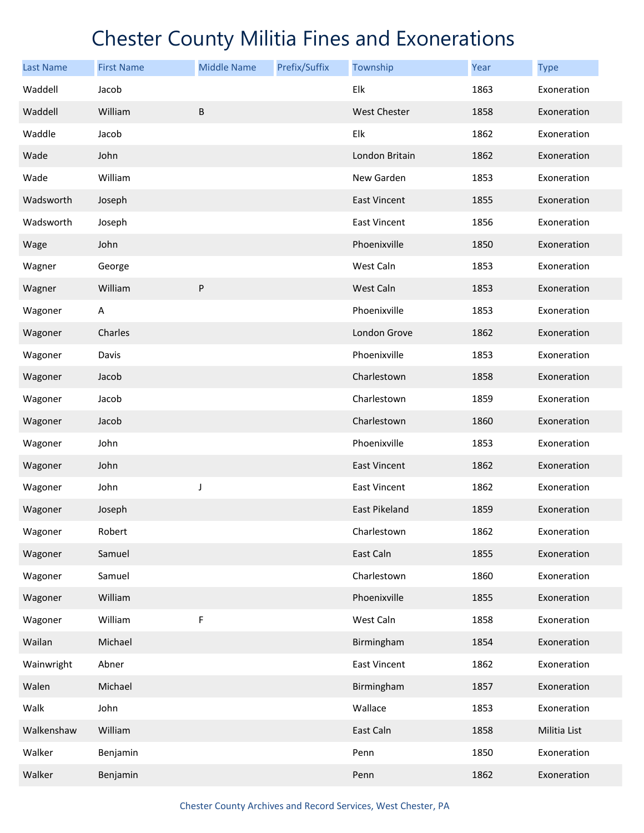| <b>Last Name</b> | <b>First Name</b> | <b>Middle Name</b> | Prefix/Suffix | Township             | Year | <b>Type</b>  |
|------------------|-------------------|--------------------|---------------|----------------------|------|--------------|
| Waddell          | Jacob             |                    |               | Elk                  | 1863 | Exoneration  |
| Waddell          | William           | B                  |               | <b>West Chester</b>  | 1858 | Exoneration  |
| Waddle           | Jacob             |                    |               | Elk                  | 1862 | Exoneration  |
| Wade             | John              |                    |               | London Britain       | 1862 | Exoneration  |
| Wade             | William           |                    |               | New Garden           | 1853 | Exoneration  |
| Wadsworth        | Joseph            |                    |               | East Vincent         | 1855 | Exoneration  |
| Wadsworth        | Joseph            |                    |               | <b>East Vincent</b>  | 1856 | Exoneration  |
| Wage             | John              |                    |               | Phoenixville         | 1850 | Exoneration  |
| Wagner           | George            |                    |               | West Caln            | 1853 | Exoneration  |
| Wagner           | William           | ${\sf P}$          |               | West Caln            | 1853 | Exoneration  |
| Wagoner          | A                 |                    |               | Phoenixville         | 1853 | Exoneration  |
| Wagoner          | Charles           |                    |               | London Grove         | 1862 | Exoneration  |
| Wagoner          | Davis             |                    |               | Phoenixville         | 1853 | Exoneration  |
| Wagoner          | Jacob             |                    |               | Charlestown          | 1858 | Exoneration  |
| Wagoner          | Jacob             |                    |               | Charlestown          | 1859 | Exoneration  |
| Wagoner          | Jacob             |                    |               | Charlestown          | 1860 | Exoneration  |
| Wagoner          | John              |                    |               | Phoenixville         | 1853 | Exoneration  |
| Wagoner          | John              |                    |               | <b>East Vincent</b>  | 1862 | Exoneration  |
| Wagoner          | John              | J                  |               | East Vincent         | 1862 | Exoneration  |
| Wagoner          | Joseph            |                    |               | <b>East Pikeland</b> | 1859 | Exoneration  |
| Wagoner          | Robert            |                    |               | Charlestown          | 1862 | Exoneration  |
| Wagoner          | Samuel            |                    |               | East Caln            | 1855 | Exoneration  |
| Wagoner          | Samuel            |                    |               | Charlestown          | 1860 | Exoneration  |
| Wagoner          | William           |                    |               | Phoenixville         | 1855 | Exoneration  |
| Wagoner          | William           | F                  |               | West Caln            | 1858 | Exoneration  |
| Wailan           | Michael           |                    |               | Birmingham           | 1854 | Exoneration  |
| Wainwright       | Abner             |                    |               | East Vincent         | 1862 | Exoneration  |
| Walen            | Michael           |                    |               | Birmingham           | 1857 | Exoneration  |
| Walk             | John              |                    |               | Wallace              | 1853 | Exoneration  |
| Walkenshaw       | William           |                    |               | East Caln            | 1858 | Militia List |
| Walker           | Benjamin          |                    |               | Penn                 | 1850 | Exoneration  |
| Walker           | Benjamin          |                    |               | Penn                 | 1862 | Exoneration  |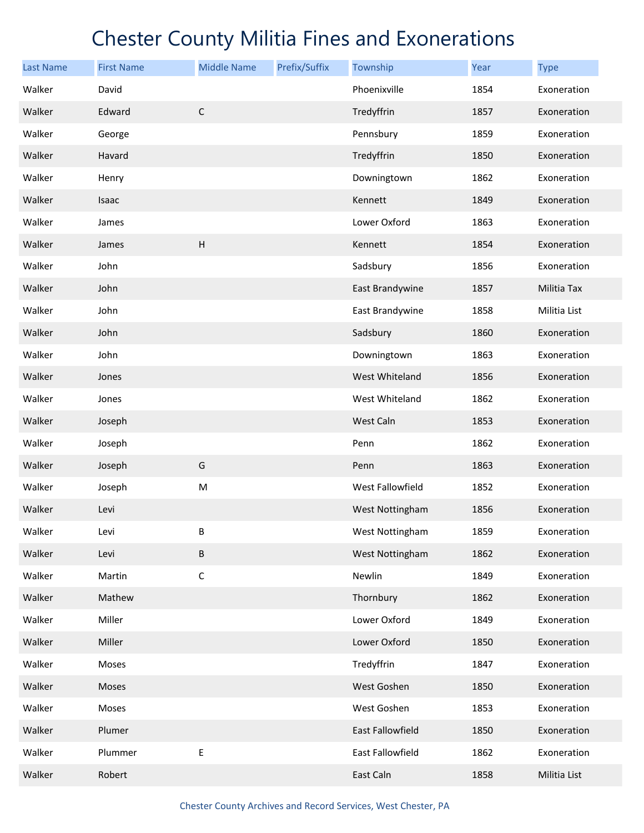| <b>Last Name</b> | <b>First Name</b> | <b>Middle Name</b>        | Prefix/Suffix | Township         | Year | <b>Type</b>  |
|------------------|-------------------|---------------------------|---------------|------------------|------|--------------|
| Walker           | David             |                           |               | Phoenixville     | 1854 | Exoneration  |
| Walker           | Edward            | $\mathsf C$               |               | Tredyffrin       | 1857 | Exoneration  |
| Walker           | George            |                           |               | Pennsbury        | 1859 | Exoneration  |
| Walker           | Havard            |                           |               | Tredyffrin       | 1850 | Exoneration  |
| Walker           | Henry             |                           |               | Downingtown      | 1862 | Exoneration  |
| Walker           | Isaac             |                           |               | Kennett          | 1849 | Exoneration  |
| Walker           | James             |                           |               | Lower Oxford     | 1863 | Exoneration  |
| Walker           | James             | $\boldsymbol{\mathsf{H}}$ |               | Kennett          | 1854 | Exoneration  |
| Walker           | John              |                           |               | Sadsbury         | 1856 | Exoneration  |
| Walker           | John              |                           |               | East Brandywine  | 1857 | Militia Tax  |
| Walker           | John              |                           |               | East Brandywine  | 1858 | Militia List |
| Walker           | John              |                           |               | Sadsbury         | 1860 | Exoneration  |
| Walker           | John              |                           |               | Downingtown      | 1863 | Exoneration  |
| Walker           | Jones             |                           |               | West Whiteland   | 1856 | Exoneration  |
| Walker           | Jones             |                           |               | West Whiteland   | 1862 | Exoneration  |
| Walker           | Joseph            |                           |               | West Caln        | 1853 | Exoneration  |
| Walker           | Joseph            |                           |               | Penn             | 1862 | Exoneration  |
| Walker           | Joseph            | G                         |               | Penn             | 1863 | Exoneration  |
| Walker           | Joseph            | M                         |               | West Fallowfield | 1852 | Exoneration  |
| Walker           | Levi              |                           |               | West Nottingham  | 1856 | Exoneration  |
| Walker           | Levi              | В                         |               | West Nottingham  | 1859 | Exoneration  |
| Walker           | Levi              | $\sf B$                   |               | West Nottingham  | 1862 | Exoneration  |
| Walker           | Martin            | $\mathsf C$               |               | Newlin           | 1849 | Exoneration  |
| Walker           | Mathew            |                           |               | Thornbury        | 1862 | Exoneration  |
| Walker           | Miller            |                           |               | Lower Oxford     | 1849 | Exoneration  |
| Walker           | Miller            |                           |               | Lower Oxford     | 1850 | Exoneration  |
| Walker           | Moses             |                           |               | Tredyffrin       | 1847 | Exoneration  |
| Walker           | Moses             |                           |               | West Goshen      | 1850 | Exoneration  |
| Walker           | Moses             |                           |               | West Goshen      | 1853 | Exoneration  |
| Walker           | Plumer            |                           |               | East Fallowfield | 1850 | Exoneration  |
| Walker           | Plummer           | Ε                         |               | East Fallowfield | 1862 | Exoneration  |
| Walker           | Robert            |                           |               | East Caln        | 1858 | Militia List |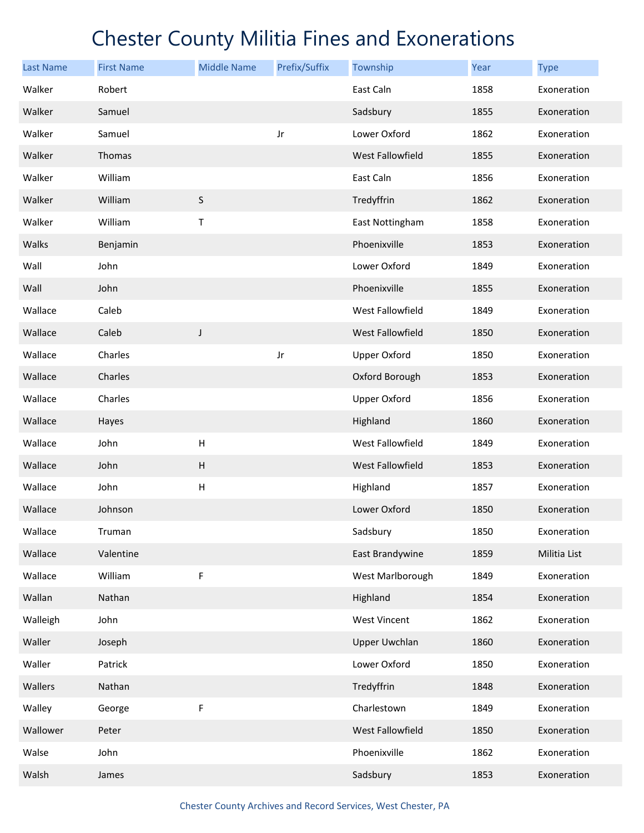| <b>Last Name</b> | <b>First Name</b> | <b>Middle Name</b>        | Prefix/Suffix | Township                | <b>Year</b> | <b>Type</b>  |
|------------------|-------------------|---------------------------|---------------|-------------------------|-------------|--------------|
| Walker           | Robert            |                           |               | East Caln               | 1858        | Exoneration  |
| Walker           | Samuel            |                           |               | Sadsbury                | 1855        | Exoneration  |
| Walker           | Samuel            |                           | Jr            | Lower Oxford            | 1862        | Exoneration  |
| Walker           | Thomas            |                           |               | <b>West Fallowfield</b> | 1855        | Exoneration  |
| Walker           | William           |                           |               | East Caln               | 1856        | Exoneration  |
| Walker           | William           | $\sf S$                   |               | Tredyffrin              | 1862        | Exoneration  |
| Walker           | William           | Τ                         |               | East Nottingham         | 1858        | Exoneration  |
| Walks            | Benjamin          |                           |               | Phoenixville            | 1853        | Exoneration  |
| Wall             | John              |                           |               | Lower Oxford            | 1849        | Exoneration  |
| Wall             | John              |                           |               | Phoenixville            | 1855        | Exoneration  |
| Wallace          | Caleb             |                           |               | West Fallowfield        | 1849        | Exoneration  |
| Wallace          | Caleb             | J                         |               | West Fallowfield        | 1850        | Exoneration  |
| Wallace          | Charles           |                           | Jr            | <b>Upper Oxford</b>     | 1850        | Exoneration  |
| Wallace          | Charles           |                           |               | Oxford Borough          | 1853        | Exoneration  |
| Wallace          | Charles           |                           |               | <b>Upper Oxford</b>     | 1856        | Exoneration  |
| Wallace          | Hayes             |                           |               | Highland                | 1860        | Exoneration  |
| Wallace          | John              | Н                         |               | West Fallowfield        | 1849        | Exoneration  |
| Wallace          | John              | $\sf H$                   |               | <b>West Fallowfield</b> | 1853        | Exoneration  |
| Wallace          | John              | $\boldsymbol{\mathsf{H}}$ |               | Highland                | 1857        | Exoneration  |
| Wallace          | Johnson           |                           |               | Lower Oxford            | 1850        | Exoneration  |
| Wallace          | Truman            |                           |               | Sadsbury                | 1850        | Exoneration  |
| Wallace          | Valentine         |                           |               | East Brandywine         | 1859        | Militia List |
| Wallace          | William           | F                         |               | West Marlborough        | 1849        | Exoneration  |
| Wallan           | Nathan            |                           |               | Highland                | 1854        | Exoneration  |
| Walleigh         | John              |                           |               | West Vincent            | 1862        | Exoneration  |
| Waller           | Joseph            |                           |               | <b>Upper Uwchlan</b>    | 1860        | Exoneration  |
| Waller           | Patrick           |                           |               | Lower Oxford            | 1850        | Exoneration  |
| Wallers          | Nathan            |                           |               | Tredyffrin              | 1848        | Exoneration  |
| Walley           | George            | F                         |               | Charlestown             | 1849        | Exoneration  |
| Wallower         | Peter             |                           |               | <b>West Fallowfield</b> | 1850        | Exoneration  |
| Walse            | John              |                           |               | Phoenixville            | 1862        | Exoneration  |
| Walsh            | James             |                           |               | Sadsbury                | 1853        | Exoneration  |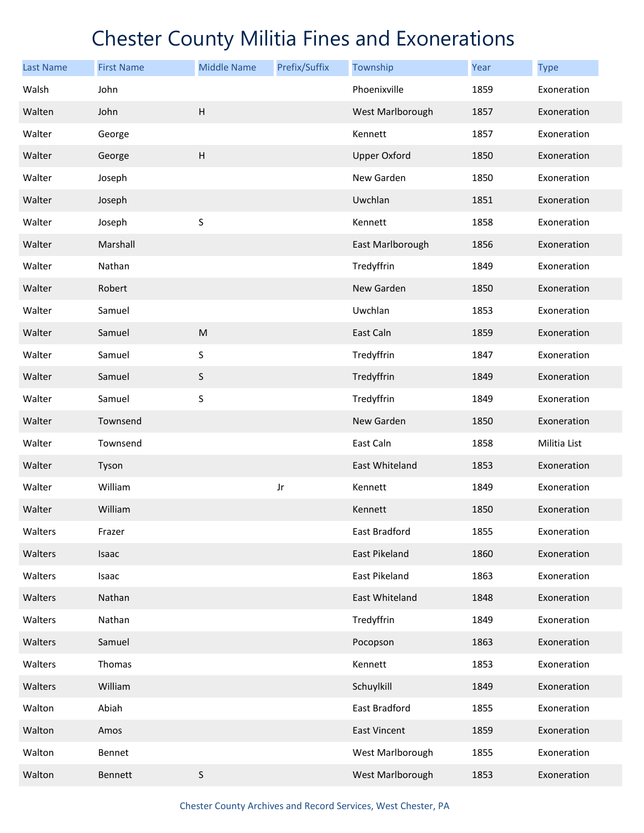| <b>Last Name</b> | <b>First Name</b> | <b>Middle Name</b>        | Prefix/Suffix | Township            | Year | <b>Type</b>  |
|------------------|-------------------|---------------------------|---------------|---------------------|------|--------------|
| Walsh            | John              |                           |               | Phoenixville        | 1859 | Exoneration  |
| Walten           | John              | $\boldsymbol{\mathsf{H}}$ |               | West Marlborough    | 1857 | Exoneration  |
| Walter           | George            |                           |               | Kennett             | 1857 | Exoneration  |
| Walter           | George            | $\boldsymbol{\mathsf{H}}$ |               | <b>Upper Oxford</b> | 1850 | Exoneration  |
| Walter           | Joseph            |                           |               | New Garden          | 1850 | Exoneration  |
| Walter           | Joseph            |                           |               | Uwchlan             | 1851 | Exoneration  |
| Walter           | Joseph            | $\sf S$                   |               | Kennett             | 1858 | Exoneration  |
| Walter           | Marshall          |                           |               | East Marlborough    | 1856 | Exoneration  |
| Walter           | Nathan            |                           |               | Tredyffrin          | 1849 | Exoneration  |
| Walter           | Robert            |                           |               | New Garden          | 1850 | Exoneration  |
| Walter           | Samuel            |                           |               | Uwchlan             | 1853 | Exoneration  |
| Walter           | Samuel            | ${\sf M}$                 |               | East Caln           | 1859 | Exoneration  |
| Walter           | Samuel            | $\sf S$                   |               | Tredyffrin          | 1847 | Exoneration  |
| Walter           | Samuel            | $\sf S$                   |               | Tredyffrin          | 1849 | Exoneration  |
| Walter           | Samuel            | $\sf S$                   |               | Tredyffrin          | 1849 | Exoneration  |
| Walter           | Townsend          |                           |               | New Garden          | 1850 | Exoneration  |
| Walter           | Townsend          |                           |               | East Caln           | 1858 | Militia List |
| Walter           | Tyson             |                           |               | East Whiteland      | 1853 | Exoneration  |
| Walter           | William           |                           | Jr            | Kennett             | 1849 | Exoneration  |
| Walter           | William           |                           |               | Kennett             | 1850 | Exoneration  |
| Walters          | Frazer            |                           |               | East Bradford       | 1855 | Exoneration  |
| Walters          | Isaac             |                           |               | East Pikeland       | 1860 | Exoneration  |
| Walters          | Isaac             |                           |               | East Pikeland       | 1863 | Exoneration  |
| Walters          | Nathan            |                           |               | East Whiteland      | 1848 | Exoneration  |
| Walters          | Nathan            |                           |               | Tredyffrin          | 1849 | Exoneration  |
| Walters          | Samuel            |                           |               | Pocopson            | 1863 | Exoneration  |
| Walters          | Thomas            |                           |               | Kennett             | 1853 | Exoneration  |
| Walters          | William           |                           |               | Schuylkill          | 1849 | Exoneration  |
| Walton           | Abiah             |                           |               | East Bradford       | 1855 | Exoneration  |
| Walton           | Amos              |                           |               | <b>East Vincent</b> | 1859 | Exoneration  |
| Walton           | Bennet            |                           |               | West Marlborough    | 1855 | Exoneration  |
| Walton           | Bennett           | $\sf S$                   |               | West Marlborough    | 1853 | Exoneration  |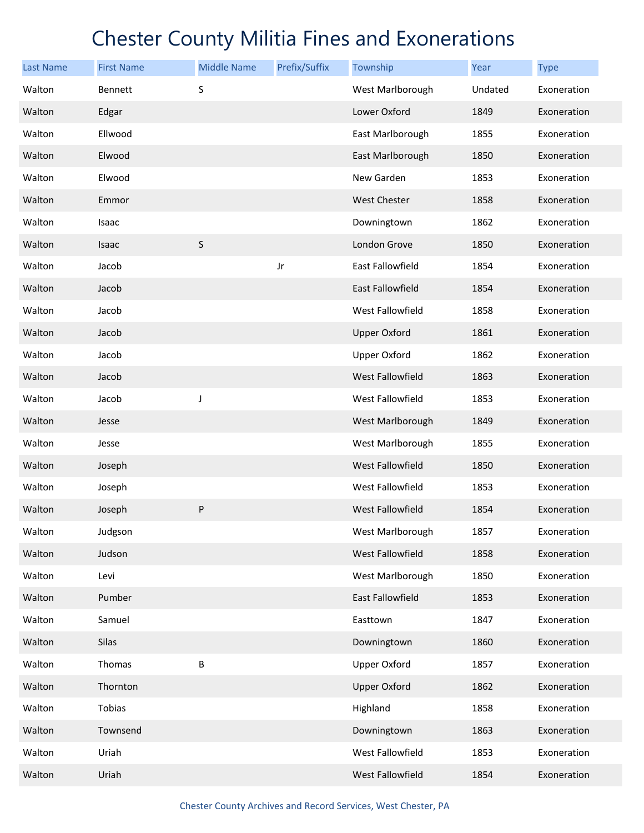| <b>Last Name</b> | <b>First Name</b> | <b>Middle Name</b> | Prefix/Suffix | Township                | Year    | <b>Type</b> |
|------------------|-------------------|--------------------|---------------|-------------------------|---------|-------------|
| Walton           | Bennett           | S                  |               | West Marlborough        | Undated | Exoneration |
| Walton           | Edgar             |                    |               | Lower Oxford            | 1849    | Exoneration |
| Walton           | Ellwood           |                    |               | East Marlborough        | 1855    | Exoneration |
| Walton           | Elwood            |                    |               | East Marlborough        | 1850    | Exoneration |
| Walton           | Elwood            |                    |               | New Garden              | 1853    | Exoneration |
| Walton           | Emmor             |                    |               | <b>West Chester</b>     | 1858    | Exoneration |
| Walton           | Isaac             |                    |               | Downingtown             | 1862    | Exoneration |
| Walton           | Isaac             | $\sf S$            |               | London Grove            | 1850    | Exoneration |
| Walton           | Jacob             |                    | Jr            | East Fallowfield        | 1854    | Exoneration |
| Walton           | Jacob             |                    |               | East Fallowfield        | 1854    | Exoneration |
| Walton           | Jacob             |                    |               | West Fallowfield        | 1858    | Exoneration |
| Walton           | Jacob             |                    |               | <b>Upper Oxford</b>     | 1861    | Exoneration |
| Walton           | Jacob             |                    |               | <b>Upper Oxford</b>     | 1862    | Exoneration |
| Walton           | Jacob             |                    |               | <b>West Fallowfield</b> | 1863    | Exoneration |
| Walton           | Jacob             | J                  |               | West Fallowfield        | 1853    | Exoneration |
| Walton           | Jesse             |                    |               | West Marlborough        | 1849    | Exoneration |
| Walton           | Jesse             |                    |               | West Marlborough        | 1855    | Exoneration |
| Walton           | Joseph            |                    |               | <b>West Fallowfield</b> | 1850    | Exoneration |
| Walton           | Joseph            |                    |               | West Fallowfield        | 1853    | Exoneration |
| Walton           | Joseph            | P                  |               | West Fallowfield        | 1854    | Exoneration |
| Walton           | Judgson           |                    |               | West Marlborough        | 1857    | Exoneration |
| Walton           | Judson            |                    |               | West Fallowfield        | 1858    | Exoneration |
| Walton           | Levi              |                    |               | West Marlborough        | 1850    | Exoneration |
| Walton           | Pumber            |                    |               | East Fallowfield        | 1853    | Exoneration |
| Walton           | Samuel            |                    |               | Easttown                | 1847    | Exoneration |
| Walton           | Silas             |                    |               | Downingtown             | 1860    | Exoneration |
| Walton           | Thomas            | B                  |               | <b>Upper Oxford</b>     | 1857    | Exoneration |
| Walton           | Thornton          |                    |               | <b>Upper Oxford</b>     | 1862    | Exoneration |
| Walton           | Tobias            |                    |               | Highland                | 1858    | Exoneration |
| Walton           | Townsend          |                    |               | Downingtown             | 1863    | Exoneration |
| Walton           | Uriah             |                    |               | West Fallowfield        | 1853    | Exoneration |
| Walton           | Uriah             |                    |               | West Fallowfield        | 1854    | Exoneration |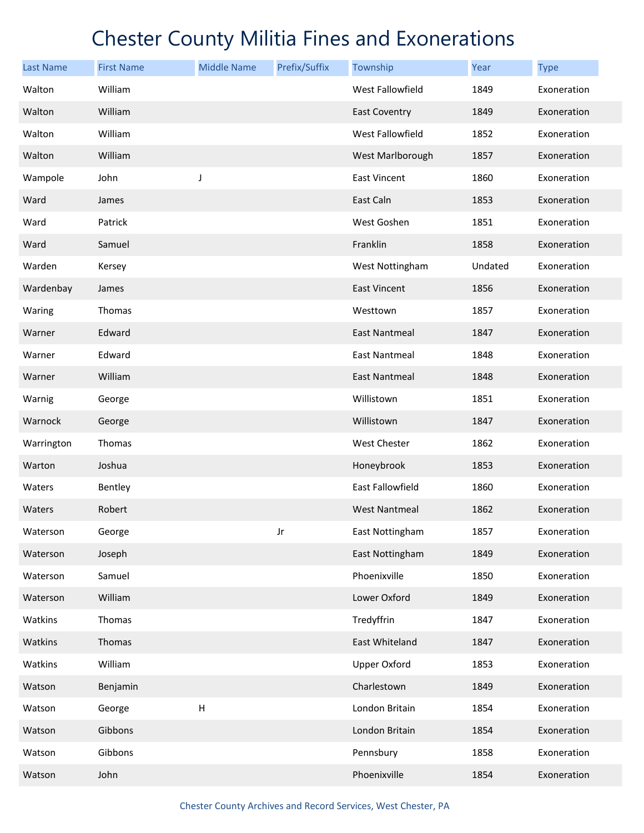| <b>Last Name</b> | <b>First Name</b> | <b>Middle Name</b>        | Prefix/Suffix | Township               | Year    | <b>Type</b> |
|------------------|-------------------|---------------------------|---------------|------------------------|---------|-------------|
| Walton           | William           |                           |               | West Fallowfield       | 1849    | Exoneration |
| Walton           | William           |                           |               | <b>East Coventry</b>   | 1849    | Exoneration |
| Walton           | William           |                           |               | West Fallowfield       | 1852    | Exoneration |
| Walton           | William           |                           |               | West Marlborough       | 1857    | Exoneration |
| Wampole          | John              | J                         |               | East Vincent           | 1860    | Exoneration |
| Ward             | James             |                           |               | East Caln              | 1853    | Exoneration |
| Ward             | Patrick           |                           |               | West Goshen            | 1851    | Exoneration |
| Ward             | Samuel            |                           |               | Franklin               | 1858    | Exoneration |
| Warden           | Kersey            |                           |               | West Nottingham        | Undated | Exoneration |
| Wardenbay        | James             |                           |               | <b>East Vincent</b>    | 1856    | Exoneration |
| Waring           | Thomas            |                           |               | Westtown               | 1857    | Exoneration |
| Warner           | Edward            |                           |               | <b>East Nantmeal</b>   | 1847    | Exoneration |
| Warner           | Edward            |                           |               | <b>East Nantmeal</b>   | 1848    | Exoneration |
| Warner           | William           |                           |               | <b>East Nantmeal</b>   | 1848    | Exoneration |
| Warnig           | George            |                           |               | Willistown             | 1851    | Exoneration |
| Warnock          | George            |                           |               | Willistown             | 1847    | Exoneration |
| Warrington       | Thomas            |                           |               | West Chester           | 1862    | Exoneration |
| Warton           | Joshua            |                           |               | Honeybrook             | 1853    | Exoneration |
| Waters           | Bentley           |                           |               | East Fallowfield       | 1860    | Exoneration |
| Waters           | Robert            |                           |               | <b>West Nantmeal</b>   | 1862    | Exoneration |
| Waterson         | George            |                           | Jr            | <b>East Nottingham</b> | 1857    | Exoneration |
| Waterson         | Joseph            |                           |               | East Nottingham        | 1849    | Exoneration |
| Waterson         | Samuel            |                           |               | Phoenixville           | 1850    | Exoneration |
| Waterson         | William           |                           |               | Lower Oxford           | 1849    | Exoneration |
| Watkins          | Thomas            |                           |               | Tredyffrin             | 1847    | Exoneration |
| Watkins          | Thomas            |                           |               | East Whiteland         | 1847    | Exoneration |
| Watkins          | William           |                           |               | <b>Upper Oxford</b>    | 1853    | Exoneration |
| Watson           | Benjamin          |                           |               | Charlestown            | 1849    | Exoneration |
| Watson           | George            | $\boldsymbol{\mathsf{H}}$ |               | London Britain         | 1854    | Exoneration |
| Watson           | Gibbons           |                           |               | London Britain         | 1854    | Exoneration |
| Watson           | Gibbons           |                           |               | Pennsbury              | 1858    | Exoneration |
| Watson           | John              |                           |               | Phoenixville           | 1854    | Exoneration |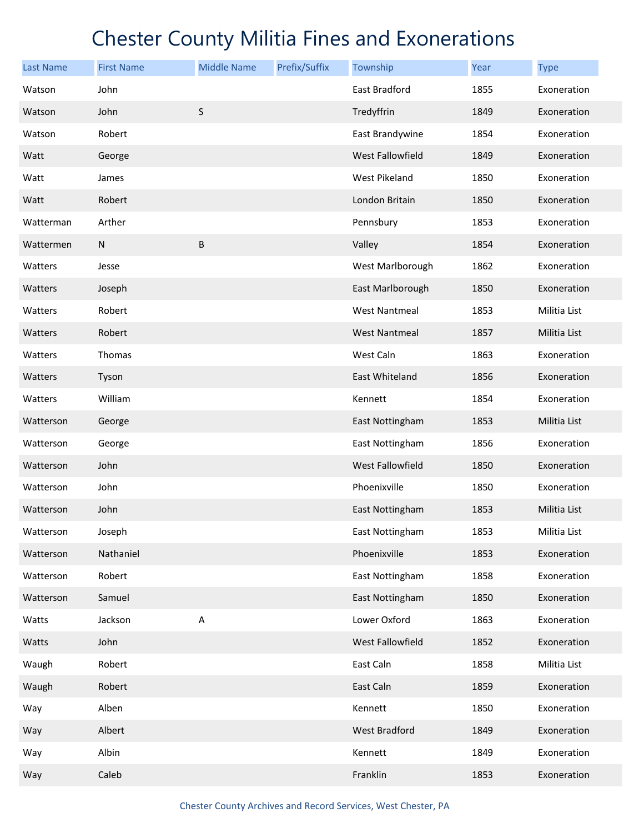| <b>Last Name</b> | <b>First Name</b> | <b>Middle Name</b> | Prefix/Suffix | Township             | Year | <b>Type</b>  |
|------------------|-------------------|--------------------|---------------|----------------------|------|--------------|
| Watson           | John              |                    |               | East Bradford        | 1855 | Exoneration  |
| Watson           | John              | $\sf S$            |               | Tredyffrin           | 1849 | Exoneration  |
| Watson           | Robert            |                    |               | East Brandywine      | 1854 | Exoneration  |
| Watt             | George            |                    |               | West Fallowfield     | 1849 | Exoneration  |
| Watt             | James             |                    |               | West Pikeland        | 1850 | Exoneration  |
| Watt             | Robert            |                    |               | London Britain       | 1850 | Exoneration  |
| Watterman        | Arther            |                    |               | Pennsbury            | 1853 | Exoneration  |
| Wattermen        | ${\sf N}$         | B                  |               | Valley               | 1854 | Exoneration  |
| Watters          | Jesse             |                    |               | West Marlborough     | 1862 | Exoneration  |
| Watters          | Joseph            |                    |               | East Marlborough     | 1850 | Exoneration  |
| Watters          | Robert            |                    |               | <b>West Nantmeal</b> | 1853 | Militia List |
| Watters          | Robert            |                    |               | <b>West Nantmeal</b> | 1857 | Militia List |
| Watters          | Thomas            |                    |               | West Caln            | 1863 | Exoneration  |
| Watters          | Tyson             |                    |               | East Whiteland       | 1856 | Exoneration  |
| Watters          | William           |                    |               | Kennett              | 1854 | Exoneration  |
| Watterson        | George            |                    |               | East Nottingham      | 1853 | Militia List |
| Watterson        | George            |                    |               | East Nottingham      | 1856 | Exoneration  |
| Watterson        | John              |                    |               | West Fallowfield     | 1850 | Exoneration  |
| Watterson        | John              |                    |               | Phoenixville         | 1850 | Exoneration  |
| Watterson        | John              |                    |               | East Nottingham      | 1853 | Militia List |
| Watterson        | Joseph            |                    |               | East Nottingham      | 1853 | Militia List |
| Watterson        | Nathaniel         |                    |               | Phoenixville         | 1853 | Exoneration  |
| Watterson        | Robert            |                    |               | East Nottingham      | 1858 | Exoneration  |
| Watterson        | Samuel            |                    |               | East Nottingham      | 1850 | Exoneration  |
| Watts            | Jackson           | Α                  |               | Lower Oxford         | 1863 | Exoneration  |
| Watts            | John              |                    |               | West Fallowfield     | 1852 | Exoneration  |
| Waugh            | Robert            |                    |               | East Caln            | 1858 | Militia List |
| Waugh            | Robert            |                    |               | East Caln            | 1859 | Exoneration  |
| Way              | Alben             |                    |               | Kennett              | 1850 | Exoneration  |
| Way              | Albert            |                    |               | West Bradford        | 1849 | Exoneration  |
| Way              | Albin             |                    |               | Kennett              | 1849 | Exoneration  |
| Way              | Caleb             |                    |               | Franklin             | 1853 | Exoneration  |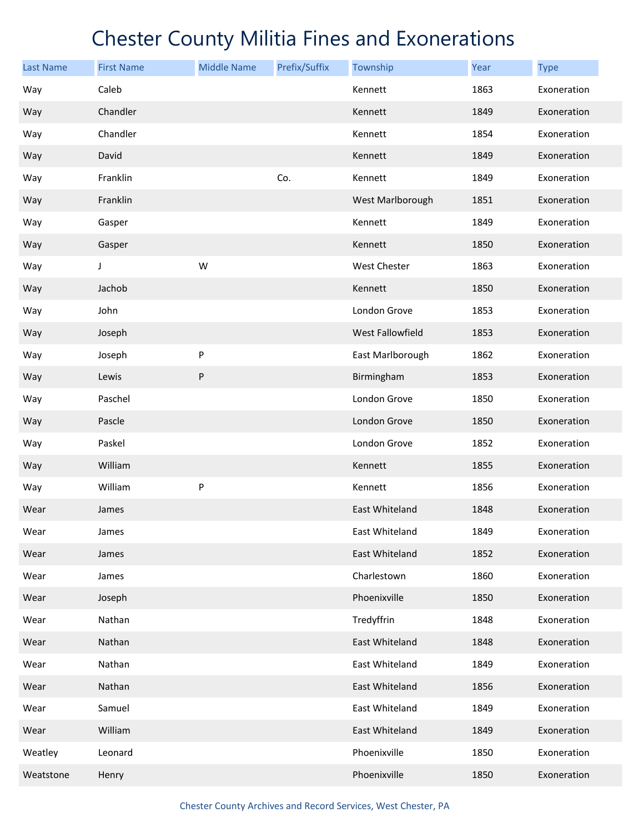| <b>Last Name</b> | <b>First Name</b> | <b>Middle Name</b> | Prefix/Suffix | Township         | Year | <b>Type</b> |
|------------------|-------------------|--------------------|---------------|------------------|------|-------------|
| Way              | Caleb             |                    |               | Kennett          | 1863 | Exoneration |
| Way              | Chandler          |                    |               | Kennett          | 1849 | Exoneration |
| Way              | Chandler          |                    |               | Kennett          | 1854 | Exoneration |
| Way              | David             |                    |               | Kennett          | 1849 | Exoneration |
| Way              | Franklin          |                    | Co.           | Kennett          | 1849 | Exoneration |
| Way              | Franklin          |                    |               | West Marlborough | 1851 | Exoneration |
| Way              | Gasper            |                    |               | Kennett          | 1849 | Exoneration |
| Way              | Gasper            |                    |               | Kennett          | 1850 | Exoneration |
| Way              | J                 | W                  |               | West Chester     | 1863 | Exoneration |
| Way              | Jachob            |                    |               | Kennett          | 1850 | Exoneration |
| Way              | John              |                    |               | London Grove     | 1853 | Exoneration |
| Way              | Joseph            |                    |               | West Fallowfield | 1853 | Exoneration |
| Way              | Joseph            | P                  |               | East Marlborough | 1862 | Exoneration |
| Way              | Lewis             | P                  |               | Birmingham       | 1853 | Exoneration |
| Way              | Paschel           |                    |               | London Grove     | 1850 | Exoneration |
| Way              | Pascle            |                    |               | London Grove     | 1850 | Exoneration |
| Way              | Paskel            |                    |               | London Grove     | 1852 | Exoneration |
| Way              | William           |                    |               | Kennett          | 1855 | Exoneration |
| Way              | William           | P                  |               | Kennett          | 1856 | Exoneration |
| Wear             | James             |                    |               | East Whiteland   | 1848 | Exoneration |
| Wear             | James             |                    |               | East Whiteland   | 1849 | Exoneration |
| Wear             | James             |                    |               | East Whiteland   | 1852 | Exoneration |
| Wear             | James             |                    |               | Charlestown      | 1860 | Exoneration |
| Wear             | Joseph            |                    |               | Phoenixville     | 1850 | Exoneration |
| Wear             | Nathan            |                    |               | Tredyffrin       | 1848 | Exoneration |
| Wear             | Nathan            |                    |               | East Whiteland   | 1848 | Exoneration |
| Wear             | Nathan            |                    |               | East Whiteland   | 1849 | Exoneration |
| Wear             | Nathan            |                    |               | East Whiteland   | 1856 | Exoneration |
| Wear             | Samuel            |                    |               | East Whiteland   | 1849 | Exoneration |
| Wear             | William           |                    |               | East Whiteland   | 1849 | Exoneration |
| Weatley          | Leonard           |                    |               | Phoenixville     | 1850 | Exoneration |
| Weatstone        | Henry             |                    |               | Phoenixville     | 1850 | Exoneration |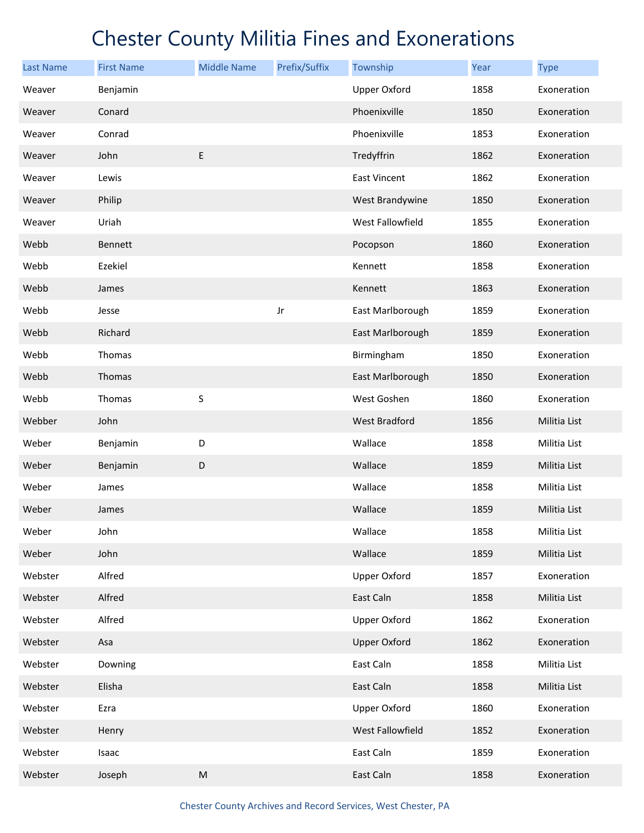| <b>Last Name</b> | <b>First Name</b> | <b>Middle Name</b> | Prefix/Suffix | Township             | Year | <b>Type</b>  |
|------------------|-------------------|--------------------|---------------|----------------------|------|--------------|
| Weaver           | Benjamin          |                    |               | <b>Upper Oxford</b>  | 1858 | Exoneration  |
| Weaver           | Conard            |                    |               | Phoenixville         | 1850 | Exoneration  |
| Weaver           | Conrad            |                    |               | Phoenixville         | 1853 | Exoneration  |
| Weaver           | John              | E                  |               | Tredyffrin           | 1862 | Exoneration  |
| Weaver           | Lewis             |                    |               | <b>East Vincent</b>  | 1862 | Exoneration  |
| Weaver           | Philip            |                    |               | West Brandywine      | 1850 | Exoneration  |
| Weaver           | Uriah             |                    |               | West Fallowfield     | 1855 | Exoneration  |
| Webb             | Bennett           |                    |               | Pocopson             | 1860 | Exoneration  |
| Webb             | Ezekiel           |                    |               | Kennett              | 1858 | Exoneration  |
| Webb             | James             |                    |               | Kennett              | 1863 | Exoneration  |
| Webb             | Jesse             |                    | Jr            | East Marlborough     | 1859 | Exoneration  |
| Webb             | Richard           |                    |               | East Marlborough     | 1859 | Exoneration  |
| Webb             | Thomas            |                    |               | Birmingham           | 1850 | Exoneration  |
| Webb             | Thomas            |                    |               | East Marlborough     | 1850 | Exoneration  |
| Webb             | Thomas            | $\sf S$            |               | West Goshen          | 1860 | Exoneration  |
| Webber           | John              |                    |               | <b>West Bradford</b> | 1856 | Militia List |
| Weber            | Benjamin          | D                  |               | Wallace              | 1858 | Militia List |
| Weber            | Benjamin          | $\mathsf D$        |               | Wallace              | 1859 | Militia List |
| Weber            | James             |                    |               | Wallace              | 1858 | Militia List |
| Weber            | James             |                    |               | Wallace              | 1859 | Militia List |
| Weber            | John              |                    |               | Wallace              | 1858 | Militia List |
| Weber            | John              |                    |               | Wallace              | 1859 | Militia List |
| Webster          | Alfred            |                    |               | <b>Upper Oxford</b>  | 1857 | Exoneration  |
| Webster          | Alfred            |                    |               | East Caln            | 1858 | Militia List |
| Webster          | Alfred            |                    |               | <b>Upper Oxford</b>  | 1862 | Exoneration  |
| Webster          | Asa               |                    |               | <b>Upper Oxford</b>  | 1862 | Exoneration  |
| Webster          | Downing           |                    |               | East Caln            | 1858 | Militia List |
| Webster          | Elisha            |                    |               | East Caln            | 1858 | Militia List |
| Webster          | Ezra              |                    |               | <b>Upper Oxford</b>  | 1860 | Exoneration  |
| Webster          | Henry             |                    |               | West Fallowfield     | 1852 | Exoneration  |
| Webster          | Isaac             |                    |               | East Caln            | 1859 | Exoneration  |
| Webster          | Joseph            | ${\sf M}$          |               | East Caln            | 1858 | Exoneration  |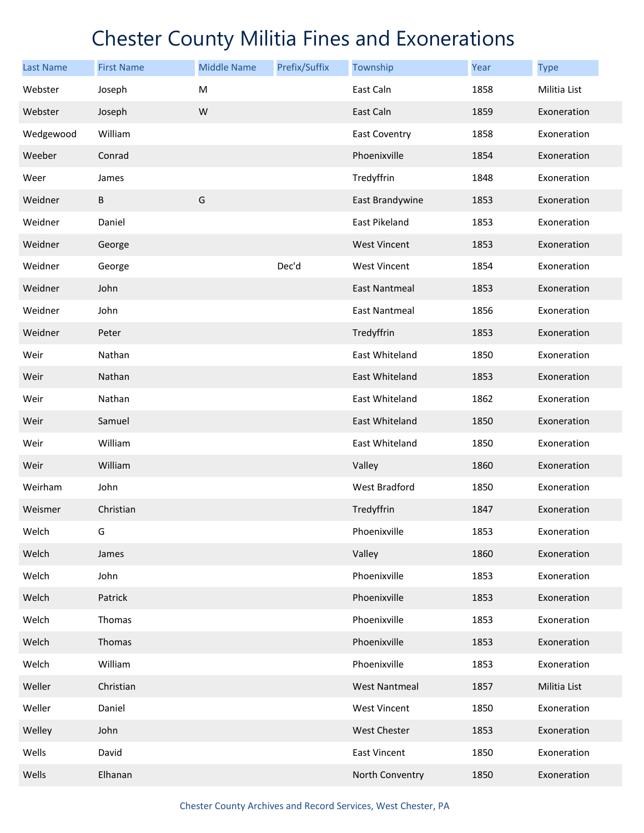| <b>Last Name</b> | <b>First Name</b> | <b>Middle Name</b> | Prefix/Suffix | Township             | Year | <b>Type</b>  |
|------------------|-------------------|--------------------|---------------|----------------------|------|--------------|
| Webster          | Joseph            | M                  |               | East Caln            | 1858 | Militia List |
| Webster          | Joseph            | W                  |               | East Caln            | 1859 | Exoneration  |
| Wedgewood        | William           |                    |               | <b>East Coventry</b> | 1858 | Exoneration  |
| Weeber           | Conrad            |                    |               | Phoenixville         | 1854 | Exoneration  |
| Weer             | James             |                    |               | Tredyffrin           | 1848 | Exoneration  |
| Weidner          | $\sf B$           | G                  |               | East Brandywine      | 1853 | Exoneration  |
| Weidner          | Daniel            |                    |               | East Pikeland        | 1853 | Exoneration  |
| Weidner          | George            |                    |               | <b>West Vincent</b>  | 1853 | Exoneration  |
| Weidner          | George            |                    | Dec'd         | West Vincent         | 1854 | Exoneration  |
| Weidner          | John              |                    |               | <b>East Nantmeal</b> | 1853 | Exoneration  |
| Weidner          | John              |                    |               | <b>East Nantmeal</b> | 1856 | Exoneration  |
| Weidner          | Peter             |                    |               | Tredyffrin           | 1853 | Exoneration  |
| Weir             | Nathan            |                    |               | East Whiteland       | 1850 | Exoneration  |
| Weir             | Nathan            |                    |               | East Whiteland       | 1853 | Exoneration  |
| Weir             | Nathan            |                    |               | East Whiteland       | 1862 | Exoneration  |
| Weir             | Samuel            |                    |               | East Whiteland       | 1850 | Exoneration  |
| Weir             | William           |                    |               | East Whiteland       | 1850 | Exoneration  |
| Weir             | William           |                    |               | Valley               | 1860 | Exoneration  |
| Weirham          | John              |                    |               | West Bradford        | 1850 | Exoneration  |
| Weismer          | Christian         |                    |               | Tredyffrin           | 1847 | Exoneration  |
| Welch            | G                 |                    |               | Phoenixville         | 1853 | Exoneration  |
| Welch            | James             |                    |               | Valley               | 1860 | Exoneration  |
| Welch            | John              |                    |               | Phoenixville         | 1853 | Exoneration  |
| Welch            | Patrick           |                    |               | Phoenixville         | 1853 | Exoneration  |
| Welch            | Thomas            |                    |               | Phoenixville         | 1853 | Exoneration  |
| Welch            | Thomas            |                    |               | Phoenixville         | 1853 | Exoneration  |
| Welch            | William           |                    |               | Phoenixville         | 1853 | Exoneration  |
| Weller           | Christian         |                    |               | <b>West Nantmeal</b> | 1857 | Militia List |
| Weller           | Daniel            |                    |               | <b>West Vincent</b>  | 1850 | Exoneration  |
| Welley           | John              |                    |               | <b>West Chester</b>  | 1853 | Exoneration  |
| Wells            | David             |                    |               | East Vincent         | 1850 | Exoneration  |
| Wells            | Elhanan           |                    |               | North Conventry      | 1850 | Exoneration  |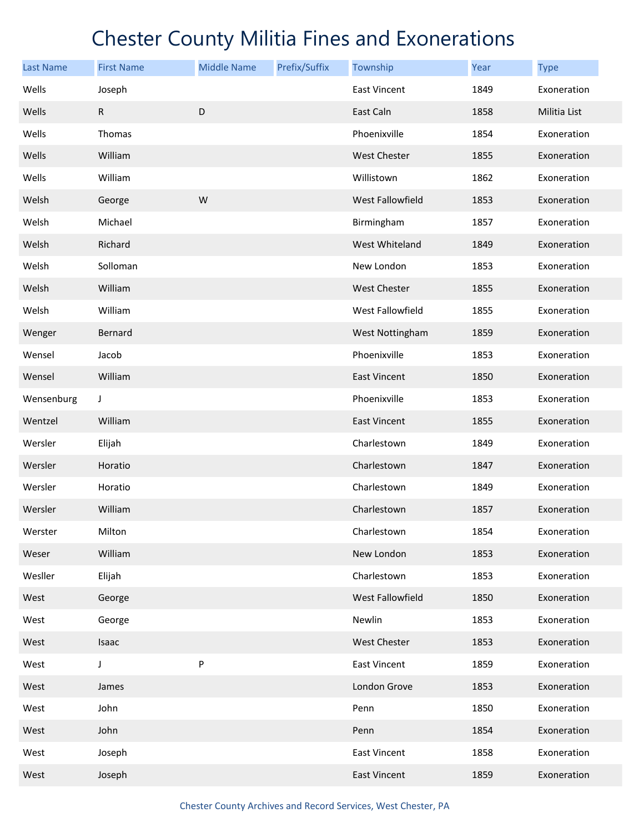| <b>Last Name</b> | <b>First Name</b> | <b>Middle Name</b> | Prefix/Suffix | Township                | Year | <b>Type</b>  |
|------------------|-------------------|--------------------|---------------|-------------------------|------|--------------|
| Wells            | Joseph            |                    |               | <b>East Vincent</b>     | 1849 | Exoneration  |
| Wells            | ${\sf R}$         | D                  |               | East Caln               | 1858 | Militia List |
| Wells            | Thomas            |                    |               | Phoenixville            | 1854 | Exoneration  |
| Wells            | William           |                    |               | <b>West Chester</b>     | 1855 | Exoneration  |
| Wells            | William           |                    |               | Willistown              | 1862 | Exoneration  |
| Welsh            | George            | W                  |               | <b>West Fallowfield</b> | 1853 | Exoneration  |
| Welsh            | Michael           |                    |               | Birmingham              | 1857 | Exoneration  |
| Welsh            | Richard           |                    |               | West Whiteland          | 1849 | Exoneration  |
| Welsh            | Solloman          |                    |               | New London              | 1853 | Exoneration  |
| Welsh            | William           |                    |               | <b>West Chester</b>     | 1855 | Exoneration  |
| Welsh            | William           |                    |               | West Fallowfield        | 1855 | Exoneration  |
| Wenger           | Bernard           |                    |               | West Nottingham         | 1859 | Exoneration  |
| Wensel           | Jacob             |                    |               | Phoenixville            | 1853 | Exoneration  |
| Wensel           | William           |                    |               | <b>East Vincent</b>     | 1850 | Exoneration  |
| Wensenburg       | J                 |                    |               | Phoenixville            | 1853 | Exoneration  |
| Wentzel          | William           |                    |               | <b>East Vincent</b>     | 1855 | Exoneration  |
| Wersler          | Elijah            |                    |               | Charlestown             | 1849 | Exoneration  |
| Wersler          | Horatio           |                    |               | Charlestown             | 1847 | Exoneration  |
| Wersler          | Horatio           |                    |               | Charlestown             | 1849 | Exoneration  |
| Wersler          | William           |                    |               | Charlestown             | 1857 | Exoneration  |
| Werster          | Milton            |                    |               | Charlestown             | 1854 | Exoneration  |
| Weser            | William           |                    |               | New London              | 1853 | Exoneration  |
| Wesller          | Elijah            |                    |               | Charlestown             | 1853 | Exoneration  |
| West             | George            |                    |               | West Fallowfield        | 1850 | Exoneration  |
| West             | George            |                    |               | Newlin                  | 1853 | Exoneration  |
| West             | Isaac             |                    |               | <b>West Chester</b>     | 1853 | Exoneration  |
| West             | J                 | P                  |               | <b>East Vincent</b>     | 1859 | Exoneration  |
| West             | James             |                    |               | London Grove            | 1853 | Exoneration  |
| West             | John              |                    |               | Penn                    | 1850 | Exoneration  |
| West             | John              |                    |               | Penn                    | 1854 | Exoneration  |
| West             | Joseph            |                    |               | East Vincent            | 1858 | Exoneration  |
| West             | Joseph            |                    |               | East Vincent            | 1859 | Exoneration  |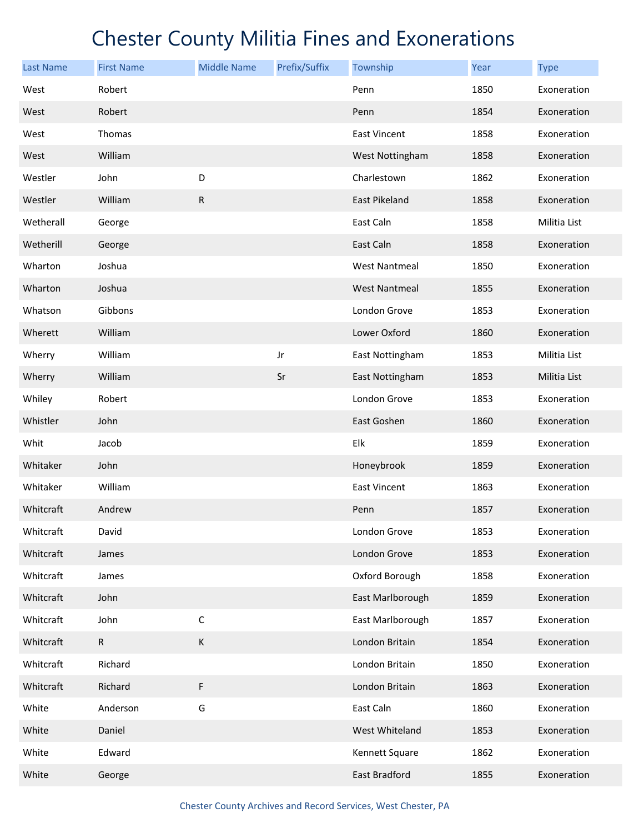| <b>Last Name</b> | <b>First Name</b> | <b>Middle Name</b> | Prefix/Suffix | Township             | Year | <b>Type</b>  |
|------------------|-------------------|--------------------|---------------|----------------------|------|--------------|
| West             | Robert            |                    |               | Penn                 | 1850 | Exoneration  |
| West             | Robert            |                    |               | Penn                 | 1854 | Exoneration  |
| West             | Thomas            |                    |               | <b>East Vincent</b>  | 1858 | Exoneration  |
| West             | William           |                    |               | West Nottingham      | 1858 | Exoneration  |
| Westler          | John              | D                  |               | Charlestown          | 1862 | Exoneration  |
| Westler          | William           | ${\sf R}$          |               | East Pikeland        | 1858 | Exoneration  |
| Wetherall        | George            |                    |               | East Caln            | 1858 | Militia List |
| Wetherill        | George            |                    |               | East Caln            | 1858 | Exoneration  |
| Wharton          | Joshua            |                    |               | <b>West Nantmeal</b> | 1850 | Exoneration  |
| Wharton          | Joshua            |                    |               | <b>West Nantmeal</b> | 1855 | Exoneration  |
| Whatson          | Gibbons           |                    |               | London Grove         | 1853 | Exoneration  |
| Wherett          | William           |                    |               | Lower Oxford         | 1860 | Exoneration  |
| Wherry           | William           |                    | Jr            | East Nottingham      | 1853 | Militia List |
| Wherry           | William           |                    | Sr            | East Nottingham      | 1853 | Militia List |
| Whiley           | Robert            |                    |               | London Grove         | 1853 | Exoneration  |
| Whistler         | John              |                    |               | East Goshen          | 1860 | Exoneration  |
| Whit             | Jacob             |                    |               | Elk                  | 1859 | Exoneration  |
| Whitaker         | John              |                    |               | Honeybrook           | 1859 | Exoneration  |
| Whitaker         | William           |                    |               | <b>East Vincent</b>  | 1863 | Exoneration  |
| Whitcraft        | Andrew            |                    |               | Penn                 | 1857 | Exoneration  |
| Whitcraft        | David             |                    |               | London Grove         | 1853 | Exoneration  |
| Whitcraft        | James             |                    |               | London Grove         | 1853 | Exoneration  |
| Whitcraft        | James             |                    |               | Oxford Borough       | 1858 | Exoneration  |
| Whitcraft        | John              |                    |               | East Marlborough     | 1859 | Exoneration  |
| Whitcraft        | John              | $\mathsf C$        |               | East Marlborough     | 1857 | Exoneration  |
| Whitcraft        | $\mathsf{R}$      | $\mathsf K$        |               | London Britain       | 1854 | Exoneration  |
| Whitcraft        | Richard           |                    |               | London Britain       | 1850 | Exoneration  |
| Whitcraft        | Richard           | F                  |               | London Britain       | 1863 | Exoneration  |
| White            | Anderson          | G                  |               | East Caln            | 1860 | Exoneration  |
| White            | Daniel            |                    |               | West Whiteland       | 1853 | Exoneration  |
| White            | Edward            |                    |               | Kennett Square       | 1862 | Exoneration  |
| White            | George            |                    |               | East Bradford        | 1855 | Exoneration  |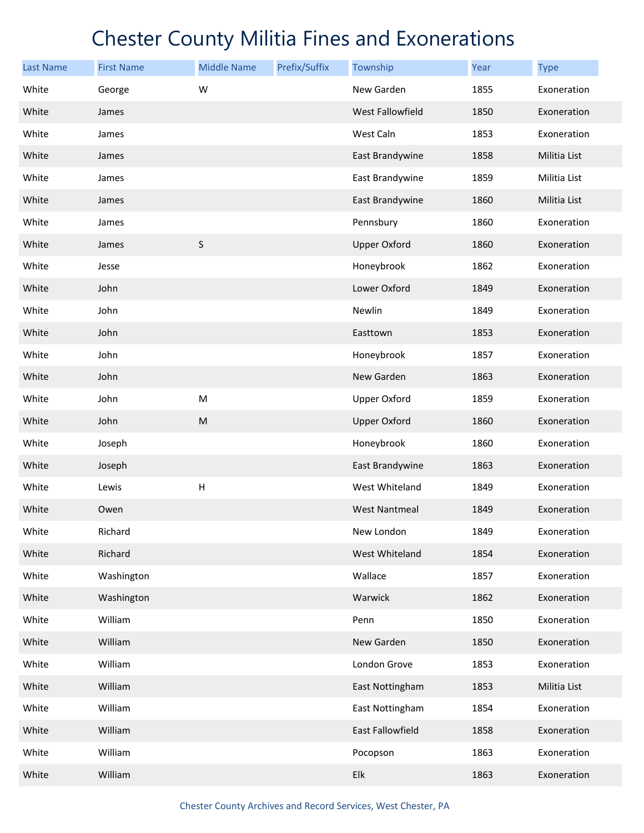| <b>Last Name</b> | <b>First Name</b> | <b>Middle Name</b>        | Prefix/Suffix | Township             | Year | <b>Type</b>  |
|------------------|-------------------|---------------------------|---------------|----------------------|------|--------------|
| White            | George            | W                         |               | New Garden           | 1855 | Exoneration  |
| White            | James             |                           |               | West Fallowfield     | 1850 | Exoneration  |
| White            | James             |                           |               | West Caln            | 1853 | Exoneration  |
| White            | James             |                           |               | East Brandywine      | 1858 | Militia List |
| White            | James             |                           |               | East Brandywine      | 1859 | Militia List |
| White            | James             |                           |               | East Brandywine      | 1860 | Militia List |
| White            | James             |                           |               | Pennsbury            | 1860 | Exoneration  |
| White            | James             | $\sf S$                   |               | <b>Upper Oxford</b>  | 1860 | Exoneration  |
| White            | Jesse             |                           |               | Honeybrook           | 1862 | Exoneration  |
| White            | John              |                           |               | Lower Oxford         | 1849 | Exoneration  |
| White            | John              |                           |               | Newlin               | 1849 | Exoneration  |
| White            | John              |                           |               | Easttown             | 1853 | Exoneration  |
| White            | John              |                           |               | Honeybrook           | 1857 | Exoneration  |
| White            | John              |                           |               | New Garden           | 1863 | Exoneration  |
| White            | John              | ${\sf M}$                 |               | <b>Upper Oxford</b>  | 1859 | Exoneration  |
| White            | John              | ${\sf M}$                 |               | <b>Upper Oxford</b>  | 1860 | Exoneration  |
| White            | Joseph            |                           |               | Honeybrook           | 1860 | Exoneration  |
| White            | Joseph            |                           |               | East Brandywine      | 1863 | Exoneration  |
| White            | Lewis             | $\boldsymbol{\mathsf{H}}$ |               | West Whiteland       | 1849 | Exoneration  |
| White            | Owen              |                           |               | <b>West Nantmeal</b> | 1849 | Exoneration  |
| White            | Richard           |                           |               | New London           | 1849 | Exoneration  |
| White            | Richard           |                           |               | West Whiteland       | 1854 | Exoneration  |
| White            | Washington        |                           |               | Wallace              | 1857 | Exoneration  |
| White            | Washington        |                           |               | Warwick              | 1862 | Exoneration  |
| White            | William           |                           |               | Penn                 | 1850 | Exoneration  |
| White            | William           |                           |               | New Garden           | 1850 | Exoneration  |
| White            | William           |                           |               | London Grove         | 1853 | Exoneration  |
| White            | William           |                           |               | East Nottingham      | 1853 | Militia List |
| White            | William           |                           |               | East Nottingham      | 1854 | Exoneration  |
| White            | William           |                           |               | East Fallowfield     | 1858 | Exoneration  |
| White            | William           |                           |               | Pocopson             | 1863 | Exoneration  |
| White            | William           |                           |               | Elk                  | 1863 | Exoneration  |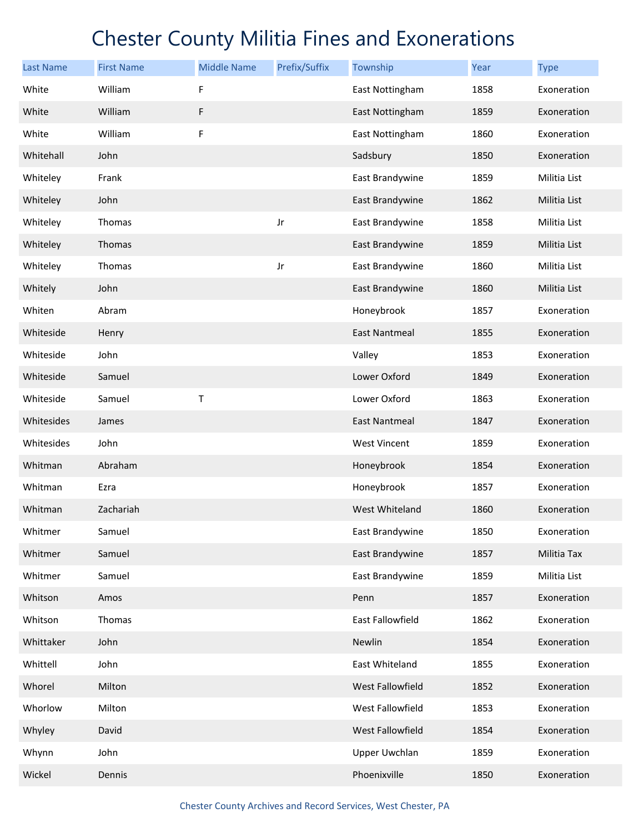| <b>Last Name</b> | <b>First Name</b> | <b>Middle Name</b> | Prefix/Suffix | Township             | Year | <b>Type</b>  |
|------------------|-------------------|--------------------|---------------|----------------------|------|--------------|
| White            | William           | F                  |               | East Nottingham      | 1858 | Exoneration  |
| White            | William           | F                  |               | East Nottingham      | 1859 | Exoneration  |
| White            | William           | F                  |               | East Nottingham      | 1860 | Exoneration  |
| Whitehall        | John              |                    |               | Sadsbury             | 1850 | Exoneration  |
| Whiteley         | Frank             |                    |               | East Brandywine      | 1859 | Militia List |
| Whiteley         | John              |                    |               | East Brandywine      | 1862 | Militia List |
| Whiteley         | Thomas            |                    | Jr            | East Brandywine      | 1858 | Militia List |
| Whiteley         | Thomas            |                    |               | East Brandywine      | 1859 | Militia List |
| Whiteley         | Thomas            |                    | Jr            | East Brandywine      | 1860 | Militia List |
| Whitely          | John              |                    |               | East Brandywine      | 1860 | Militia List |
| Whiten           | Abram             |                    |               | Honeybrook           | 1857 | Exoneration  |
| Whiteside        | Henry             |                    |               | <b>East Nantmeal</b> | 1855 | Exoneration  |
| Whiteside        | John              |                    |               | Valley               | 1853 | Exoneration  |
| Whiteside        | Samuel            |                    |               | Lower Oxford         | 1849 | Exoneration  |
| Whiteside        | Samuel            | Τ                  |               | Lower Oxford         | 1863 | Exoneration  |
| Whitesides       | James             |                    |               | <b>East Nantmeal</b> | 1847 | Exoneration  |
| Whitesides       | John              |                    |               | West Vincent         | 1859 | Exoneration  |
| Whitman          | Abraham           |                    |               | Honeybrook           | 1854 | Exoneration  |
| Whitman          | Ezra              |                    |               | Honeybrook           | 1857 | Exoneration  |
| Whitman          | Zachariah         |                    |               | West Whiteland       | 1860 | Exoneration  |
| Whitmer          | Samuel            |                    |               | East Brandywine      | 1850 | Exoneration  |
| Whitmer          | Samuel            |                    |               | East Brandywine      | 1857 | Militia Tax  |
| Whitmer          | Samuel            |                    |               | East Brandywine      | 1859 | Militia List |
| Whitson          | Amos              |                    |               | Penn                 | 1857 | Exoneration  |
| Whitson          | Thomas            |                    |               | East Fallowfield     | 1862 | Exoneration  |
| Whittaker        | John              |                    |               | Newlin               | 1854 | Exoneration  |
| Whittell         | John              |                    |               | East Whiteland       | 1855 | Exoneration  |
| Whorel           | Milton            |                    |               | West Fallowfield     | 1852 | Exoneration  |
| Whorlow          | Milton            |                    |               | West Fallowfield     | 1853 | Exoneration  |
| Whyley           | David             |                    |               | West Fallowfield     | 1854 | Exoneration  |
| Whynn            | John              |                    |               | <b>Upper Uwchlan</b> | 1859 | Exoneration  |
| Wickel           | Dennis            |                    |               | Phoenixville         | 1850 | Exoneration  |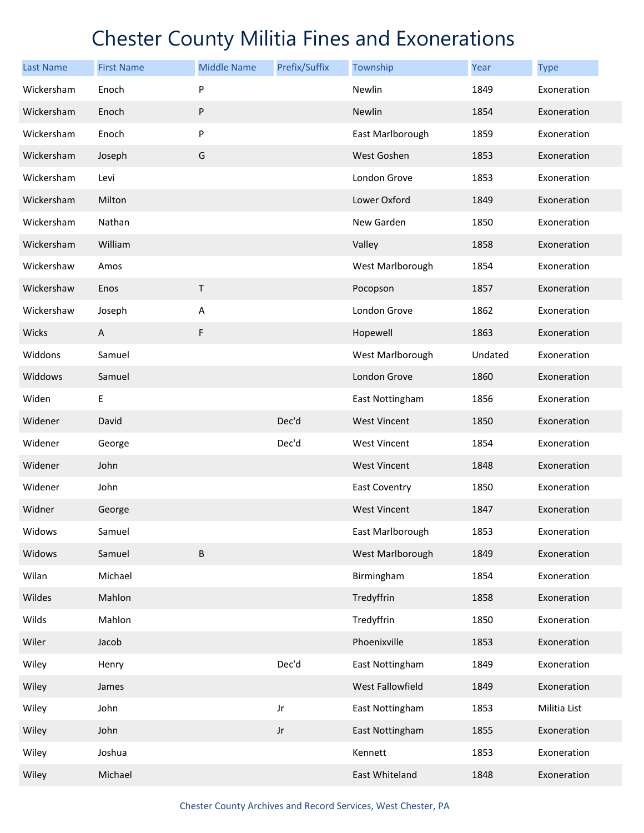| <b>Last Name</b> | <b>First Name</b> | <b>Middle Name</b> | Prefix/Suffix | Township             | Year    | <b>Type</b>  |
|------------------|-------------------|--------------------|---------------|----------------------|---------|--------------|
| Wickersham       | Enoch             | P                  |               | Newlin               | 1849    | Exoneration  |
| Wickersham       | Enoch             | ${\sf P}$          |               | Newlin               | 1854    | Exoneration  |
| Wickersham       | Enoch             | P                  |               | East Marlborough     | 1859    | Exoneration  |
| Wickersham       | Joseph            | G                  |               | West Goshen          | 1853    | Exoneration  |
| Wickersham       | Levi              |                    |               | London Grove         | 1853    | Exoneration  |
| Wickersham       | Milton            |                    |               | Lower Oxford         | 1849    | Exoneration  |
| Wickersham       | Nathan            |                    |               | New Garden           | 1850    | Exoneration  |
| Wickersham       | William           |                    |               | Valley               | 1858    | Exoneration  |
| Wickershaw       | Amos              |                    |               | West Marlborough     | 1854    | Exoneration  |
| Wickershaw       | Enos              | $\mathsf T$        |               | Pocopson             | 1857    | Exoneration  |
| Wickershaw       | Joseph            | Α                  |               | London Grove         | 1862    | Exoneration  |
| Wicks            | $\mathsf{A}$      | $\mathsf F$        |               | Hopewell             | 1863    | Exoneration  |
| Widdons          | Samuel            |                    |               | West Marlborough     | Undated | Exoneration  |
| Widdows          | Samuel            |                    |               | London Grove         | 1860    | Exoneration  |
| Widen            | E                 |                    |               | East Nottingham      | 1856    | Exoneration  |
| Widener          | David             |                    | Dec'd         | <b>West Vincent</b>  | 1850    | Exoneration  |
| Widener          | George            |                    | Dec'd         | West Vincent         | 1854    | Exoneration  |
| Widener          | John              |                    |               | <b>West Vincent</b>  | 1848    | Exoneration  |
| Widener          | John              |                    |               | <b>East Coventry</b> | 1850    | Exoneration  |
| Widner           | George            |                    |               | <b>West Vincent</b>  | 1847    | Exoneration  |
| Widows           | Samuel            |                    |               | East Marlborough     | 1853    | Exoneration  |
| Widows           | Samuel            | $\sf B$            |               | West Marlborough     | 1849    | Exoneration  |
| Wilan            | Michael           |                    |               | Birmingham           | 1854    | Exoneration  |
| Wildes           | Mahlon            |                    |               | Tredyffrin           | 1858    | Exoneration  |
| Wilds            | Mahlon            |                    |               | Tredyffrin           | 1850    | Exoneration  |
| Wiler            | Jacob             |                    |               | Phoenixville         | 1853    | Exoneration  |
| Wiley            | Henry             |                    | Dec'd         | East Nottingham      | 1849    | Exoneration  |
| Wiley            | James             |                    |               | West Fallowfield     | 1849    | Exoneration  |
| Wiley            | John              |                    | Jr            | East Nottingham      | 1853    | Militia List |
| Wiley            | John              |                    | Jr            | East Nottingham      | 1855    | Exoneration  |
| Wiley            | Joshua            |                    |               | Kennett              | 1853    | Exoneration  |
| Wiley            | Michael           |                    |               | East Whiteland       | 1848    | Exoneration  |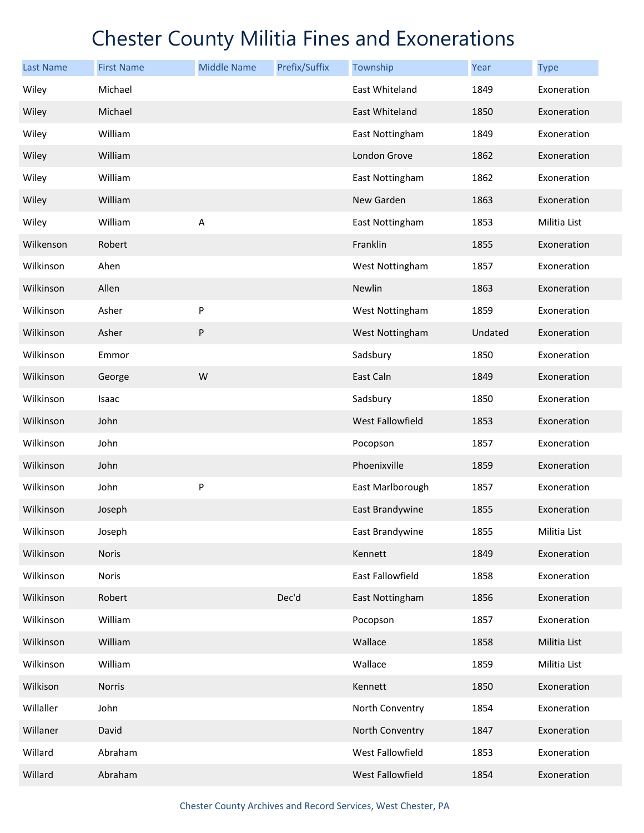| <b>Last Name</b> | <b>First Name</b> | <b>Middle Name</b> | Prefix/Suffix | Township                | Year    | <b>Type</b>  |
|------------------|-------------------|--------------------|---------------|-------------------------|---------|--------------|
| Wiley            | Michael           |                    |               | East Whiteland          | 1849    | Exoneration  |
| Wiley            | Michael           |                    |               | East Whiteland          | 1850    | Exoneration  |
| Wiley            | William           |                    |               | East Nottingham         | 1849    | Exoneration  |
| Wiley            | William           |                    |               | London Grove            | 1862    | Exoneration  |
| Wiley            | William           |                    |               | East Nottingham         | 1862    | Exoneration  |
| Wiley            | William           |                    |               | New Garden              | 1863    | Exoneration  |
| Wiley            | William           | Α                  |               | East Nottingham         | 1853    | Militia List |
| Wilkenson        | Robert            |                    |               | Franklin                | 1855    | Exoneration  |
| Wilkinson        | Ahen              |                    |               | West Nottingham         | 1857    | Exoneration  |
| Wilkinson        | Allen             |                    |               | Newlin                  | 1863    | Exoneration  |
| Wilkinson        | Asher             | P                  |               | West Nottingham         | 1859    | Exoneration  |
| Wilkinson        | Asher             | P                  |               | West Nottingham         | Undated | Exoneration  |
| Wilkinson        | Emmor             |                    |               | Sadsbury                | 1850    | Exoneration  |
| Wilkinson        | George            | W                  |               | East Caln               | 1849    | Exoneration  |
| Wilkinson        | Isaac             |                    |               | Sadsbury                | 1850    | Exoneration  |
| Wilkinson        | John              |                    |               | <b>West Fallowfield</b> | 1853    | Exoneration  |
| Wilkinson        | John              |                    |               | Pocopson                | 1857    | Exoneration  |
| Wilkinson        | John              |                    |               | Phoenixville            | 1859    | Exoneration  |
| Wilkinson        | John              | P                  |               | East Marlborough        | 1857    | Exoneration  |
| Wilkinson        | Joseph            |                    |               | East Brandywine         | 1855    | Exoneration  |
| Wilkinson        | Joseph            |                    |               | East Brandywine         | 1855    | Militia List |
| Wilkinson        | <b>Noris</b>      |                    |               | Kennett                 | 1849    | Exoneration  |
| Wilkinson        | Noris             |                    |               | East Fallowfield        | 1858    | Exoneration  |
| Wilkinson        | Robert            |                    | Dec'd         | East Nottingham         | 1856    | Exoneration  |
| Wilkinson        | William           |                    |               | Pocopson                | 1857    | Exoneration  |
| Wilkinson        | William           |                    |               | Wallace                 | 1858    | Militia List |
| Wilkinson        | William           |                    |               | Wallace                 | 1859    | Militia List |
| Wilkison         | Norris            |                    |               | Kennett                 | 1850    | Exoneration  |
| Willaller        | John              |                    |               | North Conventry         | 1854    | Exoneration  |
| Willaner         | David             |                    |               | North Conventry         | 1847    | Exoneration  |
| Willard          | Abraham           |                    |               | West Fallowfield        | 1853    | Exoneration  |
| Willard          | Abraham           |                    |               | West Fallowfield        | 1854    | Exoneration  |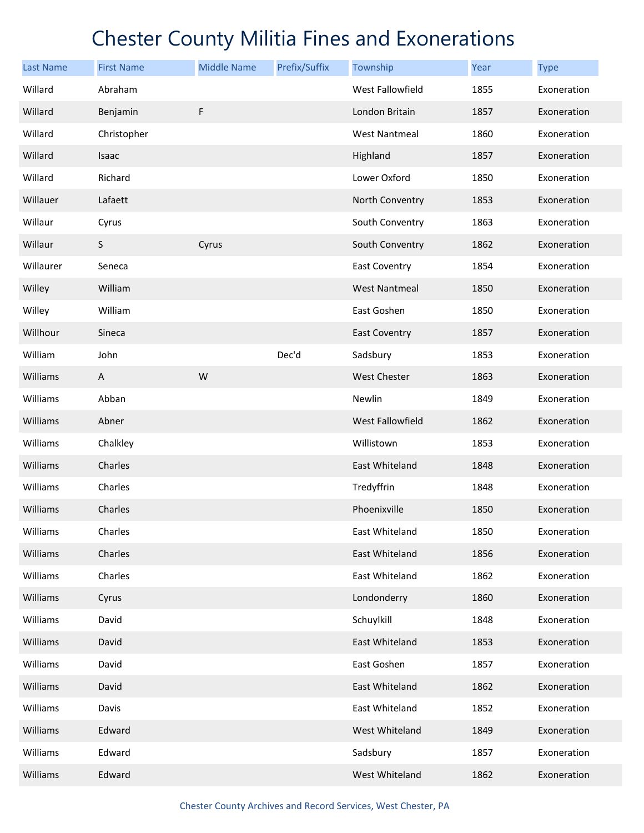| <b>Last Name</b> | <b>First Name</b> | <b>Middle Name</b> | Prefix/Suffix | Township                | Year | <b>Type</b> |
|------------------|-------------------|--------------------|---------------|-------------------------|------|-------------|
| Willard          | Abraham           |                    |               | West Fallowfield        | 1855 | Exoneration |
| Willard          | Benjamin          | $\mathsf F$        |               | London Britain          | 1857 | Exoneration |
| Willard          | Christopher       |                    |               | <b>West Nantmeal</b>    | 1860 | Exoneration |
| Willard          | Isaac             |                    |               | Highland                | 1857 | Exoneration |
| Willard          | Richard           |                    |               | Lower Oxford            | 1850 | Exoneration |
| Willauer         | Lafaett           |                    |               | North Conventry         | 1853 | Exoneration |
| Willaur          | Cyrus             |                    |               | South Conventry         | 1863 | Exoneration |
| Willaur          | $\sf S$           | Cyrus              |               | South Conventry         | 1862 | Exoneration |
| Willaurer        | Seneca            |                    |               | <b>East Coventry</b>    | 1854 | Exoneration |
| Willey           | William           |                    |               | <b>West Nantmeal</b>    | 1850 | Exoneration |
| Willey           | William           |                    |               | East Goshen             | 1850 | Exoneration |
| Willhour         | Sineca            |                    |               | <b>East Coventry</b>    | 1857 | Exoneration |
| William          | John              |                    | Dec'd         | Sadsbury                | 1853 | Exoneration |
| Williams         | A                 | W                  |               | <b>West Chester</b>     | 1863 | Exoneration |
| Williams         | Abban             |                    |               | Newlin                  | 1849 | Exoneration |
| Williams         | Abner             |                    |               | <b>West Fallowfield</b> | 1862 | Exoneration |
| Williams         | Chalkley          |                    |               | Willistown              | 1853 | Exoneration |
| Williams         | Charles           |                    |               | <b>East Whiteland</b>   | 1848 | Exoneration |
| Williams         | Charles           |                    |               | Tredyffrin              | 1848 | Exoneration |
| Williams         | Charles           |                    |               | Phoenixville            | 1850 | Exoneration |
| Williams         | Charles           |                    |               | East Whiteland          | 1850 | Exoneration |
| Williams         | Charles           |                    |               | East Whiteland          | 1856 | Exoneration |
| Williams         | Charles           |                    |               | East Whiteland          | 1862 | Exoneration |
| Williams         | Cyrus             |                    |               | Londonderry             | 1860 | Exoneration |
| Williams         | David             |                    |               | Schuylkill              | 1848 | Exoneration |
| Williams         | David             |                    |               | East Whiteland          | 1853 | Exoneration |
| Williams         | David             |                    |               | East Goshen             | 1857 | Exoneration |
| Williams         | David             |                    |               | East Whiteland          | 1862 | Exoneration |
| Williams         | Davis             |                    |               | East Whiteland          | 1852 | Exoneration |
| Williams         | Edward            |                    |               | West Whiteland          | 1849 | Exoneration |
| Williams         | Edward            |                    |               | Sadsbury                | 1857 | Exoneration |
| Williams         | Edward            |                    |               | West Whiteland          | 1862 | Exoneration |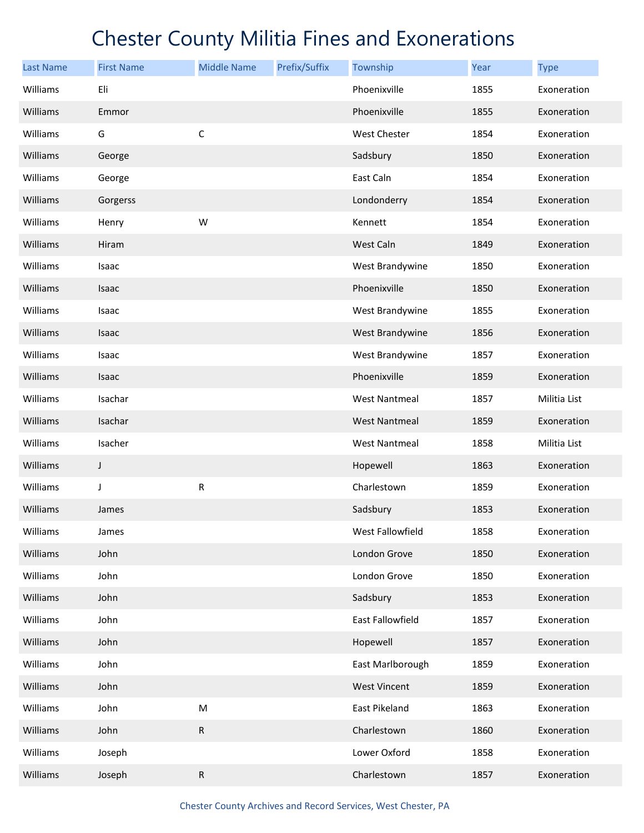| <b>Last Name</b> | <b>First Name</b> | <b>Middle Name</b> | Prefix/Suffix | Township             | Year | <b>Type</b>  |
|------------------|-------------------|--------------------|---------------|----------------------|------|--------------|
| Williams         | Eli               |                    |               | Phoenixville         | 1855 | Exoneration  |
| Williams         | Emmor             |                    |               | Phoenixville         | 1855 | Exoneration  |
| Williams         | G                 | $\mathsf C$        |               | West Chester         | 1854 | Exoneration  |
| Williams         | George            |                    |               | Sadsbury             | 1850 | Exoneration  |
| Williams         | George            |                    |               | East Caln            | 1854 | Exoneration  |
| Williams         | Gorgerss          |                    |               | Londonderry          | 1854 | Exoneration  |
| Williams         | Henry             | W                  |               | Kennett              | 1854 | Exoneration  |
| Williams         | Hiram             |                    |               | West Caln            | 1849 | Exoneration  |
| Williams         | Isaac             |                    |               | West Brandywine      | 1850 | Exoneration  |
| Williams         | Isaac             |                    |               | Phoenixville         | 1850 | Exoneration  |
| Williams         | Isaac             |                    |               | West Brandywine      | 1855 | Exoneration  |
| Williams         | Isaac             |                    |               | West Brandywine      | 1856 | Exoneration  |
| Williams         | Isaac             |                    |               | West Brandywine      | 1857 | Exoneration  |
| Williams         | Isaac             |                    |               | Phoenixville         | 1859 | Exoneration  |
| Williams         | Isachar           |                    |               | <b>West Nantmeal</b> | 1857 | Militia List |
| Williams         | Isachar           |                    |               | <b>West Nantmeal</b> | 1859 | Exoneration  |
| Williams         | Isacher           |                    |               | <b>West Nantmeal</b> | 1858 | Militia List |
| Williams         | $\mathsf J$       |                    |               | Hopewell             | 1863 | Exoneration  |
| Williams         | J                 | ${\sf R}$          |               | Charlestown          | 1859 | Exoneration  |
| Williams         | James             |                    |               | Sadsbury             | 1853 | Exoneration  |
| Williams         | James             |                    |               | West Fallowfield     | 1858 | Exoneration  |
| Williams         | John              |                    |               | London Grove         | 1850 | Exoneration  |
| Williams         | John              |                    |               | London Grove         | 1850 | Exoneration  |
| Williams         | John              |                    |               | Sadsbury             | 1853 | Exoneration  |
| Williams         | John              |                    |               | East Fallowfield     | 1857 | Exoneration  |
| Williams         | John              |                    |               | Hopewell             | 1857 | Exoneration  |
| Williams         | John              |                    |               | East Marlborough     | 1859 | Exoneration  |
| Williams         | John              |                    |               | <b>West Vincent</b>  | 1859 | Exoneration  |
| Williams         | John              | M                  |               | East Pikeland        | 1863 | Exoneration  |
| Williams         | John              | ${\sf R}$          |               | Charlestown          | 1860 | Exoneration  |
| Williams         | Joseph            |                    |               | Lower Oxford         | 1858 | Exoneration  |
| Williams         | Joseph            | ${\sf R}$          |               | Charlestown          | 1857 | Exoneration  |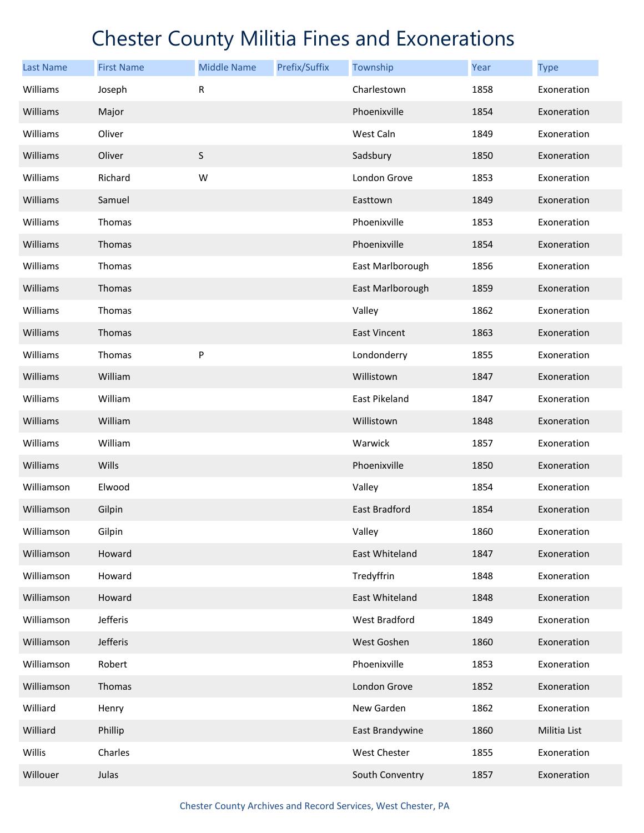| <b>Last Name</b> | <b>First Name</b> | <b>Middle Name</b> | Prefix/Suffix | Township             | Year | <b>Type</b>  |
|------------------|-------------------|--------------------|---------------|----------------------|------|--------------|
| Williams         | Joseph            | R                  |               | Charlestown          | 1858 | Exoneration  |
| Williams         | Major             |                    |               | Phoenixville         | 1854 | Exoneration  |
| Williams         | Oliver            |                    |               | West Caln            | 1849 | Exoneration  |
| Williams         | Oliver            | $\sf S$            |               | Sadsbury             | 1850 | Exoneration  |
| Williams         | Richard           | W                  |               | London Grove         | 1853 | Exoneration  |
| Williams         | Samuel            |                    |               | Easttown             | 1849 | Exoneration  |
| Williams         | Thomas            |                    |               | Phoenixville         | 1853 | Exoneration  |
| Williams         | Thomas            |                    |               | Phoenixville         | 1854 | Exoneration  |
| Williams         | Thomas            |                    |               | East Marlborough     | 1856 | Exoneration  |
| Williams         | Thomas            |                    |               | East Marlborough     | 1859 | Exoneration  |
| Williams         | Thomas            |                    |               | Valley               | 1862 | Exoneration  |
| Williams         | Thomas            |                    |               | <b>East Vincent</b>  | 1863 | Exoneration  |
| Williams         | Thomas            | P                  |               | Londonderry          | 1855 | Exoneration  |
| Williams         | William           |                    |               | Willistown           | 1847 | Exoneration  |
| Williams         | William           |                    |               | East Pikeland        | 1847 | Exoneration  |
| Williams         | William           |                    |               | Willistown           | 1848 | Exoneration  |
| Williams         | William           |                    |               | Warwick              | 1857 | Exoneration  |
| Williams         | Wills             |                    |               | Phoenixville         | 1850 | Exoneration  |
| Williamson       | Elwood            |                    |               | Valley               | 1854 | Exoneration  |
| Williamson       | Gilpin            |                    |               | <b>East Bradford</b> | 1854 | Exoneration  |
| Williamson       | Gilpin            |                    |               | Valley               | 1860 | Exoneration  |
| Williamson       | Howard            |                    |               | East Whiteland       | 1847 | Exoneration  |
| Williamson       | Howard            |                    |               | Tredyffrin           | 1848 | Exoneration  |
| Williamson       | Howard            |                    |               | East Whiteland       | 1848 | Exoneration  |
| Williamson       | Jefferis          |                    |               | West Bradford        | 1849 | Exoneration  |
| Williamson       | Jefferis          |                    |               | West Goshen          | 1860 | Exoneration  |
| Williamson       | Robert            |                    |               | Phoenixville         | 1853 | Exoneration  |
| Williamson       | Thomas            |                    |               | London Grove         | 1852 | Exoneration  |
| Williard         | Henry             |                    |               | New Garden           | 1862 | Exoneration  |
| Williard         | Phillip           |                    |               | East Brandywine      | 1860 | Militia List |
| Willis           | Charles           |                    |               | West Chester         | 1855 | Exoneration  |
| Willouer         | Julas             |                    |               | South Conventry      | 1857 | Exoneration  |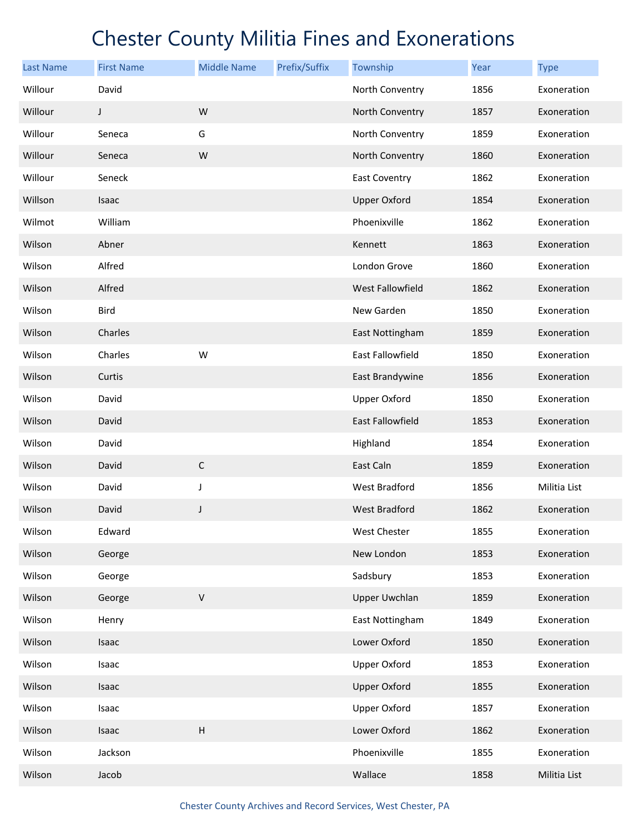| <b>Last Name</b> | <b>First Name</b> | <b>Middle Name</b>        | Prefix/Suffix | Township                | <b>Year</b> | <b>Type</b>  |
|------------------|-------------------|---------------------------|---------------|-------------------------|-------------|--------------|
| Willour          | David             |                           |               | North Conventry         | 1856        | Exoneration  |
| Willour          | $\mathsf J$       | W                         |               | North Conventry         | 1857        | Exoneration  |
| Willour          | Seneca            | G                         |               | North Conventry         | 1859        | Exoneration  |
| Willour          | Seneca            | W                         |               | North Conventry         | 1860        | Exoneration  |
| Willour          | Seneck            |                           |               | <b>East Coventry</b>    | 1862        | Exoneration  |
| Willson          | Isaac             |                           |               | <b>Upper Oxford</b>     | 1854        | Exoneration  |
| Wilmot           | William           |                           |               | Phoenixville            | 1862        | Exoneration  |
| Wilson           | Abner             |                           |               | Kennett                 | 1863        | Exoneration  |
| Wilson           | Alfred            |                           |               | London Grove            | 1860        | Exoneration  |
| Wilson           | Alfred            |                           |               | West Fallowfield        | 1862        | Exoneration  |
| Wilson           | <b>Bird</b>       |                           |               | New Garden              | 1850        | Exoneration  |
| Wilson           | Charles           |                           |               | East Nottingham         | 1859        | Exoneration  |
| Wilson           | Charles           | W                         |               | East Fallowfield        | 1850        | Exoneration  |
| Wilson           | Curtis            |                           |               | East Brandywine         | 1856        | Exoneration  |
| Wilson           | David             |                           |               | <b>Upper Oxford</b>     | 1850        | Exoneration  |
| Wilson           | David             |                           |               | <b>East Fallowfield</b> | 1853        | Exoneration  |
| Wilson           | David             |                           |               | Highland                | 1854        | Exoneration  |
| Wilson           | David             | $\mathsf C$               |               | East Caln               | 1859        | Exoneration  |
| Wilson           | David             | J                         |               | West Bradford           | 1856        | Militia List |
| Wilson           | David             | J                         |               | <b>West Bradford</b>    | 1862        | Exoneration  |
| Wilson           | Edward            |                           |               | West Chester            | 1855        | Exoneration  |
| Wilson           | George            |                           |               | New London              | 1853        | Exoneration  |
| Wilson           | George            |                           |               | Sadsbury                | 1853        | Exoneration  |
| Wilson           | George            | $\sf V$                   |               | <b>Upper Uwchlan</b>    | 1859        | Exoneration  |
| Wilson           | Henry             |                           |               | East Nottingham         | 1849        | Exoneration  |
| Wilson           | Isaac             |                           |               | Lower Oxford            | 1850        | Exoneration  |
| Wilson           | Isaac             |                           |               | <b>Upper Oxford</b>     | 1853        | Exoneration  |
| Wilson           | Isaac             |                           |               | <b>Upper Oxford</b>     | 1855        | Exoneration  |
| Wilson           | Isaac             |                           |               | <b>Upper Oxford</b>     | 1857        | Exoneration  |
| Wilson           | Isaac             | $\boldsymbol{\mathsf{H}}$ |               | Lower Oxford            | 1862        | Exoneration  |
| Wilson           | Jackson           |                           |               | Phoenixville            | 1855        | Exoneration  |
| Wilson           | Jacob             |                           |               | Wallace                 | 1858        | Militia List |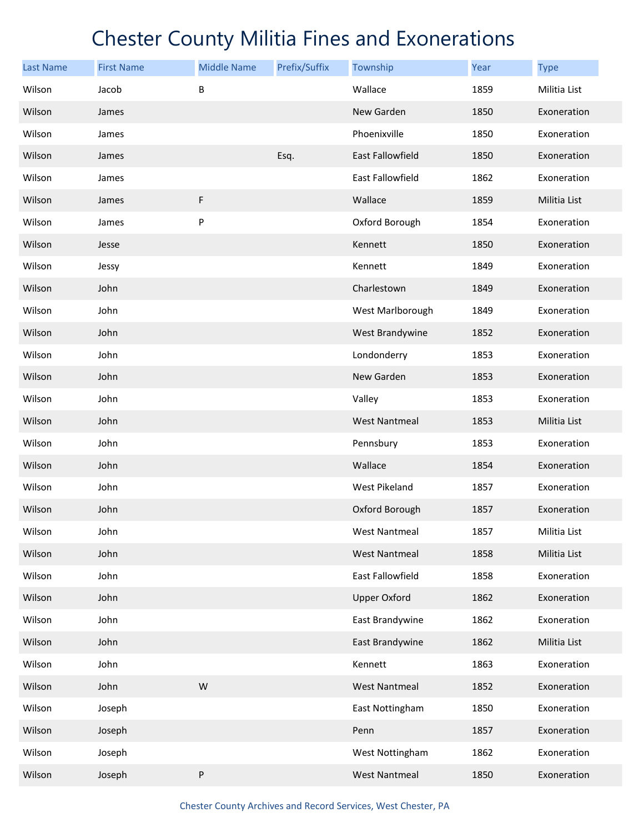| <b>Last Name</b> | <b>First Name</b> | <b>Middle Name</b> | Prefix/Suffix | Township             | Year | <b>Type</b>  |
|------------------|-------------------|--------------------|---------------|----------------------|------|--------------|
| Wilson           | Jacob             | B                  |               | Wallace              | 1859 | Militia List |
| Wilson           | James             |                    |               | New Garden           | 1850 | Exoneration  |
| Wilson           | James             |                    |               | Phoenixville         | 1850 | Exoneration  |
| Wilson           | James             |                    | Esq.          | East Fallowfield     | 1850 | Exoneration  |
| Wilson           | James             |                    |               | East Fallowfield     | 1862 | Exoneration  |
| Wilson           | James             | F                  |               | Wallace              | 1859 | Militia List |
| Wilson           | James             | P                  |               | Oxford Borough       | 1854 | Exoneration  |
| Wilson           | Jesse             |                    |               | Kennett              | 1850 | Exoneration  |
| Wilson           | Jessy             |                    |               | Kennett              | 1849 | Exoneration  |
| Wilson           | John              |                    |               | Charlestown          | 1849 | Exoneration  |
| Wilson           | John              |                    |               | West Marlborough     | 1849 | Exoneration  |
| Wilson           | John              |                    |               | West Brandywine      | 1852 | Exoneration  |
| Wilson           | John              |                    |               | Londonderry          | 1853 | Exoneration  |
| Wilson           | John              |                    |               | New Garden           | 1853 | Exoneration  |
| Wilson           | John              |                    |               | Valley               | 1853 | Exoneration  |
| Wilson           | John              |                    |               | <b>West Nantmeal</b> | 1853 | Militia List |
| Wilson           | John              |                    |               | Pennsbury            | 1853 | Exoneration  |
| Wilson           | John              |                    |               | Wallace              | 1854 | Exoneration  |
| Wilson           | John              |                    |               | West Pikeland        | 1857 | Exoneration  |
| Wilson           | John              |                    |               | Oxford Borough       | 1857 | Exoneration  |
| Wilson           | John              |                    |               | West Nantmeal        | 1857 | Militia List |
| Wilson           | John              |                    |               | <b>West Nantmeal</b> | 1858 | Militia List |
| Wilson           | John              |                    |               | East Fallowfield     | 1858 | Exoneration  |
| Wilson           | John              |                    |               | <b>Upper Oxford</b>  | 1862 | Exoneration  |
| Wilson           | John              |                    |               | East Brandywine      | 1862 | Exoneration  |
| Wilson           | John              |                    |               | East Brandywine      | 1862 | Militia List |
| Wilson           | John              |                    |               | Kennett              | 1863 | Exoneration  |
| Wilson           | John              | W                  |               | West Nantmeal        | 1852 | Exoneration  |
| Wilson           | Joseph            |                    |               | East Nottingham      | 1850 | Exoneration  |
| Wilson           | Joseph            |                    |               | Penn                 | 1857 | Exoneration  |
| Wilson           | Joseph            |                    |               | West Nottingham      | 1862 | Exoneration  |
| Wilson           | Joseph            | ${\sf P}$          |               | <b>West Nantmeal</b> | 1850 | Exoneration  |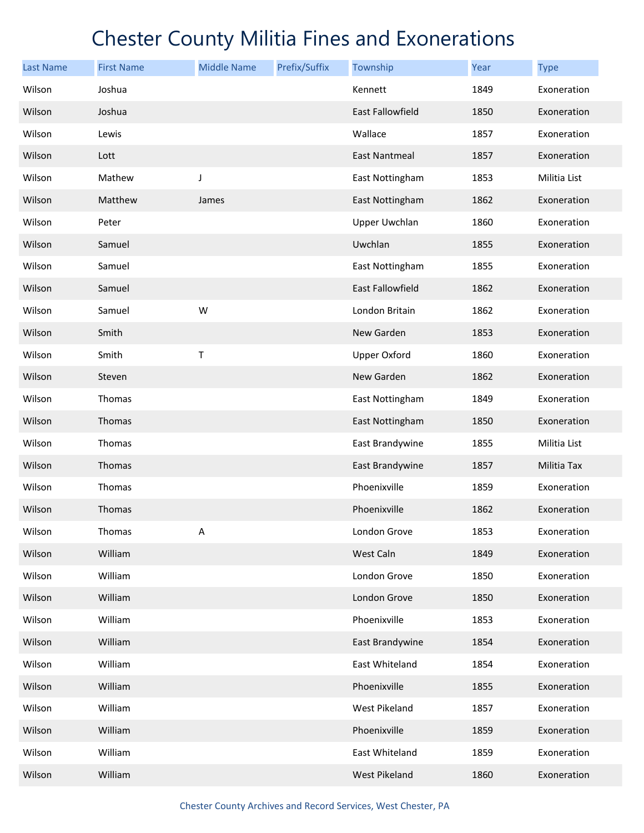| <b>Last Name</b> | <b>First Name</b> | <b>Middle Name</b> | Prefix/Suffix | Township                | Year | <b>Type</b>  |
|------------------|-------------------|--------------------|---------------|-------------------------|------|--------------|
| Wilson           | Joshua            |                    |               | Kennett                 | 1849 | Exoneration  |
| Wilson           | Joshua            |                    |               | East Fallowfield        | 1850 | Exoneration  |
| Wilson           | Lewis             |                    |               | Wallace                 | 1857 | Exoneration  |
| Wilson           | Lott              |                    |               | <b>East Nantmeal</b>    | 1857 | Exoneration  |
| Wilson           | Mathew            | J                  |               | East Nottingham         | 1853 | Militia List |
| Wilson           | Matthew           | James              |               | East Nottingham         | 1862 | Exoneration  |
| Wilson           | Peter             |                    |               | Upper Uwchlan           | 1860 | Exoneration  |
| Wilson           | Samuel            |                    |               | Uwchlan                 | 1855 | Exoneration  |
| Wilson           | Samuel            |                    |               | East Nottingham         | 1855 | Exoneration  |
| Wilson           | Samuel            |                    |               | <b>East Fallowfield</b> | 1862 | Exoneration  |
| Wilson           | Samuel            | W                  |               | London Britain          | 1862 | Exoneration  |
| Wilson           | Smith             |                    |               | New Garden              | 1853 | Exoneration  |
| Wilson           | Smith             | T                  |               | <b>Upper Oxford</b>     | 1860 | Exoneration  |
| Wilson           | Steven            |                    |               | New Garden              | 1862 | Exoneration  |
| Wilson           | Thomas            |                    |               | East Nottingham         | 1849 | Exoneration  |
| Wilson           | Thomas            |                    |               | East Nottingham         | 1850 | Exoneration  |
| Wilson           | Thomas            |                    |               | East Brandywine         | 1855 | Militia List |
| Wilson           | Thomas            |                    |               | East Brandywine         | 1857 | Militia Tax  |
| Wilson           | Thomas            |                    |               | Phoenixville            | 1859 | Exoneration  |
| Wilson           | Thomas            |                    |               | Phoenixville            | 1862 | Exoneration  |
| Wilson           | Thomas            | Α                  |               | London Grove            | 1853 | Exoneration  |
| Wilson           | William           |                    |               | West Caln               | 1849 | Exoneration  |
| Wilson           | William           |                    |               | London Grove            | 1850 | Exoneration  |
| Wilson           | William           |                    |               | London Grove            | 1850 | Exoneration  |
| Wilson           | William           |                    |               | Phoenixville            | 1853 | Exoneration  |
| Wilson           | William           |                    |               | East Brandywine         | 1854 | Exoneration  |
| Wilson           | William           |                    |               | East Whiteland          | 1854 | Exoneration  |
| Wilson           | William           |                    |               | Phoenixville            | 1855 | Exoneration  |
| Wilson           | William           |                    |               | West Pikeland           | 1857 | Exoneration  |
| Wilson           | William           |                    |               | Phoenixville            | 1859 | Exoneration  |
| Wilson           | William           |                    |               | East Whiteland          | 1859 | Exoneration  |
| Wilson           | William           |                    |               | West Pikeland           | 1860 | Exoneration  |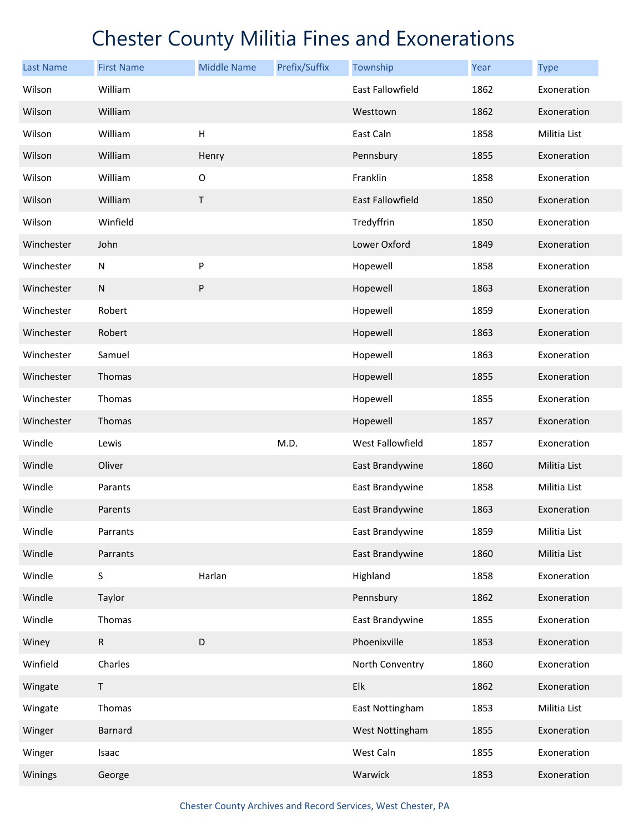| <b>Last Name</b> | <b>First Name</b> | <b>Middle Name</b>        | Prefix/Suffix | Township         | Year | <b>Type</b>  |
|------------------|-------------------|---------------------------|---------------|------------------|------|--------------|
| Wilson           | William           |                           |               | East Fallowfield | 1862 | Exoneration  |
| Wilson           | William           |                           |               | Westtown         | 1862 | Exoneration  |
| Wilson           | William           | $\boldsymbol{\mathsf{H}}$ |               | East Caln        | 1858 | Militia List |
| Wilson           | William           | Henry                     |               | Pennsbury        | 1855 | Exoneration  |
| Wilson           | William           | $\mathsf O$               |               | Franklin         | 1858 | Exoneration  |
| Wilson           | William           | Τ                         |               | East Fallowfield | 1850 | Exoneration  |
| Wilson           | Winfield          |                           |               | Tredyffrin       | 1850 | Exoneration  |
| Winchester       | John              |                           |               | Lower Oxford     | 1849 | Exoneration  |
| Winchester       | N                 | P                         |               | Hopewell         | 1858 | Exoneration  |
| Winchester       | ${\sf N}$         | ${\sf P}$                 |               | Hopewell         | 1863 | Exoneration  |
| Winchester       | Robert            |                           |               | Hopewell         | 1859 | Exoneration  |
| Winchester       | Robert            |                           |               | Hopewell         | 1863 | Exoneration  |
| Winchester       | Samuel            |                           |               | Hopewell         | 1863 | Exoneration  |
| Winchester       | Thomas            |                           |               | Hopewell         | 1855 | Exoneration  |
| Winchester       | Thomas            |                           |               | Hopewell         | 1855 | Exoneration  |
| Winchester       | Thomas            |                           |               | Hopewell         | 1857 | Exoneration  |
| Windle           | Lewis             |                           | M.D.          | West Fallowfield | 1857 | Exoneration  |
| Windle           | Oliver            |                           |               | East Brandywine  | 1860 | Militia List |
| Windle           | Parants           |                           |               | East Brandywine  | 1858 | Militia List |
| Windle           | Parents           |                           |               | East Brandywine  | 1863 | Exoneration  |
| Windle           | Parrants          |                           |               | East Brandywine  | 1859 | Militia List |
| Windle           | Parrants          |                           |               | East Brandywine  | 1860 | Militia List |
| Windle           | S                 | Harlan                    |               | Highland         | 1858 | Exoneration  |
| Windle           | Taylor            |                           |               | Pennsbury        | 1862 | Exoneration  |
| Windle           | Thomas            |                           |               | East Brandywine  | 1855 | Exoneration  |
| Winey            | $\mathsf{R}$      | $\mathsf D$               |               | Phoenixville     | 1853 | Exoneration  |
| Winfield         | Charles           |                           |               | North Conventry  | 1860 | Exoneration  |
| Wingate          | T.                |                           |               | Elk              | 1862 | Exoneration  |
| Wingate          | Thomas            |                           |               | East Nottingham  | 1853 | Militia List |
| Winger           | Barnard           |                           |               | West Nottingham  | 1855 | Exoneration  |
| Winger           | Isaac             |                           |               | West Caln        | 1855 | Exoneration  |
| Winings          | George            |                           |               | Warwick          | 1853 | Exoneration  |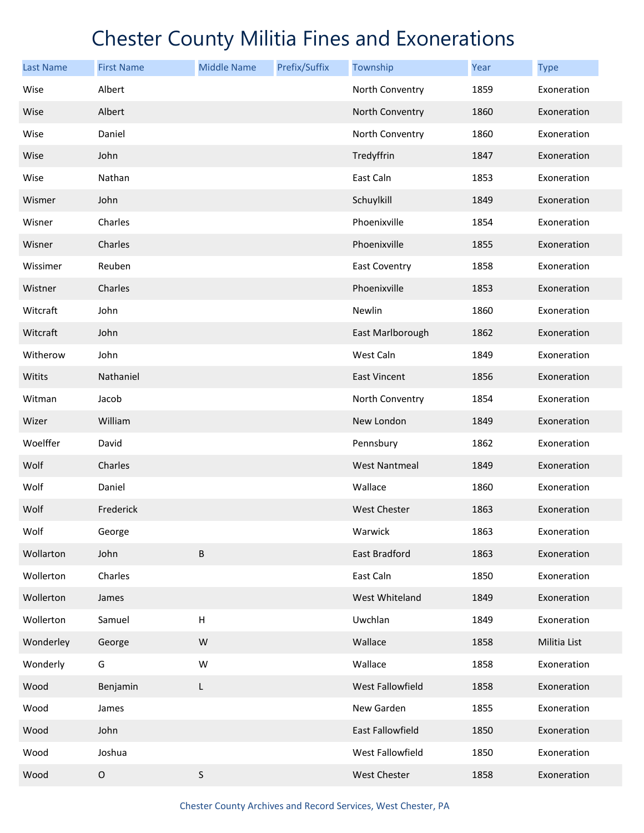| <b>Last Name</b> | <b>First Name</b> | <b>Middle Name</b> | Prefix/Suffix | Township             | Year | <b>Type</b>  |
|------------------|-------------------|--------------------|---------------|----------------------|------|--------------|
| Wise             | Albert            |                    |               | North Conventry      | 1859 | Exoneration  |
| Wise             | Albert            |                    |               | North Conventry      | 1860 | Exoneration  |
| Wise             | Daniel            |                    |               | North Conventry      | 1860 | Exoneration  |
| Wise             | John              |                    |               | Tredyffrin           | 1847 | Exoneration  |
| Wise             | Nathan            |                    |               | East Caln            | 1853 | Exoneration  |
| Wismer           | John              |                    |               | Schuylkill           | 1849 | Exoneration  |
| Wisner           | Charles           |                    |               | Phoenixville         | 1854 | Exoneration  |
| Wisner           | Charles           |                    |               | Phoenixville         | 1855 | Exoneration  |
| Wissimer         | Reuben            |                    |               | <b>East Coventry</b> | 1858 | Exoneration  |
| Wistner          | Charles           |                    |               | Phoenixville         | 1853 | Exoneration  |
| Witcraft         | John              |                    |               | Newlin               | 1860 | Exoneration  |
| Witcraft         | John              |                    |               | East Marlborough     | 1862 | Exoneration  |
| Witherow         | John              |                    |               | West Caln            | 1849 | Exoneration  |
| Witits           | Nathaniel         |                    |               | East Vincent         | 1856 | Exoneration  |
| Witman           | Jacob             |                    |               | North Conventry      | 1854 | Exoneration  |
| Wizer            | William           |                    |               | New London           | 1849 | Exoneration  |
| Woelffer         | David             |                    |               | Pennsbury            | 1862 | Exoneration  |
| Wolf             | Charles           |                    |               | <b>West Nantmeal</b> | 1849 | Exoneration  |
| Wolf             | Daniel            |                    |               | Wallace              | 1860 | Exoneration  |
| Wolf             | Frederick         |                    |               | <b>West Chester</b>  | 1863 | Exoneration  |
| Wolf             | George            |                    |               | Warwick              | 1863 | Exoneration  |
| Wollarton        | John              | B                  |               | East Bradford        | 1863 | Exoneration  |
| Wollerton        | Charles           |                    |               | East Caln            | 1850 | Exoneration  |
| Wollerton        | James             |                    |               | West Whiteland       | 1849 | Exoneration  |
| Wollerton        | Samuel            | Н                  |               | Uwchlan              | 1849 | Exoneration  |
| Wonderley        | George            | W                  |               | Wallace              | 1858 | Militia List |
| Wonderly         | G                 | W                  |               | Wallace              | 1858 | Exoneration  |
| Wood             | Benjamin          | L                  |               | West Fallowfield     | 1858 | Exoneration  |
| Wood             | James             |                    |               | New Garden           | 1855 | Exoneration  |
| Wood             | John              |                    |               | East Fallowfield     | 1850 | Exoneration  |
| Wood             | Joshua            |                    |               | West Fallowfield     | 1850 | Exoneration  |
| Wood             | $\mathsf O$       | $\sf S$            |               | West Chester         | 1858 | Exoneration  |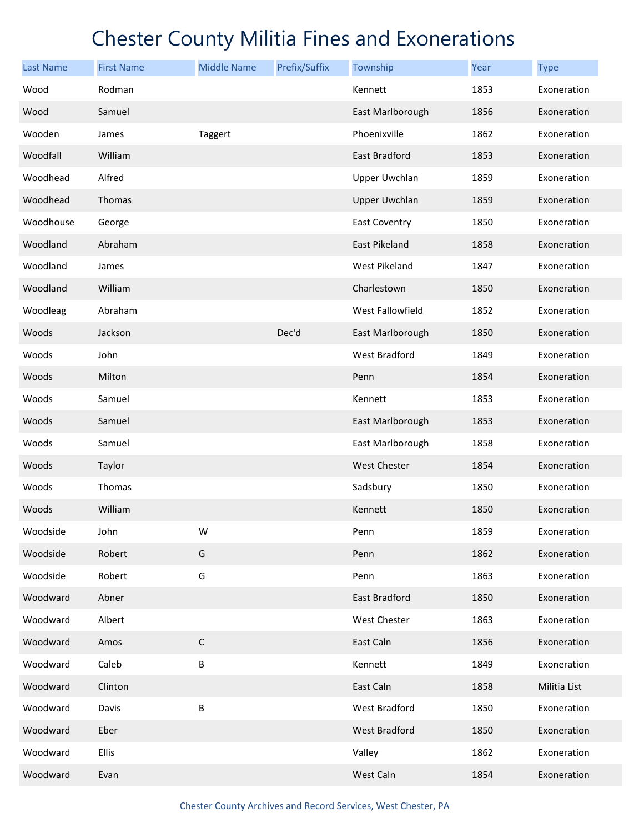| <b>Last Name</b> | <b>First Name</b> | <b>Middle Name</b> | Prefix/Suffix | Township             | Year | <b>Type</b>  |
|------------------|-------------------|--------------------|---------------|----------------------|------|--------------|
| Wood             | Rodman            |                    |               | Kennett              | 1853 | Exoneration  |
| Wood             | Samuel            |                    |               | East Marlborough     | 1856 | Exoneration  |
| Wooden           | James             | Taggert            |               | Phoenixville         | 1862 | Exoneration  |
| Woodfall         | William           |                    |               | East Bradford        | 1853 | Exoneration  |
| Woodhead         | Alfred            |                    |               | <b>Upper Uwchlan</b> | 1859 | Exoneration  |
| Woodhead         | Thomas            |                    |               | <b>Upper Uwchlan</b> | 1859 | Exoneration  |
| Woodhouse        | George            |                    |               | <b>East Coventry</b> | 1850 | Exoneration  |
| Woodland         | Abraham           |                    |               | <b>East Pikeland</b> | 1858 | Exoneration  |
| Woodland         | James             |                    |               | West Pikeland        | 1847 | Exoneration  |
| Woodland         | William           |                    |               | Charlestown          | 1850 | Exoneration  |
| Woodleag         | Abraham           |                    |               | West Fallowfield     | 1852 | Exoneration  |
| Woods            | Jackson           |                    | Dec'd         | East Marlborough     | 1850 | Exoneration  |
| Woods            | John              |                    |               | West Bradford        | 1849 | Exoneration  |
| Woods            | Milton            |                    |               | Penn                 | 1854 | Exoneration  |
| Woods            | Samuel            |                    |               | Kennett              | 1853 | Exoneration  |
| Woods            | Samuel            |                    |               | East Marlborough     | 1853 | Exoneration  |
| Woods            | Samuel            |                    |               | East Marlborough     | 1858 | Exoneration  |
| Woods            | Taylor            |                    |               | <b>West Chester</b>  | 1854 | Exoneration  |
| Woods            | Thomas            |                    |               | Sadsbury             | 1850 | Exoneration  |
| Woods            | William           |                    |               | Kennett              | 1850 | Exoneration  |
| Woodside         | John              | W                  |               | Penn                 | 1859 | Exoneration  |
| Woodside         | Robert            | G                  |               | Penn                 | 1862 | Exoneration  |
| Woodside         | Robert            | G                  |               | Penn                 | 1863 | Exoneration  |
| Woodward         | Abner             |                    |               | East Bradford        | 1850 | Exoneration  |
| Woodward         | Albert            |                    |               | West Chester         | 1863 | Exoneration  |
| Woodward         | Amos              | $\mathsf C$        |               | East Caln            | 1856 | Exoneration  |
| Woodward         | Caleb             | B                  |               | Kennett              | 1849 | Exoneration  |
| Woodward         | Clinton           |                    |               | East Caln            | 1858 | Militia List |
| Woodward         | Davis             | B                  |               | West Bradford        | 1850 | Exoneration  |
| Woodward         | Eber              |                    |               | West Bradford        | 1850 | Exoneration  |
| Woodward         | Ellis             |                    |               | Valley               | 1862 | Exoneration  |
| Woodward         | Evan              |                    |               | West Caln            | 1854 | Exoneration  |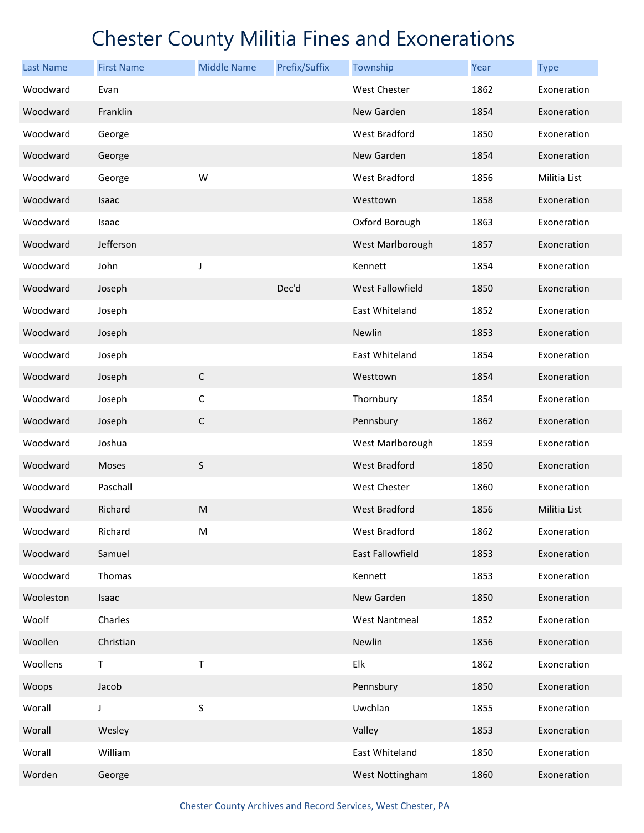| <b>Last Name</b> | <b>First Name</b> | <b>Middle Name</b> | Prefix/Suffix | Township             | Year | <b>Type</b>  |
|------------------|-------------------|--------------------|---------------|----------------------|------|--------------|
| Woodward         | Evan              |                    |               | West Chester         | 1862 | Exoneration  |
| Woodward         | Franklin          |                    |               | New Garden           | 1854 | Exoneration  |
| Woodward         | George            |                    |               | <b>West Bradford</b> | 1850 | Exoneration  |
| Woodward         | George            |                    |               | New Garden           | 1854 | Exoneration  |
| Woodward         | George            | W                  |               | West Bradford        | 1856 | Militia List |
| Woodward         | Isaac             |                    |               | Westtown             | 1858 | Exoneration  |
| Woodward         | Isaac             |                    |               | Oxford Borough       | 1863 | Exoneration  |
| Woodward         | Jefferson         |                    |               | West Marlborough     | 1857 | Exoneration  |
| Woodward         | John              | J                  |               | Kennett              | 1854 | Exoneration  |
| Woodward         | Joseph            |                    | Dec'd         | West Fallowfield     | 1850 | Exoneration  |
| Woodward         | Joseph            |                    |               | East Whiteland       | 1852 | Exoneration  |
| Woodward         | Joseph            |                    |               | Newlin               | 1853 | Exoneration  |
| Woodward         | Joseph            |                    |               | East Whiteland       | 1854 | Exoneration  |
| Woodward         | Joseph            | $\mathsf C$        |               | Westtown             | 1854 | Exoneration  |
| Woodward         | Joseph            | $\mathsf C$        |               | Thornbury            | 1854 | Exoneration  |
| Woodward         | Joseph            | $\mathsf C$        |               | Pennsbury            | 1862 | Exoneration  |
| Woodward         | Joshua            |                    |               | West Marlborough     | 1859 | Exoneration  |
| Woodward         | Moses             | $\sf S$            |               | West Bradford        | 1850 | Exoneration  |
| Woodward         | Paschall          |                    |               | West Chester         | 1860 | Exoneration  |
| Woodward         | Richard           | ${\sf M}$          |               | <b>West Bradford</b> | 1856 | Militia List |
| Woodward         | Richard           | M                  |               | West Bradford        | 1862 | Exoneration  |
| Woodward         | Samuel            |                    |               | East Fallowfield     | 1853 | Exoneration  |
| Woodward         | Thomas            |                    |               | Kennett              | 1853 | Exoneration  |
| Wooleston        | Isaac             |                    |               | New Garden           | 1850 | Exoneration  |
| Woolf            | Charles           |                    |               | <b>West Nantmeal</b> | 1852 | Exoneration  |
| Woollen          | Christian         |                    |               | Newlin               | 1856 | Exoneration  |
| Woollens         | T                 | Τ                  |               | Elk                  | 1862 | Exoneration  |
| Woops            | Jacob             |                    |               | Pennsbury            | 1850 | Exoneration  |
| Worall           | J                 | $\sf S$            |               | Uwchlan              | 1855 | Exoneration  |
| Worall           | Wesley            |                    |               | Valley               | 1853 | Exoneration  |
| Worall           | William           |                    |               | East Whiteland       | 1850 | Exoneration  |
| Worden           | George            |                    |               | West Nottingham      | 1860 | Exoneration  |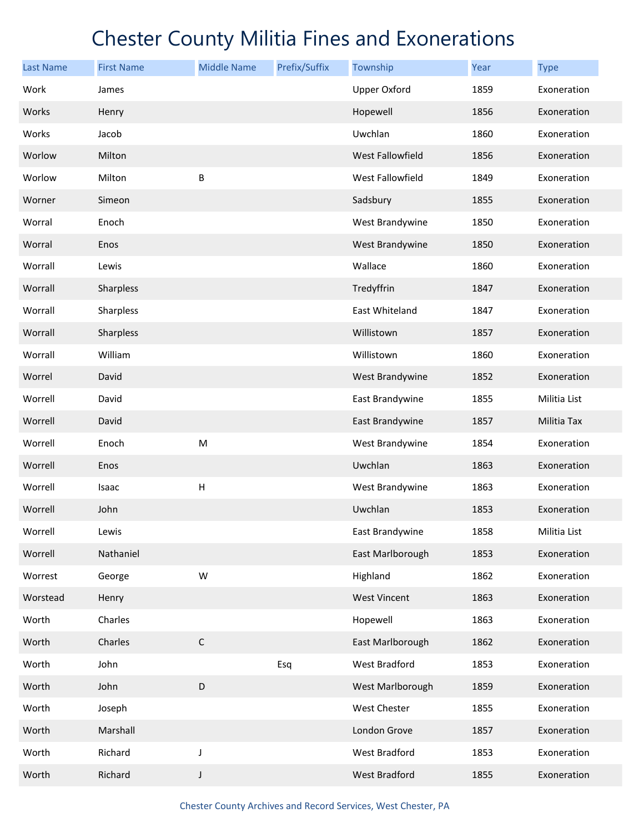| <b>Last Name</b> | <b>First Name</b> | <b>Middle Name</b>        | Prefix/Suffix | Township            | Year | <b>Type</b>  |
|------------------|-------------------|---------------------------|---------------|---------------------|------|--------------|
| Work             | James             |                           |               | <b>Upper Oxford</b> | 1859 | Exoneration  |
| Works            | Henry             |                           |               | Hopewell            | 1856 | Exoneration  |
| Works            | Jacob             |                           |               | Uwchlan             | 1860 | Exoneration  |
| Worlow           | Milton            |                           |               | West Fallowfield    | 1856 | Exoneration  |
| Worlow           | Milton            | B                         |               | West Fallowfield    | 1849 | Exoneration  |
| Worner           | Simeon            |                           |               | Sadsbury            | 1855 | Exoneration  |
| Worral           | Enoch             |                           |               | West Brandywine     | 1850 | Exoneration  |
| Worral           | Enos              |                           |               | West Brandywine     | 1850 | Exoneration  |
| Worrall          | Lewis             |                           |               | Wallace             | 1860 | Exoneration  |
| Worrall          | Sharpless         |                           |               | Tredyffrin          | 1847 | Exoneration  |
| Worrall          | Sharpless         |                           |               | East Whiteland      | 1847 | Exoneration  |
| Worrall          | Sharpless         |                           |               | Willistown          | 1857 | Exoneration  |
| Worrall          | William           |                           |               | Willistown          | 1860 | Exoneration  |
| Worrel           | David             |                           |               | West Brandywine     | 1852 | Exoneration  |
| Worrell          | David             |                           |               | East Brandywine     | 1855 | Militia List |
| Worrell          | David             |                           |               | East Brandywine     | 1857 | Militia Tax  |
| Worrell          | Enoch             | M                         |               | West Brandywine     | 1854 | Exoneration  |
| Worrell          | Enos              |                           |               | Uwchlan             | 1863 | Exoneration  |
| Worrell          | Isaac             | $\boldsymbol{\mathsf{H}}$ |               | West Brandywine     | 1863 | Exoneration  |
| Worrell          | John              |                           |               | Uwchlan             | 1853 | Exoneration  |
| Worrell          | Lewis             |                           |               | East Brandywine     | 1858 | Militia List |
| Worrell          | Nathaniel         |                           |               | East Marlborough    | 1853 | Exoneration  |
| Worrest          | George            | W                         |               | Highland            | 1862 | Exoneration  |
| Worstead         | Henry             |                           |               | <b>West Vincent</b> | 1863 | Exoneration  |
| Worth            | Charles           |                           |               | Hopewell            | 1863 | Exoneration  |
| Worth            | Charles           | $\mathsf C$               |               | East Marlborough    | 1862 | Exoneration  |
| Worth            | John              |                           | Esq           | West Bradford       | 1853 | Exoneration  |
| Worth            | John              | D                         |               | West Marlborough    | 1859 | Exoneration  |
| Worth            | Joseph            |                           |               | West Chester        | 1855 | Exoneration  |
| Worth            | Marshall          |                           |               | London Grove        | 1857 | Exoneration  |
| Worth            | Richard           | J                         |               | West Bradford       | 1853 | Exoneration  |
| Worth            | Richard           | $\mathsf J$               |               | West Bradford       | 1855 | Exoneration  |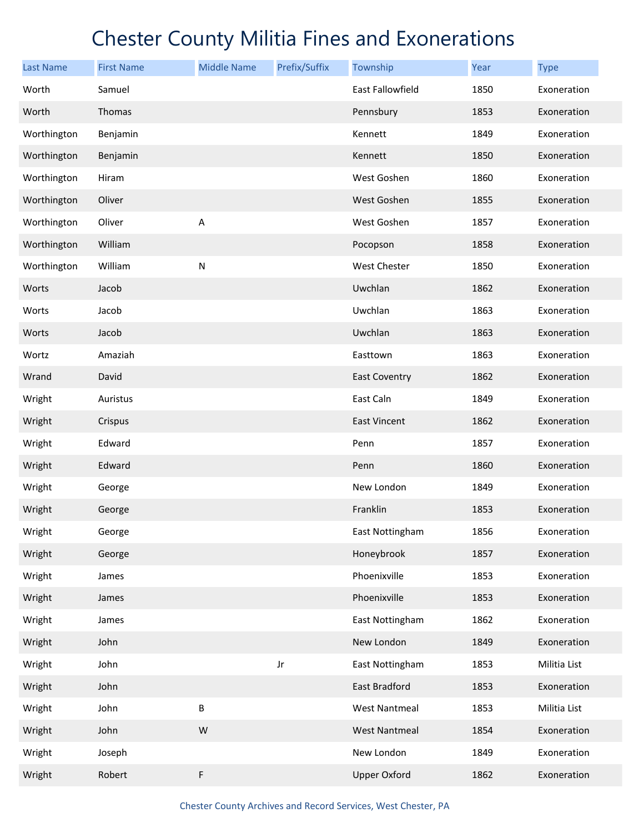| <b>Last Name</b> | <b>First Name</b> | <b>Middle Name</b> | Prefix/Suffix | Township             | Year | <b>Type</b>  |
|------------------|-------------------|--------------------|---------------|----------------------|------|--------------|
| Worth            | Samuel            |                    |               | East Fallowfield     | 1850 | Exoneration  |
| Worth            | Thomas            |                    |               | Pennsbury            | 1853 | Exoneration  |
| Worthington      | Benjamin          |                    |               | Kennett              | 1849 | Exoneration  |
| Worthington      | Benjamin          |                    |               | Kennett              | 1850 | Exoneration  |
| Worthington      | Hiram             |                    |               | West Goshen          | 1860 | Exoneration  |
| Worthington      | Oliver            |                    |               | West Goshen          | 1855 | Exoneration  |
| Worthington      | Oliver            | A                  |               | West Goshen          | 1857 | Exoneration  |
| Worthington      | William           |                    |               | Pocopson             | 1858 | Exoneration  |
| Worthington      | William           | ${\sf N}$          |               | <b>West Chester</b>  | 1850 | Exoneration  |
| Worts            | Jacob             |                    |               | Uwchlan              | 1862 | Exoneration  |
| Worts            | Jacob             |                    |               | Uwchlan              | 1863 | Exoneration  |
| Worts            | Jacob             |                    |               | Uwchlan              | 1863 | Exoneration  |
| Wortz            | Amaziah           |                    |               | Easttown             | 1863 | Exoneration  |
| Wrand            | David             |                    |               | <b>East Coventry</b> | 1862 | Exoneration  |
| Wright           | Auristus          |                    |               | East Caln            | 1849 | Exoneration  |
| Wright           | Crispus           |                    |               | East Vincent         | 1862 | Exoneration  |
| Wright           | Edward            |                    |               | Penn                 | 1857 | Exoneration  |
| Wright           | Edward            |                    |               | Penn                 | 1860 | Exoneration  |
| Wright           | George            |                    |               | New London           | 1849 | Exoneration  |
| Wright           | George            |                    |               | Franklin             | 1853 | Exoneration  |
| Wright           | George            |                    |               | East Nottingham      | 1856 | Exoneration  |
| Wright           | George            |                    |               | Honeybrook           | 1857 | Exoneration  |
| Wright           | James             |                    |               | Phoenixville         | 1853 | Exoneration  |
| Wright           | James             |                    |               | Phoenixville         | 1853 | Exoneration  |
| Wright           | James             |                    |               | East Nottingham      | 1862 | Exoneration  |
| Wright           | John              |                    |               | New London           | 1849 | Exoneration  |
| Wright           | John              |                    | Jr            | East Nottingham      | 1853 | Militia List |
| Wright           | John              |                    |               | East Bradford        | 1853 | Exoneration  |
| Wright           | John              | B                  |               | West Nantmeal        | 1853 | Militia List |
| Wright           | John              | W                  |               | <b>West Nantmeal</b> | 1854 | Exoneration  |
| Wright           | Joseph            |                    |               | New London           | 1849 | Exoneration  |
| Wright           | Robert            | F                  |               | <b>Upper Oxford</b>  | 1862 | Exoneration  |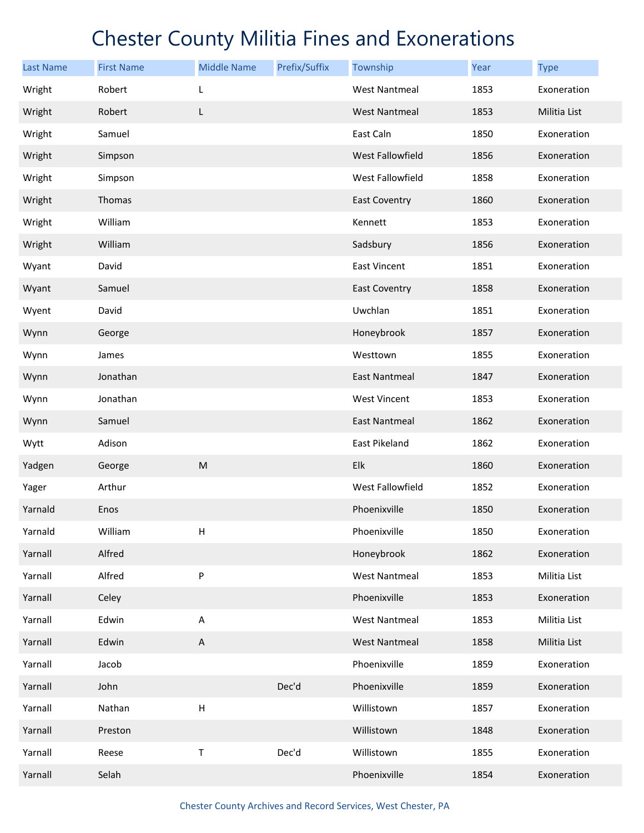| <b>Last Name</b> | <b>First Name</b> | <b>Middle Name</b>        | Prefix/Suffix | Township             | Year | <b>Type</b>  |
|------------------|-------------------|---------------------------|---------------|----------------------|------|--------------|
| Wright           | Robert            | L                         |               | <b>West Nantmeal</b> | 1853 | Exoneration  |
| Wright           | Robert            | L                         |               | <b>West Nantmeal</b> | 1853 | Militia List |
| Wright           | Samuel            |                           |               | East Caln            | 1850 | Exoneration  |
| Wright           | Simpson           |                           |               | West Fallowfield     | 1856 | Exoneration  |
| Wright           | Simpson           |                           |               | West Fallowfield     | 1858 | Exoneration  |
| Wright           | Thomas            |                           |               | <b>East Coventry</b> | 1860 | Exoneration  |
| Wright           | William           |                           |               | Kennett              | 1853 | Exoneration  |
| Wright           | William           |                           |               | Sadsbury             | 1856 | Exoneration  |
| Wyant            | David             |                           |               | East Vincent         | 1851 | Exoneration  |
| Wyant            | Samuel            |                           |               | <b>East Coventry</b> | 1858 | Exoneration  |
| Wyent            | David             |                           |               | Uwchlan              | 1851 | Exoneration  |
| Wynn             | George            |                           |               | Honeybrook           | 1857 | Exoneration  |
| Wynn             | James             |                           |               | Westtown             | 1855 | Exoneration  |
| Wynn             | Jonathan          |                           |               | East Nantmeal        | 1847 | Exoneration  |
| Wynn             | Jonathan          |                           |               | West Vincent         | 1853 | Exoneration  |
| Wynn             | Samuel            |                           |               | <b>East Nantmeal</b> | 1862 | Exoneration  |
| Wytt             | Adison            |                           |               | East Pikeland        | 1862 | Exoneration  |
| Yadgen           | George            | M                         |               | Elk                  | 1860 | Exoneration  |
| Yager            | Arthur            |                           |               | West Fallowfield     | 1852 | Exoneration  |
| Yarnald          | Enos              |                           |               | Phoenixville         | 1850 | Exoneration  |
| Yarnald          | William           | Н                         |               | Phoenixville         | 1850 | Exoneration  |
| Yarnall          | Alfred            |                           |               | Honeybrook           | 1862 | Exoneration  |
| Yarnall          | Alfred            | P                         |               | <b>West Nantmeal</b> | 1853 | Militia List |
| Yarnall          | Celey             |                           |               | Phoenixville         | 1853 | Exoneration  |
| Yarnall          | Edwin             | А                         |               | <b>West Nantmeal</b> | 1853 | Militia List |
| Yarnall          | Edwin             | $\mathsf A$               |               | <b>West Nantmeal</b> | 1858 | Militia List |
| Yarnall          | Jacob             |                           |               | Phoenixville         | 1859 | Exoneration  |
| Yarnall          | John              |                           | Dec'd         | Phoenixville         | 1859 | Exoneration  |
| Yarnall          | Nathan            | $\boldsymbol{\mathsf{H}}$ |               | Willistown           | 1857 | Exoneration  |
| Yarnall          | Preston           |                           |               | Willistown           | 1848 | Exoneration  |
| Yarnall          | Reese             | Τ                         | Dec'd         | Willistown           | 1855 | Exoneration  |
| Yarnall          | Selah             |                           |               | Phoenixville         | 1854 | Exoneration  |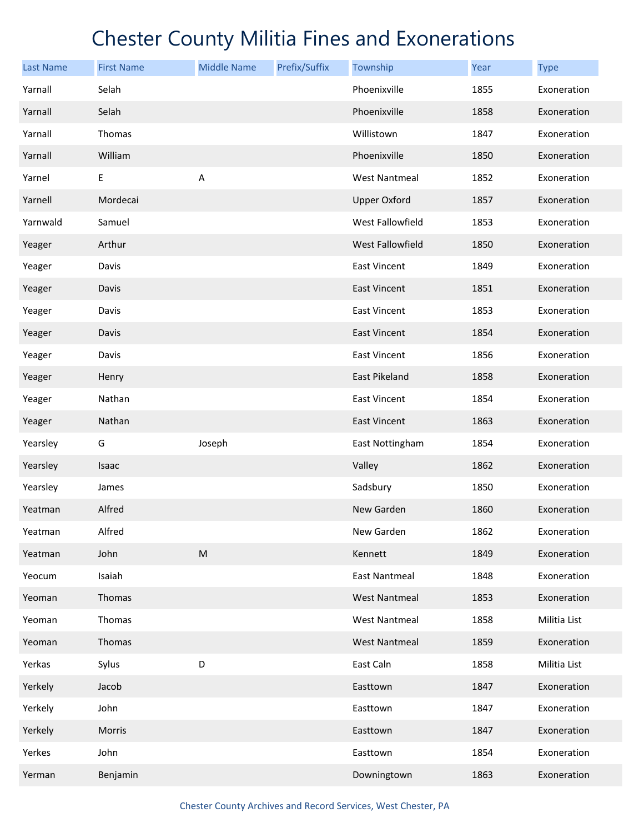| <b>Last Name</b> | <b>First Name</b> | <b>Middle Name</b>        | Prefix/Suffix | Township             | Year | <b>Type</b>  |
|------------------|-------------------|---------------------------|---------------|----------------------|------|--------------|
| Yarnall          | Selah             |                           |               | Phoenixville         | 1855 | Exoneration  |
| Yarnall          | Selah             |                           |               | Phoenixville         | 1858 | Exoneration  |
| Yarnall          | Thomas            |                           |               | Willistown           | 1847 | Exoneration  |
| Yarnall          | William           |                           |               | Phoenixville         | 1850 | Exoneration  |
| Yarnel           | E                 | $\boldsymbol{\mathsf{A}}$ |               | <b>West Nantmeal</b> | 1852 | Exoneration  |
| Yarnell          | Mordecai          |                           |               | <b>Upper Oxford</b>  | 1857 | Exoneration  |
| Yarnwald         | Samuel            |                           |               | West Fallowfield     | 1853 | Exoneration  |
| Yeager           | Arthur            |                           |               | West Fallowfield     | 1850 | Exoneration  |
| Yeager           | Davis             |                           |               | <b>East Vincent</b>  | 1849 | Exoneration  |
| Yeager           | Davis             |                           |               | <b>East Vincent</b>  | 1851 | Exoneration  |
| Yeager           | Davis             |                           |               | <b>East Vincent</b>  | 1853 | Exoneration  |
| Yeager           | Davis             |                           |               | <b>East Vincent</b>  | 1854 | Exoneration  |
| Yeager           | Davis             |                           |               | East Vincent         | 1856 | Exoneration  |
| Yeager           | Henry             |                           |               | East Pikeland        | 1858 | Exoneration  |
| Yeager           | Nathan            |                           |               | <b>East Vincent</b>  | 1854 | Exoneration  |
| Yeager           | Nathan            |                           |               | East Vincent         | 1863 | Exoneration  |
| Yearsley         | G                 | Joseph                    |               | East Nottingham      | 1854 | Exoneration  |
| Yearsley         | Isaac             |                           |               | Valley               | 1862 | Exoneration  |
| Yearsley         | James             |                           |               | Sadsbury             | 1850 | Exoneration  |
| Yeatman          | Alfred            |                           |               | New Garden           | 1860 | Exoneration  |
| Yeatman          | Alfred            |                           |               | New Garden           | 1862 | Exoneration  |
| Yeatman          | John              | ${\sf M}$                 |               | Kennett              | 1849 | Exoneration  |
| Yeocum           | Isaiah            |                           |               | <b>East Nantmeal</b> | 1848 | Exoneration  |
| Yeoman           | Thomas            |                           |               | <b>West Nantmeal</b> | 1853 | Exoneration  |
| Yeoman           | Thomas            |                           |               | West Nantmeal        | 1858 | Militia List |
| Yeoman           | Thomas            |                           |               | <b>West Nantmeal</b> | 1859 | Exoneration  |
| Yerkas           | Sylus             | D                         |               | East Caln            | 1858 | Militia List |
| Yerkely          | Jacob             |                           |               | Easttown             | 1847 | Exoneration  |
| Yerkely          | John              |                           |               | Easttown             | 1847 | Exoneration  |
| Yerkely          | Morris            |                           |               | Easttown             | 1847 | Exoneration  |
| Yerkes           | John              |                           |               | Easttown             | 1854 | Exoneration  |
| Yerman           | Benjamin          |                           |               | Downingtown          | 1863 | Exoneration  |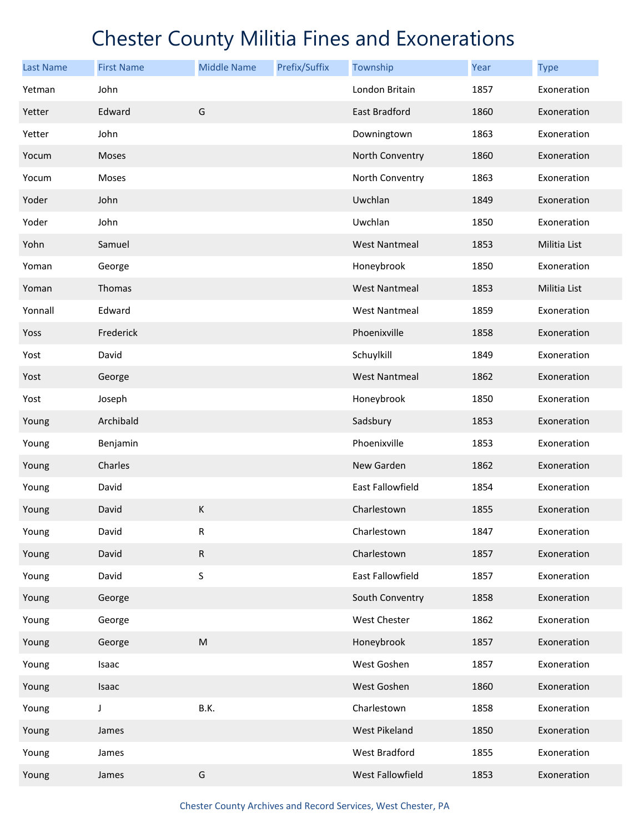| <b>Last Name</b> | <b>First Name</b> | <b>Middle Name</b> | Prefix/Suffix | Township             | Year | <b>Type</b>  |
|------------------|-------------------|--------------------|---------------|----------------------|------|--------------|
| Yetman           | John              |                    |               | London Britain       | 1857 | Exoneration  |
| Yetter           | Edward            | G                  |               | East Bradford        | 1860 | Exoneration  |
| Yetter           | John              |                    |               | Downingtown          | 1863 | Exoneration  |
| Yocum            | Moses             |                    |               | North Conventry      | 1860 | Exoneration  |
| Yocum            | Moses             |                    |               | North Conventry      | 1863 | Exoneration  |
| Yoder            | John              |                    |               | Uwchlan              | 1849 | Exoneration  |
| Yoder            | John              |                    |               | Uwchlan              | 1850 | Exoneration  |
| Yohn             | Samuel            |                    |               | <b>West Nantmeal</b> | 1853 | Militia List |
| Yoman            | George            |                    |               | Honeybrook           | 1850 | Exoneration  |
| Yoman            | Thomas            |                    |               | <b>West Nantmeal</b> | 1853 | Militia List |
| Yonnall          | Edward            |                    |               | <b>West Nantmeal</b> | 1859 | Exoneration  |
| Yoss             | Frederick         |                    |               | Phoenixville         | 1858 | Exoneration  |
| Yost             | David             |                    |               | Schuylkill           | 1849 | Exoneration  |
| Yost             | George            |                    |               | <b>West Nantmeal</b> | 1862 | Exoneration  |
| Yost             | Joseph            |                    |               | Honeybrook           | 1850 | Exoneration  |
| Young            | Archibald         |                    |               | Sadsbury             | 1853 | Exoneration  |
| Young            | Benjamin          |                    |               | Phoenixville         | 1853 | Exoneration  |
| Young            | Charles           |                    |               | New Garden           | 1862 | Exoneration  |
| Young            | David             |                    |               | East Fallowfield     | 1854 | Exoneration  |
| Young            | David             | К                  |               | Charlestown          | 1855 | Exoneration  |
| Young            | David             | R                  |               | Charlestown          | 1847 | Exoneration  |
| Young            | David             | ${\sf R}$          |               | Charlestown          | 1857 | Exoneration  |
| Young            | David             | S                  |               | East Fallowfield     | 1857 | Exoneration  |
| Young            | George            |                    |               | South Conventry      | 1858 | Exoneration  |
| Young            | George            |                    |               | West Chester         | 1862 | Exoneration  |
| Young            | George            | ${\sf M}$          |               | Honeybrook           | 1857 | Exoneration  |
| Young            | Isaac             |                    |               | West Goshen          | 1857 | Exoneration  |
| Young            | Isaac             |                    |               | West Goshen          | 1860 | Exoneration  |
| Young            | J                 | B.K.               |               | Charlestown          | 1858 | Exoneration  |
| Young            | James             |                    |               | West Pikeland        | 1850 | Exoneration  |
| Young            | James             |                    |               | West Bradford        | 1855 | Exoneration  |
| Young            | James             | ${\mathsf G}$      |               | West Fallowfield     | 1853 | Exoneration  |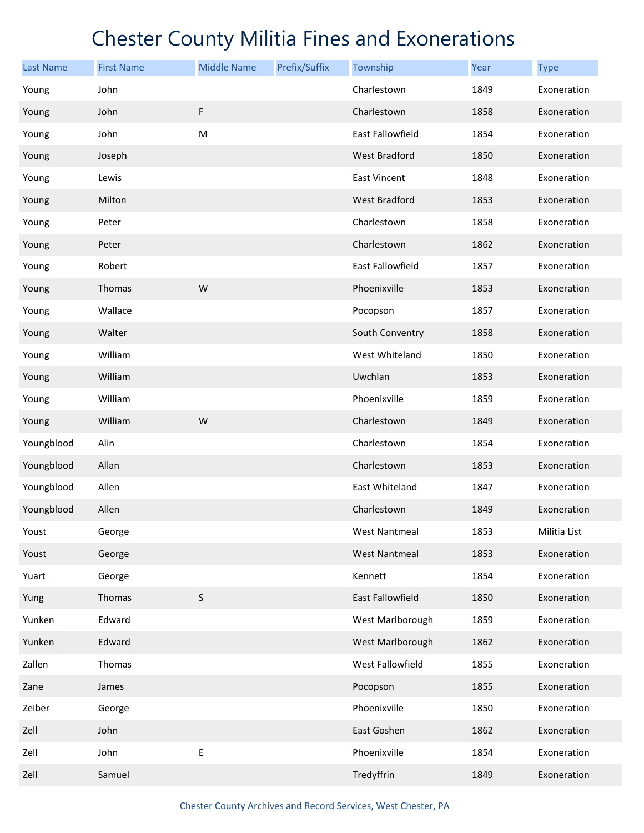| <b>Last Name</b> | <b>First Name</b> | <b>Middle Name</b> | Prefix/Suffix | Township                | Year | <b>Type</b>  |
|------------------|-------------------|--------------------|---------------|-------------------------|------|--------------|
| Young            | John              |                    |               | Charlestown             | 1849 | Exoneration  |
| Young            | John              | $\mathsf F$        |               | Charlestown             | 1858 | Exoneration  |
| Young            | John              | M                  |               | East Fallowfield        | 1854 | Exoneration  |
| Young            | Joseph            |                    |               | West Bradford           | 1850 | Exoneration  |
| Young            | Lewis             |                    |               | <b>East Vincent</b>     | 1848 | Exoneration  |
| Young            | Milton            |                    |               | <b>West Bradford</b>    | 1853 | Exoneration  |
| Young            | Peter             |                    |               | Charlestown             | 1858 | Exoneration  |
| Young            | Peter             |                    |               | Charlestown             | 1862 | Exoneration  |
| Young            | Robert            |                    |               | East Fallowfield        | 1857 | Exoneration  |
| Young            | Thomas            | W                  |               | Phoenixville            | 1853 | Exoneration  |
| Young            | Wallace           |                    |               | Pocopson                | 1857 | Exoneration  |
| Young            | Walter            |                    |               | South Conventry         | 1858 | Exoneration  |
| Young            | William           |                    |               | West Whiteland          | 1850 | Exoneration  |
| Young            | William           |                    |               | Uwchlan                 | 1853 | Exoneration  |
| Young            | William           |                    |               | Phoenixville            | 1859 | Exoneration  |
| Young            | William           | W                  |               | Charlestown             | 1849 | Exoneration  |
| Youngblood       | Alin              |                    |               | Charlestown             | 1854 | Exoneration  |
| Youngblood       | Allan             |                    |               | Charlestown             | 1853 | Exoneration  |
| Youngblood       | Allen             |                    |               | East Whiteland          | 1847 | Exoneration  |
| Youngblood       | Allen             |                    |               | Charlestown             | 1849 | Exoneration  |
| Youst            | George            |                    |               | <b>West Nantmeal</b>    | 1853 | Militia List |
| Youst            | George            |                    |               | <b>West Nantmeal</b>    | 1853 | Exoneration  |
| Yuart            | George            |                    |               | Kennett                 | 1854 | Exoneration  |
| Yung             | Thomas            | $\sf S$            |               | <b>East Fallowfield</b> | 1850 | Exoneration  |
| Yunken           | Edward            |                    |               | West Marlborough        | 1859 | Exoneration  |
| Yunken           | Edward            |                    |               | West Marlborough        | 1862 | Exoneration  |
| Zallen           | Thomas            |                    |               | West Fallowfield        | 1855 | Exoneration  |
| Zane             | James             |                    |               | Pocopson                | 1855 | Exoneration  |
| Zeiber           | George            |                    |               | Phoenixville            | 1850 | Exoneration  |
| Zell             | John              |                    |               | East Goshen             | 1862 | Exoneration  |
| Zell             | John              | Е                  |               | Phoenixville            | 1854 | Exoneration  |
| Zell             | Samuel            |                    |               | Tredyffrin              | 1849 | Exoneration  |